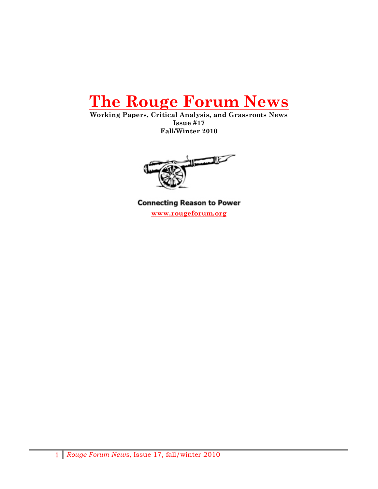

**Working Papers, Critical Analysis, and Grassroots News Issue #17 Fall/Winter 2010**



**Connecting Reason to Power www.rougeforum.org**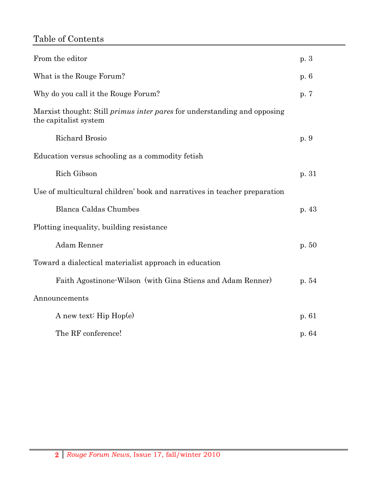# Table of Contents

| From the editor                                                                                          | p.3     |
|----------------------------------------------------------------------------------------------------------|---------|
| What is the Rouge Forum?                                                                                 | p. 6    |
| Why do you call it the Rouge Forum?                                                                      | p. 7    |
| Marxist thought: Still <i>primus inter pares</i> for understanding and opposing<br>the capitalist system |         |
| Richard Brosio                                                                                           | p. 9    |
| Education versus schooling as a commodity fetish                                                         |         |
| Rich Gibson                                                                                              | p. 31   |
| Use of multicultural children' book and narratives in teacher preparation                                |         |
| Blanca Caldas Chumbes                                                                                    | p. $43$ |
| Plotting inequality, building resistance                                                                 |         |
| Adam Renner                                                                                              | p. 50   |
| Toward a dialectical materialist approach in education                                                   |         |
| Faith Agostinone Wilson (with Gina Stiens and Adam Renner)                                               | p. 54   |
| Announcements                                                                                            |         |
| A new text: $\text{Hip Hop}(e)$                                                                          | p. 61   |
| The RF conference!                                                                                       | p. 64   |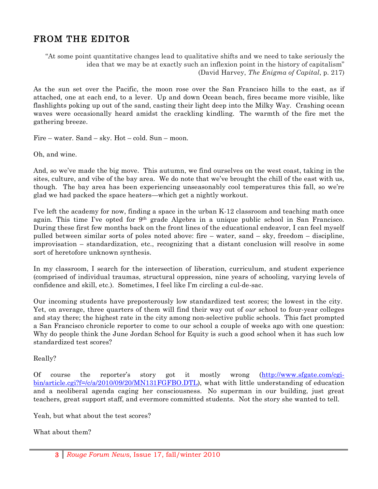# FROM THE EDITOR

"At some point quantitative changes lead to qualitative shifts and we need to take seriously the idea that we may be at exactly such an inflexion point in the history of capitalism" (David Harvey, *The Enigma of Capital*, p. 217)

As the sun set over the Pacific, the moon rose over the San Francisco hills to the east, as if attached, one at each end, to a lever. Up and down Ocean beach, fires became more visible, like flashlights poking up out of the sand, casting their light deep into the Milky Way. Crashing ocean waves were occasionally heard amidst the crackling kindling. The warmth of the fire met the gathering breeze.

Fire – water. Sand – sky. Hot – cold. Sun – moon.

Oh, and wine.

And, so we've made the big move. This autumn, we find ourselves on the west coast, taking in the sites, culture, and vibe of the bay area. We do note that we've brought the chill of the east with us, though. The bay area has been experiencing unseasonably cool temperatures this fall, so we're glad we had packed the space heaters—which get a nightly workout.

I've left the academy for now, finding a space in the urban K-12 classroom and teaching math once again. This time I've opted for  $9<sup>th</sup>$  grade Algebra in a unique public school in San Francisco. During these first few months back on the front lines of the educational endeavor, I can feel myself pulled between similar sorts of poles noted above: fire – water, sand – sky, freedom – discipline, improvisation – standardization, etc., recognizing that a distant conclusion will resolve in some sort of heretofore unknown synthesis.

In my classroom, I search for the intersection of liberation, curriculum, and student experience (comprised of individual traumas, structural oppression, nine years of schooling, varying levels of confidence and skill, etc.). Sometimes, I feel like I'm circling a cul-de-sac.

Our incoming students have preposterously low standardized test scores; the lowest in the city. Yet, on average, three quarters of them will find their way out of *our* school to four-year colleges and stay there; the highest rate in the city among non-selective public schools. This fact prompted a San Francisco chronicle reporter to come to our school a couple of weeks ago with one question: Why do people think the June Jordan School for Equity is such a good school when it has such low standardized test scores?

Really?

Of course the reporter's story got it mostly wrong (http://www.sfgate.com/cgibin/article.cgi?f=/c/a/2010/09/20/MN131FGFBO.DTL), what with little understanding of education and a neoliberal agenda caging her consciousness. No superman in our building, just great teachers, great support staff, and evermore committed students. Not the story she wanted to tell.

Yeah, but what about the test scores?

What about them?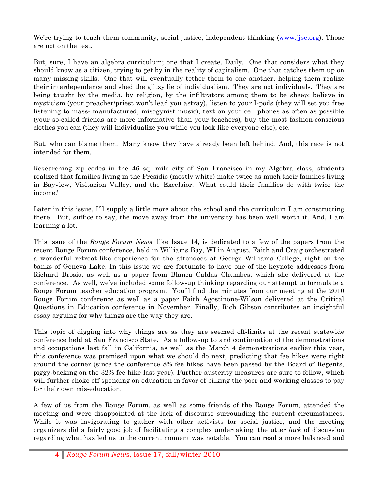We're trying to teach them community, social justice, independent thinking (www.jjse.org). Those are not on the test.

But, sure, I have an algebra curriculum; one that I create. Daily. One that considers what they should know as a citizen, trying to get by in the reality of capitalism. One that catches them up on many missing skills. One that will eventually tether them to one another, helping them realize their interdependence and shed the glitzy lie of individualism. They are not individuals. They are being taught by the media, by religion, by the infiltrators among them to be sheep: believe in mysticism (your preacher/priest won't lead you astray), listen to your I-pods (they will set you free listening to mass- manufactured, misogynist music), text on your cell phones as often as possible (your so-called friends are more informative than your teachers), buy the most fashion-conscious clothes you can (they will individualize you while you look like everyone else), etc.

But, who can blame them. Many know they have already been left behind. And, this race is not intended for them.

Researching zip codes in the 46 sq. mile city of San Francisco in my Algebra class, students realized that families living in the Presidio (mostly white) make twice as much their families living in Bayview, Visitacion Valley, and the Excelsior. What could their families do with twice the income?

Later in this issue, I'll supply a little more about the school and the curriculum I am constructing there. But, suffice to say, the move away from the university has been well worth it. And, I am learning a lot.

This issue of the *Rouge Forum News*, like Issue 14, is dedicated to a few of the papers from the recent Rouge Forum conference, held in Williams Bay, WI in August. Faith and Craig orchestrated a wonderful retreat-like experience for the attendees at George Williams College, right on the banks of Geneva Lake. In this issue we are fortunate to have one of the keynote addresses from Richard Brosio, as well as a paper from Blanca Caldas Chumbes, which she delivered at the conference. As well, we've included some follow-up thinking regarding our attempt to formulate a Rouge Forum teacher education program. You'll find the minutes from our meeting at the 2010 Rouge Forum conference as well as a paper Faith Agostinone-Wilson delivered at the Critical Questions in Education conference in November. Finally, Rich Gibson contributes an insightful essay arguing for why things are the way they are.

This topic of digging into why things are as they are seemed off-limits at the recent statewide conference held at San Francisco State. As a follow-up to and continuation of the demonstrations and occupations last fall in California, as well as the March 4 demonstrations earlier this year, this conference was premised upon what we should do next, predicting that fee hikes were right around the corner (since the conference 8% fee hikes have been passed by the Board of Regents, piggy-backing on the 32% fee hike last year). Further austerity measures are sure to follow, which will further choke off spending on education in favor of bilking the poor and working classes to pay for their own mis-education.

A few of us from the Rouge Forum, as well as some friends of the Rouge Forum, attended the meeting and were disappointed at the lack of discourse surrounding the current circumstances. While it was invigorating to gather with other activists for social justice, and the meeting organizers did a fairly good job of facilitating a complex undertaking, the utter *lack* of discussion regarding what has led us to the current moment was notable. You can read a more balanced and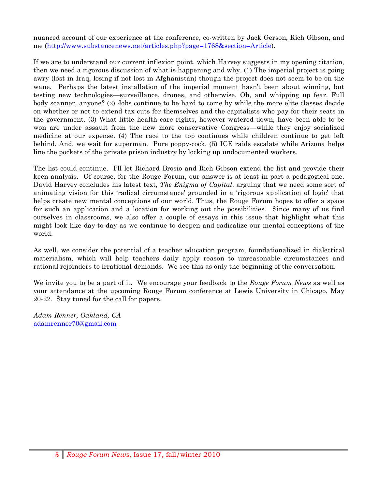nuanced account of our experience at the conference, co-written by Jack Gerson, Rich Gibson, and me (http://www.substancenews.net/articles.php?page=1768&section=Article).

If we are to understand our current inflexion point, which Harvey suggests in my opening citation, then we need a rigorous discussion of what is happening and why. (1) The imperial project is going awry (lost in Iraq, losing if not lost in Afghanistan) though the project does not seem to be on the wane. Perhaps the latest installation of the imperial moment hasn't been about winning, but testing new technologies—surveillance, drones, and otherwise. Oh, and whipping up fear. Full body scanner, anyone? (2) Jobs continue to be hard to come by while the more elite classes decide on whether or not to extend tax cuts for themselves and the capitalists who pay for their seats in the government. (3) What little health care rights, however watered down, have been able to be won are under assault from the new more conservative Congress—while they enjoy socialized medicine at our expense. (4) The race to the top continues while children continue to get left behind. And, we wait for superman. Pure poppy-cock. (5) ICE raids escalate while Arizona helps line the pockets of the private prison industry by locking up undocumented workers.

The list could continue. I'll let Richard Brosio and Rich Gibson extend the list and provide their keen analysis. Of course, for the Rouge Forum, our answer is at least in part a pedagogical one. David Harvey concludes his latest text, *The Enigma of Capital*, arguing that we need some sort of animating vision for this 'radical circumstance' grounded in a 'rigorous application of logic' that helps create new mental conceptions of our world. Thus, the Rouge Forum hopes to offer a space for such an application and a location for working out the possibilities. Since many of us find ourselves in classrooms, we also offer a couple of essays in this issue that highlight what this might look like day-to-day as we continue to deepen and radicalize our mental conceptions of the world.

As well, we consider the potential of a teacher education program, foundationalized in dialectical materialism, which will help teachers daily apply reason to unreasonable circumstances and rational rejoinders to irrational demands. We see this as only the beginning of the conversation.

We invite you to be a part of it. We encourage your feedback to the *Rouge Forum News* as well as your attendance at the upcoming Rouge Forum conference at Lewis University in Chicago, May 20-22. Stay tuned for the call for papers.

*Adam Renner, Oakland, CA* adamrenner70@gmail.com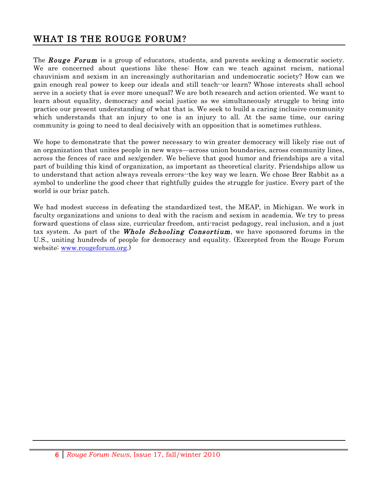## WHAT IS THE ROUGE FORUM?

The **Rouge Forum** is a group of educators, students, and parents seeking a democratic society. We are concerned about questions like these: How can we teach against racism, national chauvinism and sexism in an increasingly authoritarian and undemocratic society? How can we gain enough real power to keep our ideals and still teach--or learn? Whose interests shall school serve in a society that is ever more unequal? We are both research and action oriented. We want to learn about equality, democracy and social justice as we simultaneously struggle to bring into practice our present understanding of what that is. We seek to build a caring inclusive community which understands that an injury to one is an injury to all. At the same time, our caring community is going to need to deal decisively with an opposition that is sometimes ruthless.

We hope to demonstrate that the power necessary to win greater democracy will likely rise out of an organization that unites people in new ways—across union boundaries, across community lines, across the fences of race and sex/gender. We believe that good humor and friendships are a vital part of building this kind of organization, as important as theoretical clarity. Friendships allow us to understand that action always reveals errors--the key way we learn. We chose Brer Rabbit as a symbol to underline the good cheer that rightfully guides the struggle for justice. Every part of the world is our briar patch.

We had modest success in defeating the standardized test, the MEAP, in Michigan. We work in faculty organizations and unions to deal with the racism and sexism in academia. We try to press forward questions of class size, curricular freedom, anti-racist pedagogy, real inclusion, and a just tax system. As part of the **Whole Schooling Consortium**, we have sponsored forums in the U.S., uniting hundreds of people for democracy and equality. (Excerpted from the Rouge Forum website: www.rougeforum.org.)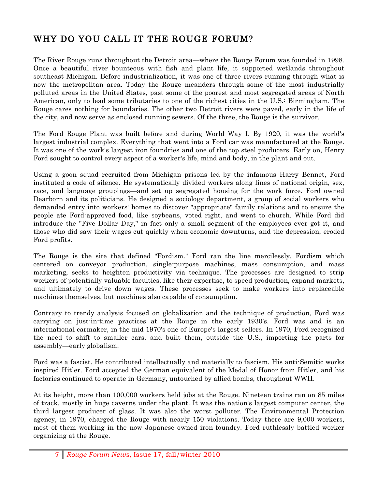# WHY DO YOU CALL IT THE ROUGE FORUM?

The River Rouge runs throughout the Detroit area—where the Rouge Forum was founded in 1998. Once a beautiful river bounteous with fish and plant life, it supported wetlands throughout southeast Michigan. Before industrialization, it was one of three rivers running through what is now the metropolitan area. Today the Rouge meanders through some of the most industrially polluted areas in the United States, past some of the poorest and most segregated areas of North American, only to lead some tributaries to one of the richest cities in the U.S.: Birmingham. The Rouge cares nothing for boundaries. The other two Detroit rivers were paved, early in the life of the city, and now serve as enclosed running sewers. Of the three, the Rouge is the survivor.

The Ford Rouge Plant was built before and during World Way I. By 1920, it was the world's largest industrial complex. Everything that went into a Ford car was manufactured at the Rouge. It was one of the work's largest iron foundries and one of the top steel producers. Early on, Henry Ford sought to control every aspect of a worker's life, mind and body, in the plant and out.

Using a goon squad recruited from Michigan prisons led by the infamous Harry Bennet, Ford instituted a code of silence. He systematically divided workers along lines of national origin, sex, race, and language groupings—and set up segregated housing for the work force. Ford owned Dearborn and its politicians. He designed a sociology department, a group of social workers who demanded entry into workers' homes to discover "appropriate" family relations and to ensure the people ate Ford-approved food, like soybeans, voted right, and went to church. While Ford did introduce the "Five Dollar Day," in fact only a small segment of the employees ever got it, and those who did saw their wages cut quickly when economic downturns, and the depression, eroded Ford profits.

The Rouge is the site that defined "Fordism." Ford ran the line mercilessly. Fordism which centered on conveyor production, single-purpose machines, mass consumption, and mass marketing, seeks to heighten productivity via technique. The processes are designed to strip workers of potentially valuable faculties, like their expertise, to speed production, expand markets, and ultimately to drive down wages. These processes seek to make workers into replaceable machines themselves, but machines also capable of consumption.

Contrary to trendy analysis focused on globalization and the technique of production, Ford was carrying on just-in-time practices at the Rouge in the early 1930's. Ford was and is an international carmaker, in the mid 1970's one of Europe's largest sellers. In 1970, Ford recognized the need to shift to smaller cars, and built them, outside the U.S., importing the parts for assembly—early globalism.

Ford was a fascist. He contributed intellectually and materially to fascism. His anti-Semitic works inspired Hitler. Ford accepted the German equivalent of the Medal of Honor from Hitler, and his factories continued to operate in Germany, untouched by allied bombs, throughout WWII.

At its height, more than 100,000 workers held jobs at the Rouge. Nineteen trains ran on 85 miles of track, mostly in huge caverns under the plant. It was the nation's largest computer center, the third largest producer of glass. It was also the worst polluter. The Environmental Protection agency, in 1970, charged the Rouge with nearly 150 violations. Today there are 9,000 workers, most of them working in the now Japanese owned iron foundry. Ford ruthlessly battled worker organizing at the Rouge.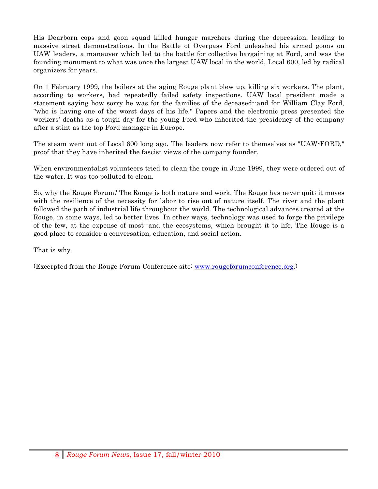His Dearborn cops and goon squad killed hunger marchers during the depression, leading to massive street demonstrations. In the Battle of Overpass Ford unleashed his armed goons on UAW leaders, a maneuver which led to the battle for collective bargaining at Ford, and was the founding monument to what was once the largest UAW local in the world, Local 600, led by radical organizers for years.

On 1 February 1999, the boilers at the aging Rouge plant blew up, killing six workers. The plant, according to workers, had repeatedly failed safety inspections. UAW local president made a statement saying how sorry he was for the families of the deceased--and for William Clay Ford, "who is having one of the worst days of his life." Papers and the electronic press presented the workers' deaths as a tough day for the young Ford who inherited the presidency of the company after a stint as the top Ford manager in Europe.

The steam went out of Local 600 long ago. The leaders now refer to themselves as "UAW-FORD," proof that they have inherited the fascist views of the company founder.

When environmentalist volunteers tried to clean the rouge in June 1999, they were ordered out of the water. It was too polluted to clean.

So, why the Rouge Forum? The Rouge is both nature and work. The Rouge has never quit; it moves with the resilience of the necessity for labor to rise out of nature itself. The river and the plant followed the path of industrial life throughout the world. The technological advances created at the Rouge, in some ways, led to better lives. In other ways, technology was used to forge the privilege of the few, at the expense of most--and the ecosystems, which brought it to life. The Rouge is a good place to consider a conversation, education, and social action.

That is why.

(Excerpted from the Rouge Forum Conference site: www.rougeforumconference.org.)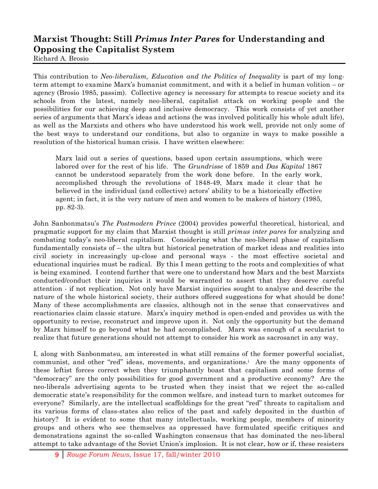# **Marxist Thought: Still** *Primus Inter Pares* **for Understanding and Opposing the Capitalist System**

Richard A. Brosio

This contribution to *Neo-liberalism, Education and the Politics of Inequality* is part of my longterm attempt to examine Marx's humanist commitment, and with it a belief in human volition – or agency (Brosio 1985, passim). Collective agency is necessary for attempts to rescue society and its schools from the latest, namely neo-liberal, capitalist attack on working people and the possibilities for our achieving deep and inclusive democracy. This work consists of yet another series of arguments that Marx's ideas and actions (he was involved politically his whole adult life), as well as the Marxists and others who have understood his work well, provide not only some of the best ways to understand our conditions, but also to organize in ways to make possible a resolution of the historical human crisis. I have written elsewhere:

Marx laid out a series of questions, based upon certain assumptions, which were labored over for the rest of his life. The *Grundrisse* of 1859 and *Das Kapital* 1867 cannot be understood separately from the work done before. In the early work, accomplished through the revolutions of 1848-49, Marx made it clear that he believed in the individual (and collective) actors' ability to be a historically effective agent; in fact, it is the very nature of men and women to be makers of history (1985, pp. 82-3).

John Sanbonmatsu's *The Postmodern Prince* (2004) provides powerful theoretical, historical, and pragmatic support for my claim that Marxist thought is still *primus inter pares* for analyzing and combating today's neo-liberal capitalism. Considering what the neo-liberal phase of capitalism fundamentally consists of – the ultra but historical penetration of market ideas and realities into civil society in increasingly up-close and personal ways - the most effective societal and educational inquiries must be radical. By this I mean getting to the roots and complexities of what is being examined. I contend further that were one to understand how Marx and the best Marxists conducted/conduct their inquiries it would be warranted to assert that they deserve careful attention - if not replication. Not only have Marxist inquiries sought to analyse and describe the nature of the whole historical society, their authors offered suggestions for what should be done! Many of these accomplishments are classics, although not in the sense that conservatives and reactionaries claim classic stature. Marx's inquiry method is open-ended and provides us with the opportunity to revise, reconstruct and improve upon it. Not only the opportunity but the demand by Marx himself to go beyond what he had accomplished. Marx was enough of a secularist to realize that future generations should not attempt to consider his work as sacrosanct in any way.

I, along with Sanbonmatsu, am interested in what still remains of the former powerful socialist, communist, and other "red" ideas, movements, and organizations.i Are the many opponents of these leftist forces correct when they triumphantly boast that capitalism and some forms of "democracy" are the only possibilities for good government and a productive economy? Are the neo-liberals advertising agents to be trusted when they insist that we reject the so-called democratic state's responsibility for the common welfare, and instead turn to market outcomes for everyone? Similarly, are the intellectual scaffoldings for the great "red" threats to capitalism and its various forms of class-states also relics of the past and safely deposited in the dustbin of history? It is evident to some that many intellectuals, working people, members of minority groups and others who see themselves as oppressed have formulated specific critiques and demonstrations against the so-called Washington consensus that has dominated the neo-liberal attempt to take advantage of the Soviet Union's implosion. It is not clear, how or if, these resisters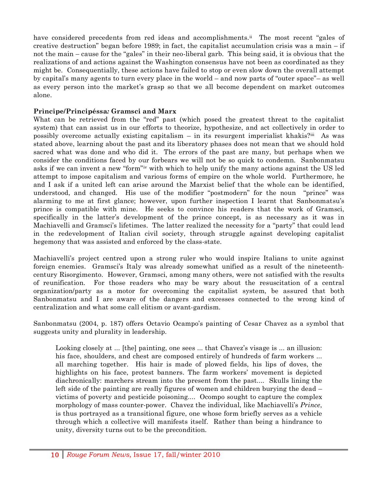have considered precedents from red ideas and accomplishments.<sup>ii</sup> The most recent "gales of creative destruction" began before 1989; in fact, the capitalist accumulation crisis was a main  $-$  if not the main – cause for the "gales" in their neo-liberal garb. This being said, it is obvious that the realizations of and actions against the Washington consensus have not been as coordinated as they might be. Consequentially, these actions have failed to stop or even slow down the overall attempt by capital's many agents to turn every place in the world – and now parts of "outer space"– as well as every person into the market's grasp so that we all become dependent on market outcomes alone.

### **Prìncipe/Principéssa***:* **Gramsci and Marx**

What can be retrieved from the "red" past (which posed the greatest threat to the capitalist system) that can assist us in our efforts to theorize, hypothesize, and act collectively in order to possibly overcome actually existing capitalism – in its resurgent imperialist khakis?iii As was stated above, learning about the past and its liberatory phases does not mean that we should hold sacred what was done and who did it. The errors of the past are many, but perhaps when we consider the conditions faced by our forbears we will not be so quick to condemn. Sanbonmatsu asks if we can invent a new "form"iv with which to help unify the many actions against the US led attempt to impose capitalism and various forms of empire on the whole world. Furthermore, he and I ask if a united left can arise around the Marxist belief that the whole can be identified, understood, and changed. His use of the modifier "postmodern" for the noun "prince" was alarming to me at first glance; however, upon further inspection I learnt that Sanbonmatsu's prince is compatible with mine. He seeks to convince his readers that the work of Gramsci, specifically in the latter's development of the prince concept, is as necessary as it was in Machiavelli and Gramsci's lifetimes. The latter realized the necessity for a "party" that could lead in the redevelopment of Italian civil society, through struggle against developing capitalist hegemony that was assisted and enforced by the class-state.

Machiavelli's project centred upon a strong ruler who would inspire Italians to unite against foreign enemies. Gramsci's Italy was already somewhat unified as a result of the nineteenthcentury Risorgimento. However, Gramsci, among many others, were not satisfied with the results of reunification. For those readers who may be wary about the resuscitation of a central organization/party as a motor for overcoming the capitalist system, be assured that both Sanbonmatsu and I are aware of the dangers and excesses connected to the wrong kind of centralization and what some call elitism or avant-gardism.

Sanbonmatsu (2004, p. 187) offers Octavio Ocampo's painting of Cesar Chavez as a symbol that suggests unity and plurality in leadership.

Looking closely at ... [the] painting, one sees ... that Chavez's visage is ... an illusion: his face, shoulders, and chest are composed entirely of hundreds of farm workers ... all marching together. His hair is made of plowed fields, his lips of doves, the highlights on his face, protest banners. The farm workers' movement is depicted diachronically: marchers stream into the present from the past.... Skulls lining the left side of the painting are really figures of women and children burying the dead – victims of poverty and pesticide poisoning.... Ocompo sought to capture the complex morphology of mass counter-power. Chavez the individual, like Machiavelli's *Prince*, is thus portrayed as a transitional figure, one whose form briefly serves as a vehicle through which a collective will manifests itself. Rather than being a hindrance to unity, diversity turns out to be the precondition.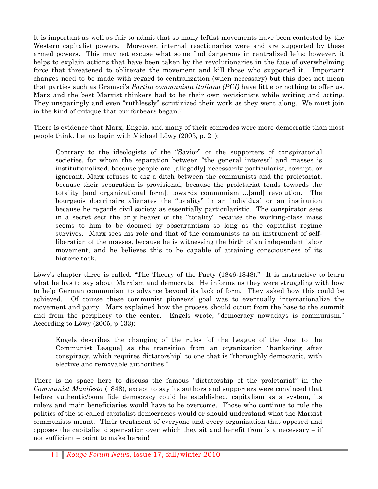It is important as well as fair to admit that so many leftist movements have been contested by the Western capitalist powers. Moreover, internal reactionaries were and are supported by these armed powers. This may not excuse what some find dangerous in centralized lefts; however, it helps to explain actions that have been taken by the revolutionaries in the face of overwhelming force that threatened to obliterate the movement and kill those who supported it. Important changes need to be made with regard to centralization (when necessary) but this does not mean that parties such as Gramsci's *Partito communista italiano (PCI)* have little or nothing to offer us. Marx and the best Marxist thinkers had to be their own revisionists while writing and acting. They unsparingly and even "ruthlessly" scrutinized their work as they went along. We must join in the kind of critique that our forbears began. $v$ 

There is evidence that Marx, Engels, and many of their comrades were more democratic than most people think. Let us begin with Michael Löwy (2005, p. 21):

Contrary to the ideologists of the "Savior" or the supporters of conspiratorial societies, for whom the separation between "the general interest" and masses is institutionalized, because people are [allegedly] necessarily particularist, corrupt, or ignorant, Marx refuses to dig a ditch between the communists and the proletariat, because their separation is provisional, because the proletariat tends towards the totality [and organizational form], towards communism ...[and] revolution. The bourgeois doctrinaire alienates the "totality" in an individual or an institution because he regards civil society as essentially particularistic. The conspirator sees in a secret sect the only bearer of the "totality" because the working-class mass seems to him to be doomed by obscurantism so long as the capitalist regime survives. Marx sees his role and that of the communists as an instrument of selfliberation of the masses, because he is witnessing the birth of an independent labor movement, and he believes this to be capable of attaining consciousness of its historic task.

Löwy's chapter three is called: "The Theory of the Party (1846-1848)." It is instructive to learn what he has to say about Marxism and democrats. He informs us they were struggling with how to help German communism to advance beyond its lack of form. They asked how this could be achieved. Of course these communist pioneers' goal was to eventually internationalize the movement and party. Marx explained how the process should occur: from the base to the summit and from the periphery to the center. Engels wrote, "democracy nowadays is communism." According to Löwy (2005, p 133):

Engels describes the changing of the rules [of the League of the Just to the Communist League] as the transition from an organization "hankering after conspiracy, which requires dictatorship" to one that is "thoroughly democratic, with elective and removable authorities."

There is no space here to discuss the famous "dictatorship of the proletariat" in the *Communist Manifesto* (1848), except to say its authors and supporters were convinced that before authentic/bona fide democracy could be established, capitalism as a system, its rulers and main beneficiaries would have to be overcome. Those who continue to rule the politics of the so-called capitalist democracies would or should understand what the Marxist communists meant. Their treatment of everyone and every organization that opposed and opposes the capitalist dispensation over which they sit and benefit from is a necessary  $-$  if not sufficient – point to make herein!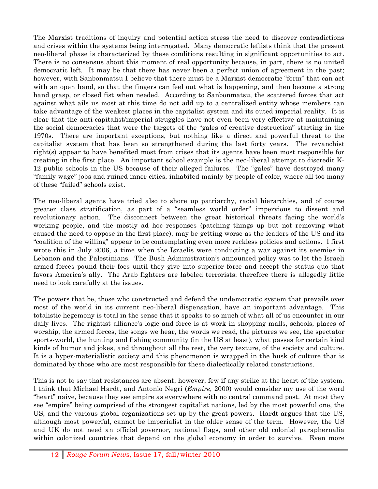The Marxist traditions of inquiry and potential action stress the need to discover contradictions and crises within the systems being interrogated. Many democratic leftists think that the present neo-liberal phase is characterized by these conditions resulting in significant opportunities to act. There is no consensus about this moment of real opportunity because, in part, there is no united democratic left. It may be that there has never been a perfect union of agreement in the past; however, with Sanbonmatsu I believe that there must be a Marxist democratic "form" that can act with an open hand, so that the fingers can feel out what is happening, and then become a strong hand grasp, or closed fist when needed. According to Sanbonmatsu, the scattered forces that act against what ails us most at this time do not add up to a centralized entity whose members can take advantage of the weakest places in the capitalist system and its outed imperial reality. It is clear that the anti-capitalist/imperial struggles have not even been very effective at maintaining the social democracies that were the targets of the "gales of creative destruction" starting in the 1970s. There are important exceptions, but nothing like a direct and powerful threat to the capitalist system that has been so strengthened during the last forty years. The revanchist right(s) appear to have benefited most from crises that its agents have been most responsible for creating in the first place. An important school example is the neo-liberal attempt to discredit K-12 public schools in the US because of their alleged failures. The "gales" have destroyed many "family wage" jobs and ruined inner cities, inhabited mainly by people of color, where all too many of these "failed" schools exist.

The neo-liberal agents have tried also to shore up patriarchy, racial hierarchies, and of course greater class stratification, as part of a "seamless world order" impervious to dissent and revolutionary action. The disconnect between the great historical threats facing the world's working people, and the mostly ad hoc responses (patching things up but not removing what caused the need to oppose in the first place), may be getting worse as the leaders of the US and its "coalition of the willing" appear to be contemplating even more reckless policies and actions. I first wrote this in July 2006, a time when the Israelis were conducting a war against its enemies in Lebanon and the Palestinians. The Bush Administration's announced policy was to let the Israeli armed forces pound their foes until they give into superior force and accept the status quo that favors America's ally. The Arab fighters are labeled terrorists: therefore there is allegedly little need to look carefully at the issues.

The powers that be, those who constructed and defend the undemocratic system that prevails over most of the world in its current neo-liberal dispensation, have an important advantage. This totalistic hegemony is total in the sense that it speaks to so much of what all of us encounter in our daily lives. The rightist alliance's logic and force is at work in shopping malls, schools, places of worship, the armed forces, the songs we hear, the words we read, the pictures we see, the spectator sports-world, the hunting and fishing community (in the US at least), what passes for certain kind kinds of humor and jokes, and throughout all the rest, the very texture, of the society and culture. It is a hyper-materialistic society and this phenomenon is wrapped in the husk of culture that is dominated by those who are most responsible for these dialectically related constructions.

This is not to say that resistances are absent; however, few if any strike at the heart of the system. I think that Michael Hardt, and Antonio Negri (*Empire*, 2000) would consider my use of the word "heart" naive, because they see empire as everywhere with no central command post. At most they see "empire" being comprised of the strongest capitalist nations, led by the most powerful one, the US, and the various global organizations set up by the great powers. Hardt argues that the US, although most powerful, cannot be imperialist in the older sense of the term. However, the US and UK do not need an official governor, national flags, and other old colonial paraphernalia within colonized countries that depend on the global economy in order to survive. Even more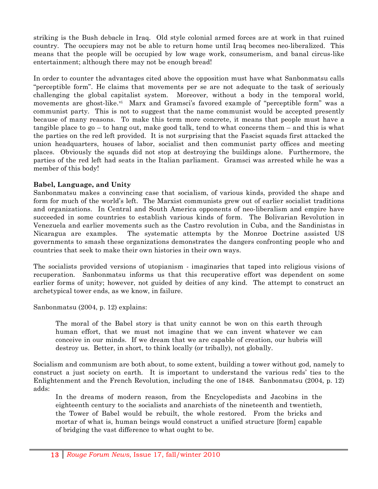striking is the Bush debacle in Iraq. Old style colonial armed forces are at work in that ruined country. The occupiers may not be able to return home until Iraq becomes neo-liberalized. This means that the people will be occupied by low wage work, consumerism, and banal circus-like entertainment; although there may not be enough bread!

In order to counter the advantages cited above the opposition must have what Sanbonmatsu calls "perceptible form". He claims that movements per se are not adequate to the task of seriously challenging the global capitalist system. Moreover, without a body in the temporal world, movements are ghost-like.<sup>vi</sup> Marx and Gramsci's favored example of "perceptible form" was a communist party. This is not to suggest that the name communist would be accepted presently because of many reasons. To make this term more concrete, it means that people must have a tangible place to go – to hang out, make good talk, tend to what concerns them – and this is what the parties on the red left provided. It is not surprising that the Fascist squads first attacked the union headquarters, houses of labor, socialist and then communist party offices and meeting places. Obviously the squads did not stop at destroying the buildings alone. Furthermore, the parties of the red left had seats in the Italian parliament. Gramsci was arrested while he was a member of this body!

### **Babel, Language, and Unity**

Sanbonmatsu makes a convincing case that socialism, of various kinds, provided the shape and form for much of the world's left. The Marxist communists grew out of earlier socialist traditions and organizations. In Central and South America opponents of neo-liberalism and empire have succeeded in some countries to establish various kinds of form. The Bolivarian Revolution in Venezuela and earlier movements such as the Castro revolution in Cuba, and the Sandinistas in Nicaragua are examples. The systematic attempts by the Monroe Doctrine assisted US governments to smash these organizations demonstrates the dangers confronting people who and countries that seek to make their own histories in their own ways.

The socialists provided versions of utopianism - imaginaries that taped into religious visions of recuperation. Sanbonmatsu informs us that this recuperative effort was dependent on some earlier forms of unity; however, not guided by deities of any kind. The attempt to construct an archetypical tower ends, as we know, in failure.

Sanbonmatsu (2004, p. 12) explains:

The moral of the Babel story is that unity cannot be won on this earth through human effort, that we must not imagine that we can invent whatever we can conceive in our minds. If we dream that we are capable of creation, our hubris will destroy us. Better, in short, to think locally (or tribally), not globally.

Socialism and communism are both about, to some extent, building a tower without god, namely to construct a just society on earth. It is important to understand the various reds' ties to the Enlightenment and the French Revolution, including the one of 1848. Sanbonmatsu (2004, p. 12) adds:

In the dreams of modern reason, from the Encyclopedists and Jacobins in the eighteenth century to the socialists and anarchists of the nineteenth and twentieth, the Tower of Babel would be rebuilt, the whole restored. From the bricks and mortar of what is, human beings would construct a unified structure [form] capable of bridging the vast difference to what ought to be.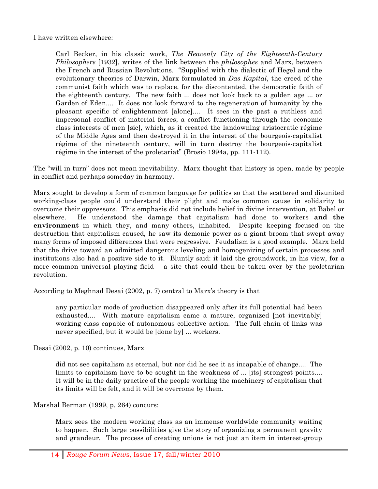I have written elsewhere:

Carl Becker, in his classic work, *The Heavenly City of the Eighteenth-Century Philosophers* [1932], writes of the link between the *philosophes* and Marx, between the French and Russian Revolutions. "Supplied with the dialectic of Hegel and the evolutionary theories of Darwin, Marx formulated in *Das Kapital*, the creed of the communist faith which was to replace, for the discontented, the democratic faith of the eighteenth century. The new faith ... does not look back to a golden age ... or Garden of Eden.... It does not look forward to the regeneration of humanity by the pleasant specific of enlightenment [alone].... It sees in the past a ruthless and impersonal conflict of material forces; a conflict functioning through the economic class interests of men [sic], which, as it created the landowning aristocratic régime of the Middle Ages and then destroyed it in the interest of the bourgeois-capitalist régime of the nineteenth century, will in turn destroy the bourgeois-capitalist régime in the interest of the proletariat" (Brosio 1994a, pp. 111-112).

The "will in turn" does not mean inevitability. Marx thought that history is open, made by people in conflict and perhaps someday in harmony.

Marx sought to develop a form of common language for politics so that the scattered and disunited working-class people could understand their plight and make common cause in solidarity to overcome their oppressors. This emphasis did not include belief in divine intervention, at Babel or elsewhere. He understood the damage that capitalism had done to workers **and the environment** in which they, and many others, inhabited. Despite keeping focused on the destruction that capitalism caused, he saw its demonic power as a giant broom that swept away many forms of imposed differences that were regressive. Feudalism is a good example. Marx held that the drive toward an admitted dangerous leveling and homogenizing of certain processes and institutions also had a positive side to it. Bluntly said: it laid the groundwork, in his view, for a more common universal playing field  $-$  a site that could then be taken over by the proletarian revolution.

According to Meghnad Desai (2002, p. 7) central to Marx's theory is that

any particular mode of production disappeared only after its full potential had been exhausted.... With mature capitalism came a mature, organized [not inevitably] working class capable of autonomous collective action. The full chain of links was never specified, but it would be [done by] ... workers.

Desai (2002, p. 10) continues, Marx

did not see capitalism as eternal, but nor did he see it as incapable of change.... The limits to capitalism have to be sought in the weakness of ... [its] strongest points.... It will be in the daily practice of the people working the machinery of capitalism that its limits will be felt, and it will be overcome by them.

Marshal Berman (1999, p. 264) concurs:

Marx sees the modern working class as an immense worldwide community waiting to happen. Such large possibilities give the story of organizing a permanent gravity and grandeur. The process of creating unions is not just an item in interest-group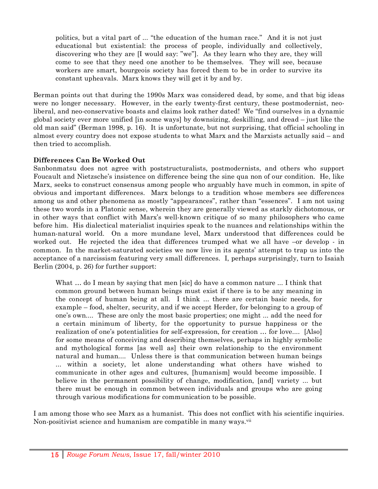politics, but a vital part of ... "the education of the human race." And it is not just educational but existential: the process of people, individually and collectively, discovering who they are [I would say: "we"]. As they learn who they are, they will come to see that they need one another to be themselves. They will see, because workers are smart, bourgeois society has forced them to be in order to survive its constant upheavals. Marx knows they will get it by and by.

Berman points out that during the 1990s Marx was considered dead, by some, and that big ideas were no longer necessary. However, in the early twenty-first century, these postmodernist, neoliberal, and neo-conservative boasts and claims look rather dated! We "find ourselves in a dynamic global society ever more unified [in some ways] by downsizing, deskilling, and dread – just like the old man said" (Berman 1998, p. 16). It is unfortunate, but not surprising, that official schooling in almost every country does not expose students to what Marx and the Marxists actually said – and then tried to accomplish.

### **Differences Can Be Worked Out**

Sanbonmatsu does not agree with poststructuralists, postmodernists, and others who support Foucault and Nietzsche's insistence on difference being the sine qua non of our condition. He, like Marx, seeks to construct consensus among people who arguably have much in common, in spite of obvious and important differences. Marx belongs to a tradition whose members see differences among us and other phenomena as mostly "appearances", rather than "essences". I am not using these two words in a Platonic sense, wherein they are generally viewed as starkly dichotomous, or in other ways that conflict with Marx's well-known critique of so many philosophers who came before him. His dialectical materialist inquiries speak to the nuances and relationships within the human-natural world. On a more mundane level, Marx understood that differences could be worked out. He rejected the idea that differences trumped what we all have –or develop - in common. In the market-saturated societies we now live in its agents' attempt to trap us into the acceptance of a narcissism featuring very small differences. I, perhaps surprisingly, turn to Isaiah Berlin (2004, p. 26) for further support:

What ... do I mean by saying that men [sic] do have a common nature ... I think that common ground between human beings must exist if there is to be any meaning in the concept of human being at all. I think ... there are certain basic needs, for example – food, shelter, security, and if we accept Herder, for belonging to a group of one's own.... These are only the most basic properties; one might ... add the need for a certain minimum of liberty, for the opportunity to pursue happiness or the realization of one's potentialities for self-expression, for creation … for love.... [Also] for some means of conceiving and describing themselves, perhaps in highly symbolic and mythological forms [as well as] their own relationship to the environment natural and human.... Unless there is that communication between human beings ... within a society, let alone understanding what others have wished to communicate in other ages and cultures, [humanism] would become impossible. I believe in the permanent possibility of change, modification, [and] variety ... but there must be enough in common between individuals and groups who are going through various modifications for communication to be possible.

I am among those who see Marx as a humanist. This does not conflict with his scientific inquiries. Non-positivist science and humanism are compatible in many ways.<sup>vii</sup>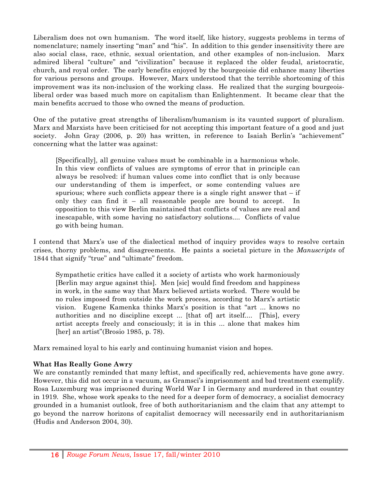Liberalism does not own humanism. The word itself, like history, suggests problems in terms of nomenclature; namely inserting "man" and "his". In addition to this gender insensitivity there are also social class, race, ethnic, sexual orientation, and other examples of non-inclusion. Marx admired liberal "culture" and "civilization" because it replaced the older feudal, aristocratic, church, and royal order. The early benefits enjoyed by the bourgeoisie did enhance many liberties for various persons and groups. However, Marx understood that the terrible shortcoming of this improvement was its non-inclusion of the working class. He realized that the surging bourgeoisliberal order was based much more on capitalism than Enlightenment. It became clear that the main benefits accrued to those who owned the means of production.

One of the putative great strengths of liberalism/humanism is its vaunted support of pluralism. Marx and Marxists have been criticised for not accepting this important feature of a good and just society. John Gray (2006, p. 20) has written, in reference to Isaiah Berlin's "achievement" concerning what the latter was against:

[Specifically], all genuine values must be combinable in a harmonious whole. In this view conflicts of values are symptoms of error that in principle can always be resolved: if human values come into conflict that is only because our understanding of them is imperfect, or some contending values are spurious; where such conflicts appear there is a single right answer that  $-$  if only they can find it – all reasonable people are bound to accept. In opposition to this view Berlin maintained that conflicts of values are real and inescapable, with some having no satisfactory solutions.... Conflicts of value go with being human.

I contend that Marx's use of the dialectical method of inquiry provides ways to resolve certain crises, thorny problems, and disagreements. He paints a societal picture in the *Manuscripts* of 1844 that signify "true" and "ultimate" freedom.

Sympathetic critics have called it a society of artists who work harmoniously [Berlin may argue against this]. Men [sic] would find freedom and happiness in work, in the same way that Marx believed artists worked. There would be no rules imposed from outside the work process, according to Marx's artistic vision. Eugene Kamenka thinks Marx's position is that "art ... knows no authorities and no discipline except ... [that of] art itself.... [This], every artist accepts freely and consciously; it is in this ... alone that makes him [her] an artist"(Brosio 1985, p. 78).

Marx remained loyal to his early and continuing humanist vision and hopes.

### **What Has Really Gone Awry**

We are constantly reminded that many leftist, and specifically red, achievements have gone awry. However, this did not occur in a vacuum, as Gramsci's imprisonment and bad treatment exemplify. Rosa Luxemburg was imprisoned during World War I in Germany and murdered in that country in 1919. She, whose work speaks to the need for a deeper form of democracy, a socialist democracy grounded in a humanist outlook, free of both authoritarianism and the claim that any attempt to go beyond the narrow horizons of capitalist democracy will necessarily end in authoritarianism (Hudis and Anderson 2004, 30).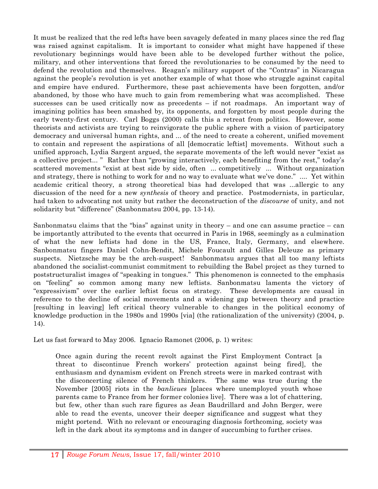It must be realized that the red lefts have been savagely defeated in many places since the red flag was raised against capitalism. It is important to consider what might have happened if these revolutionary beginnings would have been able to be developed further without the police, military, and other interventions that forced the revolutionaries to be consumed by the need to defend the revolution and themselves. Reagan's military support of the "Contras" in Nicaragua against the people's revolution is yet another example of what those who struggle against capital and empire have endured. Furthermore, these past achievements have been forgotten, and/or abandoned, by those who have much to gain from remembering what was accomplished. These successes can be used critically now as precedents – if not roadmaps. An important way of imagining politics has been smashed by, its opponents, and forgotten by most people during the early twenty-first century. Carl Boggs (2000) calls this a retreat from politics. However, some theorists and activists are trying to reinvigorate the public sphere with a vision of participatory democracy and universal human rights, and ... of the need to create a coherent, unified movement to contain and represent the aspirations of all [democratic leftist] movements. Without such a unified approach, Lydia Sargent argued, the separate movements of the left would never "exist as a collective project... " Rather than "growing interactively, each benefiting from the rest," today's scattered movements "exist at best side by side, often ... competitively ... Without organization and strategy, there is nothing to work for and no way to evaluate what we've done." .... Yet within academic critical theory, a strong theoretical bias had developed that was ...allergic to any discussion of the need for a new *synthesis* of theory and practice. Postmodernists, in particular, had taken to advocating not unity but rather the deconstruction of the *discourse* of unity, and not solidarity but "difference" (Sanbonmatsu 2004, pp. 13-14).

Sanbonmatsu claims that the "bias" against unity in theory  $-$  and one can assume practice  $-$  can be importantly attributed to the events that occurred in Paris in 1968, seemingly as a culmination of what the new leftists had done in the US, France, Italy, Germany, and elsewhere. Sanbonmatsu fingers Daniel Cohn-Bendit, Michele Foucault and Gilles Deleuze as primary suspects. Nietzsche may be the arch-suspect! Sanbonmatsu argues that all too many leftists abandoned the socialist-communist commitment to rebuilding the Babel project as they turned to poststructuralist images of "speaking in tongues." This phenomenon is connected to the emphasis on "feeling" so common among many new leftists. Sanbonmatsu laments the victory of "expressivism" over the earlier leftist focus on strategy. These developments are causal in reference to the decline of social movements and a widening gap between theory and practice [resulting in leaving] left critical theory vulnerable to changes in the political economy of knowledge production in the 1980s and 1990s [via] (the rationalization of the university) (2004, p. 14).

Let us fast forward to May 2006. Ignacio Ramonet (2006, p. 1) writes:

Once again during the recent revolt against the First Employment Contract [a threat to discontinue French workers' protection against being fired], the enthusiasm and dynamism evident on French streets were in marked contrast with the disconcerting silence of French thinkers. The same was true during the November [2005] riots in the *banlieues* [places where unemployed youth whose parents came to France from her former colonies live]. There was a lot of chattering, but few, other than such rare figures as Jean Baudrillard and John Berger, were able to read the events, uncover their deeper significance and suggest what they might portend. With no relevant or encouraging diagnosis forthcoming, society was left in the dark about its symptoms and in danger of succumbing to further crises.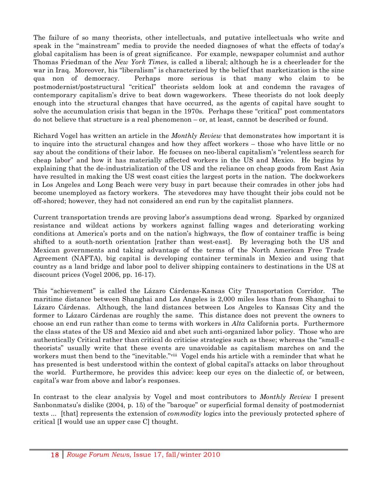The failure of so many theorists, other intellectuals, and putative intellectuals who write and speak in the "mainstream" media to provide the needed diagnoses of what the effects of today's global capitalism has been is of great significance. For example, newspaper columnist and author Thomas Friedman of the *New York Times*, is called a liberal; although he is a cheerleader for the war in Iraq. Moreover, his "liberalism" is characterized by the belief that marketization is the sine qua non of democracy. Perhaps more serious is that many who claim to be postmodernist/poststructural "critical" theorists seldom look at and condemn the ravages of contemporary capitalism's drive to beat down wageworkers. These theorists do not look deeply enough into the structural changes that have occurred, as the agents of capital have sought to solve the accumulation crisis that began in the 1970s. Perhaps these "critical" post commentators do not believe that structure is a real phenomenon – or, at least, cannot be described or found.

Richard Vogel has written an article in the *Monthly Review* that demonstrates how important it is to inquire into the structural changes and how they affect workers – those who have little or no say about the conditions of their labor. He focuses on neo-liberal capitalism's "relentless search for cheap labor" and how it has materially affected workers in the US and Mexico. He begins by explaining that the de-industrialization of the US and the reliance on cheap goods from East Asia have resulted in making the US west coast cities the largest ports in the nation. The dockworkers in Los Angeles and Long Beach were very busy in part because their comrades in other jobs had become unemployed as factory workers. The stevedores may have thought their jobs could not be off-shored; however, they had not considered an end run by the capitalist planners.

Current transportation trends are proving labor's assumptions dead wrong. Sparked by organized resistance and wildcat actions by workers against falling wages and deteriorating working conditions at America's ports and on the nation's highways, the flow of container traffic is being shifted to a south-north orientation [rather than west-east]. By leveraging both the US and Mexican governments and taking advantage of the terms of the North American Free Trade Agreement (NAFTA), big capital is developing container terminals in Mexico and using that country as a land bridge and labor pool to deliver shipping containers to destinations in the US at discount prices (Vogel 2006, pp. 16-17).

This "achievement" is called the Lázaro Cárdenas-Kansas City Transportation Corridor. The maritime distance between Shanghai and Los Angeles is 2,000 miles less than from Shanghai to Lázaro Cárdenas. Although, the land distances between Los Angeles to Kansas City and the former to Lázaro Cárdenas are roughly the same. This distance does not prevent the owners to choose an end run rather than come to terms with workers in *Alta* California ports. Furthermore the class states of the US and Mexico aid and abet such anti-organized labor policy. Those who are authentically Critical rather than critical do criticise strategies such as these; whereas the "small-c theorists" usually write that these events are unavoidable as capitalism marches on and the workers must then bend to the "inevitable."<sup>viii</sup> Vogel ends his article with a reminder that what he has presented is best understood within the context of global capital's attacks on labor throughout the world. Furthermore, he provides this advice: keep our eyes on the dialectic of, or between, capital's war from above and labor's responses.

In contrast to the clear analysis by Vogel and most contributors to *Monthly Review* I present Sanbonmatsu's dislike (2004, p. 15) of the "baroque" or superficial formal density of postmodernist texts ... [that] represents the extension of *commodity* logics into the previously protected sphere of critical [I would use an upper case C] thought.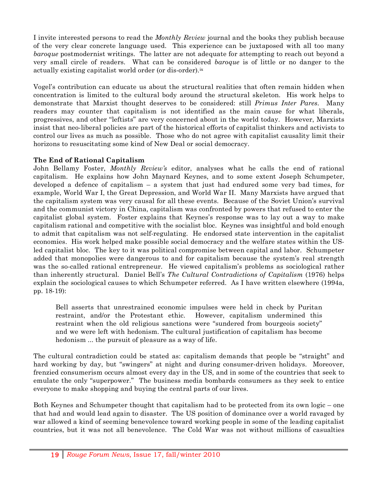I invite interested persons to read the *Monthly Review* journal and the books they publish because of the very clear concrete language used. This experience can be juxtaposed with all too many *baroque* postmodernist writings. The latter are not adequate for attempting to reach out beyond a very small circle of readers. What can be considered *baroque* is of little or no danger to the actually existing capitalist world order (or dis-order).<sup>ix</sup>

Vogel's contribution can educate us about the structural realities that often remain hidden when concentration is limited to the cultural body around the structural skeleton. His work helps to demonstrate that Marxist thought deserves to be considered: still *Primus Inter Pares*. Many readers may counter that capitalism is not identified as the main cause for what liberals, progressives, and other "leftists" are very concerned about in the world today. However, Marxists insist that neo-liberal policies are part of the historical efforts of capitalist thinkers and activists to control our lives as much as possible. Those who do not agree with capitalist causality limit their horizons to resuscitating some kind of New Deal or social democracy.

### **The End of Rational Capitalism**

John Bellamy Foster, *Monthly Review's* editor, analyses what he calls the end of rational capitalism. He explains how John Maynard Keynes, and to some extent Joseph Schumpeter, developed a defence of capitalism – a system that just had endured some very bad times, for example, World War I, the Great Depression, and World War II. Many Marxists have argued that the capitalism system was very causal for all these events. Because of the Soviet Union's survival and the communist victory in China, capitalism was confronted by powers that refused to enter the capitalist global system. Foster explains that Keynes's response was to lay out a way to make capitalism rational and competitive with the socialist bloc. Keynes was insightful and bold enough to admit that capitalism was not self-regulating. He endorsed state intervention in the capitalist economies. His work helped make possible social democracy and the welfare states within the USled capitalist bloc. The key to it was political compromise between capital and labor. Schumpeter added that monopolies were dangerous to and for capitalism because the system's real strength was the so-called rational entrepreneur. He viewed capitalism's problems as sociological rather than inherently structural. Daniel Bell's *The Cultural Contradictions of Capitalism* (1976) helps explain the sociological causes to which Schumpeter referred. As I have written elsewhere (1994a, pp. 18-19):

Bell asserts that unrestrained economic impulses were held in check by Puritan restraint, and/or the Protestant ethic. However, capitalism undermined this restraint when the old religious sanctions were "sundered from bourgeois society" and we were left with hedonism. The cultural justification of capitalism has become hedonism ... the pursuit of pleasure as a way of life.

The cultural contradiction could be stated as: capitalism demands that people be "straight" and hard working by day, but "swingers" at night and during consumer-driven holidays. Moreover, frenzied consumerism occurs almost every day in the US, and in some of the countries that seek to emulate the only "superpower." The business media bombards consumers as they seek to entice everyone to make shopping and buying the central parts of our lives.

Both Keynes and Schumpeter thought that capitalism had to be protected from its own logic – one that had and would lead again to disaster. The US position of dominance over a world ravaged by war allowed a kind of seeming benevolence toward working people in some of the leading capitalist countries, but it was not all benevolence. The Cold War was not without millions of casualties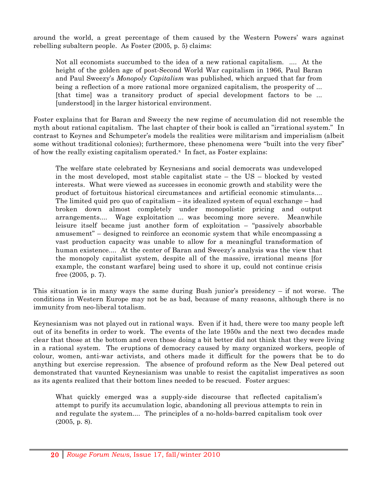around the world, a great percentage of them caused by the Western Powers' wars against rebelling subaltern people. As Foster (2005, p. 5) claims:

Not all economists succumbed to the idea of a new rational capitalism. .... At the height of the golden age of post-Second World War capitalism in 1966, Paul Baran and Paul Sweezy's *Monopoly Capitalism* was published, which argued that far from being a reflection of a more rational more organized capitalism, the prosperity of ... [that time] was a transitory product of special development factors to be ... [understood] in the larger historical environment.

Foster explains that for Baran and Sweezy the new regime of accumulation did not resemble the myth about rational capitalism. The last chapter of their book is called an "irrational system." In contrast to Keynes and Schumpeter's models the realities were militarism and imperialism (albeit some without traditional colonies); furthermore, these phenomena were "built into the very fiber" of how the really existing capitalism operated. $x$  In fact, as Foster explains:

The welfare state celebrated by Keynesians and social democrats was undeveloped in the most developed, most stable capitalist state – the US – blocked by vested interests. What were viewed as successes in economic growth and stability were the product of fortuitous historical circumstances and artificial economic stimulants.... The limited quid pro quo of capitalism – its idealized system of equal exchange – had broken down almost completely under monopolistic pricing and output arrangements.... Wage exploitation ... was becoming more severe. Meanwhile leisure itself became just another form of exploitation – "passively absorbable amusement" – designed to reinforce an economic system that while encompassing a vast production capacity was unable to allow for a meaningful transformation of human existence.... At the center of Baran and Sweezy's analysis was the view that the monopoly capitalist system, despite all of the massive, irrational means [for example, the constant warfare] being used to shore it up, could not continue crisis free (2005, p. 7).

This situation is in many ways the same during Bush junior's presidency – if not worse. The conditions in Western Europe may not be as bad, because of many reasons, although there is no immunity from neo-liberal totalism.

Keynesianism was not played out in rational ways. Even if it had, there were too many people left out of its benefits in order to work. The events of the late 1950s and the next two decades made clear that those at the bottom and even those doing a bit better did not think that they were living in a rational system. The eruptions of democracy caused by many organized workers, people of colour, women, anti-war activists, and others made it difficult for the powers that be to do anything but exercise repression. The absence of profound reform as the New Deal petered out demonstrated that vaunted Keynesianism was unable to resist the capitalist imperatives as soon as its agents realized that their bottom lines needed to be rescued. Foster argues:

What quickly emerged was a supply-side discourse that reflected capitalism's attempt to purify its accumulation logic, abandoning all previous attempts to rein in and regulate the system.... The principles of a no-holds-barred capitalism took over (2005, p. 8).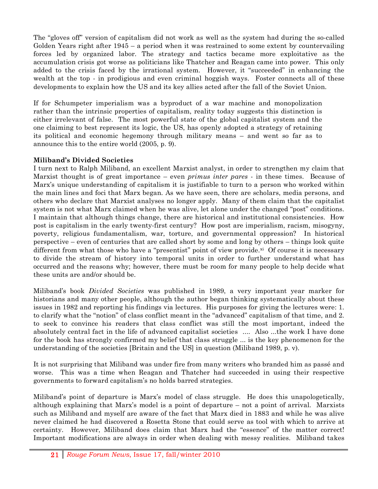The "gloves off" version of capitalism did not work as well as the system had during the so-called Golden Years right after 1945 – a period when it was restrained to some extent by countervailing forces led by organized labor. The strategy and tactics became more exploitative as the accumulation crisis got worse as politicians like Thatcher and Reagan came into power. This only added to the crisis faced by the irrational system. However, it "succeeded" in enhancing the wealth at the top - in prodigious and even criminal hoggish ways. Foster connects all of these developments to explain how the US and its key allies acted after the fall of the Soviet Union.

If for Schumpeter imperialism was a byproduct of a war machine and monopolization rather than the intrinsic properties of capitalism, reality today suggests this distinction is either irrelevant of false. The most powerful state of the global capitalist system and the one claiming to best represent its logic, the US, has openly adopted a strategy of retaining its political and economic hegemony through military means – and went so far as to announce this to the entire world (2005, p. 9).

### **Miliband's Divided Societies**

I turn next to Ralph Miliband, an excellent Marxist analyst, in order to strengthen my claim that Marxist thought is of great importance – even *primus inter pares* - in these times. Because of Marx's unique understanding of capitalism it is justifiable to turn to a person who worked within the main lines and foci that Marx began. As we have seen, there are scholars, media persons, and others who declare that Marxist analyses no longer apply. Many of them claim that the capitalist system is not what Marx claimed when he was alive, let alone under the changed "post" conditions. I maintain that although things change, there are historical and institutional consistencies. How post is capitalism in the early twenty-first century? How post are imperialism, racism, misogyny, poverty, religious fundamentalism, war, torture, and governmental oppression? In historical perspective – even of centuries that are called short by some and long by others – things look quite different from what those who have a "presentist" point of view provide. $\mathbf{x}^i$  Of course it is necessary to divide the stream of history into temporal units in order to further understand what has occurred and the reasons why; however, there must be room for many people to help decide what these units are and/or should be.

Miliband's book *Divided Societies* was published in 1989, a very important year marker for historians and many other people, although the author began thinking systematically about these issues in 1982 and reporting his findings via lectures. His purposes for giving the lectures were: 1. to clarify what the "notion" of class conflict meant in the "advanced" capitalism of that time, and 2. to seek to convince his readers that class conflict was still the most important, indeed the absolutely central fact in the life of advanced capitalist societies .... Also ...the work I have done for the book has strongly confirmed my belief that class struggle ... is the key phenomenon for the understanding of the societies [Britain and the US] in question (Miliband 1989, p. v).

It is not surprising that Miliband was under fire from many writers who branded him as passé and worse. This was a time when Reagan and Thatcher had succeeded in using their respective governments to forward capitalism's no holds barred strategies.

Miliband's point of departure is Marx's model of class struggle. He does this unapologetically, although explaining that Marx's model is a point of departure – not a point of arrival. Marxists such as Miliband and myself are aware of the fact that Marx died in 1883 and while he was alive never claimed he had discovered a Rosetta Stone that could serve as tool with which to arrive at certainty. However, Miliband does claim that Marx had the "essence" of the matter correct! Important modifications are always in order when dealing with messy realities. Miliband takes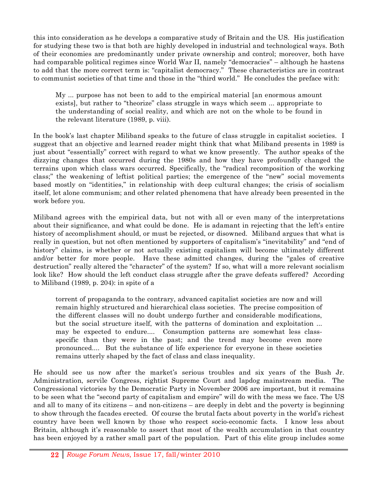this into consideration as he develops a comparative study of Britain and the US. His justification for studying these two is that both are highly developed in industrial and technological ways. Both of their economies are predominantly under private ownership and control; moreover, both have had comparable political regimes since World War II, namely "democracies" – although he hastens to add that the more correct term is: "capitalist democracy." These characteristics are in contrast to communist societies of that time and those in the "third world." He concludes the preface with:

My ... purpose has not been to add to the empirical material [an enormous amount exists], but rather to "theorize" class struggle in ways which seem ... appropriate to the understanding of social reality, and which are not on the whole to be found in the relevant literature (1989, p. viii).

In the book's last chapter Miliband speaks to the future of class struggle in capitalist societies. I suggest that an objective and learned reader might think that what Miliband presents in 1989 is just about "essentially" correct with regard to what we know presently. The author speaks of the dizzying changes that occurred during the 1980s and how they have profoundly changed the terrains upon which class wars occurred. Specifically, the "radical recomposition of the working class;" the weakening of leftist political parties; the emergence of the "new" social movements based mostly on "identities," in relationship with deep cultural changes; the crisis of socialism itself, let alone communism; and other related phenomena that have already been presented in the work before you.

Miliband agrees with the empirical data, but not with all or even many of the interpretations about their significance, and what could be done. He is adamant in rejecting that the left's entire history of accomplishment should, or must be rejected, or disowned. Miliband argues that what is really in question, but not often mentioned by supporters of capitalism's "inevitability" and "end of history" claims, is whether or not actually existing capitalism will become ultimately different and/or better for more people. Have these admitted changes, during the "gales of creative destruction" really altered the "character" of the system? If so, what will a more relevant socialism look like? How should the left conduct class struggle after the grave defeats suffered? According to Miliband (1989, p. 204): in spite of a

torrent of propaganda to the contrary, advanced capitalist societies are now and will remain highly structured and hierarchical class societies. The precise composition of the different classes will no doubt undergo further and considerable modifications, but the social structure itself, with the patterns of domination and exploitation ... may be expected to endure.... Consumption patterns are somewhat less classspecific than they were in the past; and the trend may become even more pronounced.... But the substance of life experience for everyone in these societies remains utterly shaped by the fact of class and class inequality.

He should see us now after the market's serious troubles and six years of the Bush Jr. Administration, servile Congress, rightist Supreme Court and lapdog mainstream media. The Congressional victories by the Democratic Party in November 2006 are important, but it remains to be seen what the "second party of capitalism and empire" will do with the mess we face. The US and all to many of its citizens – and non-citizens – are deeply in debt and the poverty is beginning to show through the facades erected. Of course the brutal facts about poverty in the world's richest country have been well known by those who respect socio-economic facts. I know less about Britain, although it's reasonable to assert that most of the wealth accumulation in that country has been enjoyed by a rather small part of the population. Part of this elite group includes some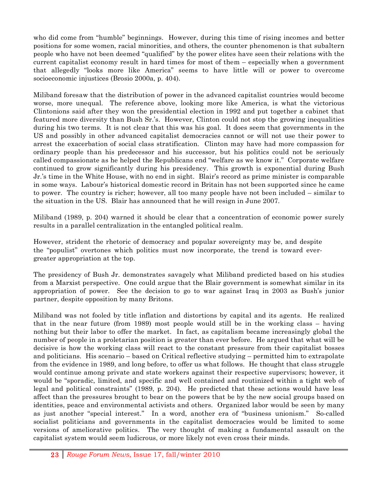who did come from "humble" beginnings. However, during this time of rising incomes and better positions for some women, racial minorities, and others, the counter phenomenon is that subaltern people who have not been deemed "qualified" by the power elites have seen their relations with the current capitalist economy result in hard times for most of them – especially when a government that allegedly "looks more like America" seems to have little will or power to overcome socioeconomic injustices (Brosio 2000a, p. 404).

Miliband foresaw that the distribution of power in the advanced capitalist countries would become worse, more unequal. The reference above, looking more like America, is what the victorious Clintonions said after they won the presidential election in 1992 and put together a cabinet that featured more diversity than Bush Sr.'s. However, Clinton could not stop the growing inequalities during his two terms. It is not clear that this was his goal. It does seem that governments in the US and possibly in other advanced capitalist democracies cannot or will not use their power to arrest the exacerbation of social class stratification. Clinton may have had more compassion for ordinary people than his predecessor and his successor, but his politics could not be seriously called compassionate as he helped the Republicans end "welfare as we know it." Corporate welfare continued to grow significantly during his presidency. This growth is exponential during Bush Jr.'s time in the White House, with no end in sight. Blair's record as prime minister is comparable in some ways. Labour's historical domestic record in Britain has not been supported since he came to power. The country is richer; however, all too many people have not been included – similar to the situation in the US. Blair has announced that he will resign in June 2007.

Miliband (1989, p. 204) warned it should be clear that a concentration of economic power surely results in a parallel centralization in the entangled political realm.

However, strident the rhetoric of democracy and popular sovereignty may be, and despite the "populist" overtones which politics must now incorporate, the trend is toward evergreater appropriation at the top.

The presidency of Bush Jr. demonstrates savagely what Miliband predicted based on his studies from a Marxist perspective. One could argue that the Blair government is somewhat similar in its appropriation of power. See the decision to go to war against Iraq in 2003 as Bush's junior partner, despite opposition by many Britons.

Miliband was not fooled by title inflation and distortions by capital and its agents. He realized that in the near future (from 1989) most people would still be in the working class – having nothing but their labor to offer the market. In fact, as capitalism became increasingly global the number of people in a proletarian position is greater than ever before. He argued that what will be decisive is how the working class will react to the constant pressure from their capitalist bosses and politicians. His scenario – based on Critical reflective studying – permitted him to extrapolate from the evidence in 1989, and long before, to offer us what follows. He thought that class struggle would continue among private and state workers against their respective supervisors; however, it would be "sporadic, limited, and specific and well contained and routinized within a tight web of legal and political constraints" (1989, p. 204). He predicted that these actions would have less affect than the pressures brought to bear on the powers that be by the new social groups based on identities, peace and environmental activists and others. Organized labor would be seen by many as just another "special interest." In a word, another era of "business unionism." So-called socialist politicians and governments in the capitalist democracies would be limited to some versions of ameliorative politics. The very thought of making a fundamental assault on the capitalist system would seem ludicrous, or more likely not even cross their minds.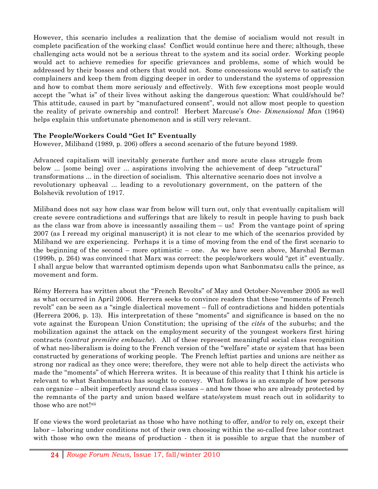However, this scenario includes a realization that the demise of socialism would not result in complete pacification of the working class! Conflict would continue here and there; although, these challenging acts would not be a serious threat to the system and its social order. Working people would act to achieve remedies for specific grievances and problems, some of which would be addressed by their bosses and others that would not. Some concessions would serve to satisfy the complainers and keep them from digging deeper in order to understand the systems of oppression and how to combat them more seriously and effectively. With few exceptions most people would accept the "what is" of their lives without asking the dangerous question: What could/should be? This attitude, caused in part by "manufactured consent", would not allow most people to question the reality of private ownership and control! Herbert Marcuse's *One*- *Dimensional Man* (1964) helps explain this unfortunate phenomenon and is still very relevant.

### **The People/Workers Could "Get It" Eventually**

However, Miliband (1989, p. 206) offers a second scenario of the future beyond 1989.

Advanced capitalism will inevitably generate further and more acute class struggle from below ... [some being] over ... aspirations involving the achievement of deep "structural" transformations ... in the direction of socialism. This alternative scenario does not involve a revolutionary upheaval ... leading to a revolutionary government, on the pattern of the Bolshevik revolution of 1917.

Miliband does not say how class war from below will turn out, only that eventually capitalism will create severe contradictions and sufferings that are likely to result in people having to push back as the class war from above is incessantly assailing them – us! From the vantage point of spring 2007 (as I reread my original manuscript) it is not clear to me which of the scenarios provided by Miliband we are experiencing. Perhaps it is a time of moving from the end of the first scenario to the beginning of the second – more optimistic – one. As we have seen above, Marshal Berman (1999b, p. 264) was convinced that Marx was correct: the people/workers would "get it" eventually. I shall argue below that warranted optimism depends upon what Sanbonmatsu calls the prince, as movement and form.

Rémy Herrera has written about the "French Revolts" of May and October-November 2005 as well as what occurred in April 2006. Herrera seeks to convince readers that these "moments of French revolt" can be seen as a "single dialectical movement – full of contradictions and hidden potentials (Herrera 2006, p. 13). His interpretation of these "moments" and significance is based on the no vote against the European Union Constitution; the uprising of the *cités* of the suburbs; and the mobilization against the attack on the employment security of the youngest workers first hiring contracts (*contrat première embauche*). All of these represent meaningful social class recognition of what neo-liberalism is doing to the French version of the "welfare" state or system that has been constructed by generations of working people. The French leftist parties and unions are neither as strong nor radical as they once were; therefore, they were not able to help direct the activists who made the "moments" of which Herrera writes. It is because of this reality that I think his article is relevant to what Sanbonmatsu has sought to convey. What follows is an example of how persons can organize – albeit imperfectly around class issues – and how those who are already protected by the remnants of the party and union based welfare state/system must reach out in solidarity to those who are not!<sup>xii</sup>

If one views the word proletariat as those who have nothing to offer, and/or to rely on, except their labor – laboring under conditions not of their own choosing within the so-called free labor contract with those who own the means of production - then it is possible to argue that the number of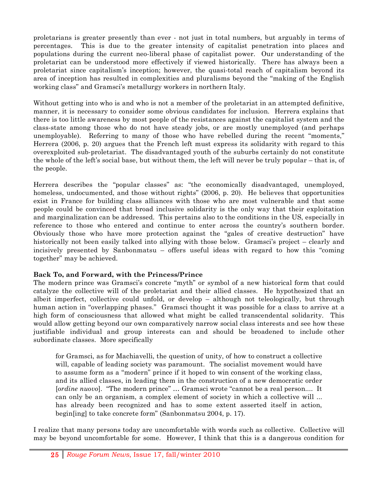proletarians is greater presently than ever - not just in total numbers, but arguably in terms of percentages. This is due to the greater intensity of capitalist penetration into places and populations during the current neo-liberal phase of capitalist power. Our understanding of the proletariat can be understood more effectively if viewed historically. There has always been a proletariat since capitalism's inception; however, the quasi-total reach of capitalism beyond its area of inception has resulted in complexities and pluralisms beyond the "making of the English working class" and Gramsci's metallurgy workers in northern Italy.

Without getting into who is and who is not a member of the proletariat in an attempted definitive, manner, it is necessary to consider some obvious candidates for inclusion. Herrera explains that there is too little awareness by most people of the resistances against the capitalist system and the class-state among those who do not have steady jobs, or are mostly unemployed (and perhaps unemployable). Referring to many of those who have rebelled during the recent "moments," Herrera (2006, p. 20) argues that the French left must express its solidarity with regard to this overexploited sub-proletariat. The disadvantaged youth of the suburbs certainly do not constitute the whole of the left's social base, but without them, the left will never be truly popular – that is, of the people.

Herrera describes the "popular classes" as: "the economically disadvantaged, unemployed, homeless, undocumented, and those without rights" (2006, p. 20). He believes that opportunities exist in France for building class alliances with those who are most vulnerable and that some people could be convinced that broad inclusive solidarity is the only way that their exploitation and marginalization can be addressed. This pertains also to the conditions in the US, especially in reference to those who entered and continue to enter across the country's southern border. Obviously those who have more protection against the "gales of creative destruction" have historically not been easily talked into allying with those below. Gramsci's project – clearly and incisively presented by Sanbonmatsu – offers useful ideas with regard to how this "coming together" may be achieved.

### **Back To, and Forward, with the Princess/Prince**

The modern prince was Gramsci's concrete "myth" or symbol of a new historical form that could catalyze the collective will of the proletariat and their allied classes. He hypothesized that an albeit imperfect, collective could unfold, or develop – although not teleologically, but through human action in "overlapping phases." Gramsci thought it was possible for a class to arrive at a high form of consciousness that allowed what might be called transcendental solidarity. This would allow getting beyond our own comparatively narrow social class interests and see how these justifiable individual and group interests can and should be broadened to include other subordinate classes. More specifically

for Gramsci, as for Machiavelli, the question of unity, of how to construct a collective will, capable of leading society was paramount. The socialist movement would have to assume form as a "modern" prince if it hoped to win consent of the working class, and its allied classes, in leading them in the construction of a new democratic order [*ordine nuovo*]. "The modern prince" … Gramsci wrote "cannot be a real person.... It can only be an organism, a complex element of society in which a collective will ... has already been recognized and has to some extent asserted itself in action, begin[ing] to take concrete form" (Sanbonmatsu 2004, p. 17).

I realize that many persons today are uncomfortable with words such as collective. Collective will may be beyond uncomfortable for some. However, I think that this is a dangerous condition for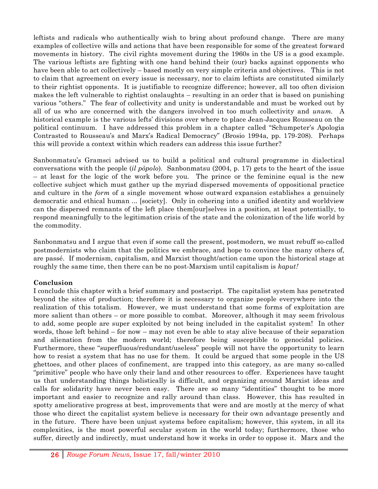leftists and radicals who authentically wish to bring about profound change. There are many examples of collective wills and actions that have been responsible for some of the greatest forward movements in history. The civil rights movement during the 1960s in the US is a good example. The various leftists are fighting with one hand behind their (our) backs against opponents who have been able to act collectively – based mostly on very simple criteria and objectives. This is not to claim that agreement on every issue is necessary, nor to claim leftists are constituted similarly to their rightist opponents. It is justifiable to recognize difference; however, all too often division makes the left vulnerable to rightist onslaughts – resulting in an order that is based on punishing various "others." The fear of collectivity and unity is understandable and must be worked out by all of us who are concerned with the dangers involved in too much collectivity and *unum.* A historical example is the various lefts' divisions over where to place Jean-Jacques Rousseau on the political continuum. I have addressed this problem in a chapter called "Schumpeter's Apologia Contrasted to Rousseau's and Marx's Radical Democracy" (Brosio 1994a, pp. 179-208). Perhaps this will provide a context within which readers can address this issue further?

Sanbonmatsu's Gramsci advised us to build a political and cultural programme in dialectical conversations with the people (*il pòpolo*). Sanbonmatsu (2004, p. 17) gets to the heart of the issue – at least for the logic of the work before you. The prince or the feminine equal is the new collective subject which must gather up the myriad dispersed movements of oppositional practice and culture in the *form* of a single movement whose outward expansion establishes a genuinely democratic and ethical human ... [society]. Only in cohering into a unified identity and worldview can the dispersed remnants of the left place them[our]selves in a position, at least potentially, to respond meaningfully to the legitimation crisis of the state and the colonization of the life world by the commodity.

Sanbonmatsu and I argue that even if some call the present, postmodern, we must rebuff so-called postmodernists who claim that the politics we embrace, and hope to convince the many others of, are passé. If modernism, capitalism, and Marxist thought/action came upon the historical stage at roughly the same time, then there can be no post-Marxism until capitalism is *kaput!*

### **Conclusion**

I conclude this chapter with a brief summary and postscript. The capitalist system has penetrated beyond the sites of production; therefore it is necessary to organize people everywhere into the realization of this totalism. However, we must understand that some forms of exploitation are more salient than others – or more possible to combat. Moreover, although it may seem frivolous to add, some people are super exploited by not being included in the capitalist system! In other words, those left behind – for now – may not even be able to stay alive because of their separation and alienation from the modern world; therefore being susceptible to genocidal policies. Furthermore, these "superfluous/redundant/useless" people will not have the opportunity to learn how to resist a system that has no use for them. It could be argued that some people in the US ghettoes, and other places of confinement, are trapped into this category, as are many so-called "primitive" people who have only their land and other resources to offer. Experiences have taught us that understanding things holistically is difficult, and organizing around Marxist ideas and calls for solidarity have never been easy. There are so many "identities" thought to be more important and easier to recognize and rally around than class. However, this has resulted in spotty ameliorative progress at best, improvements that were and are mostly at the mercy of what those who direct the capitalist system believe is necessary for their own advantage presently and in the future. There have been unjust systems before capitalism; however, this system, in all its complexities, is the most powerful secular system in the world today; furthermore, those who suffer, directly and indirectly, must understand how it works in order to oppose it. Marx and the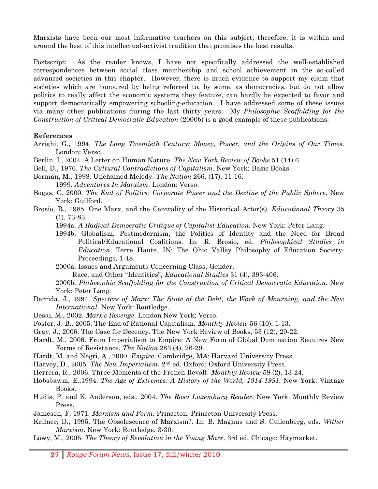Marxists have been our most informative teachers on this subject; therefore, it is within and around the best of this intellectual-activist tradition that promises the best results.

Postscript: As the reader knows, I have not specifically addressed the well-established correspondences between social class membership and school achievement in the so-called advanced societies in this chapter. However, there is much evidence to support my claim that societies which are honoured by being referred to, by some, as democracies, but do not allow politics to really affect the economic systems they feature, can hardly be expected to favor and support democratically empowering schooling-education. I have addressed some of these issues via many other publications during the last thirty years. My *Philosophic Scaffolding for the Construction of Critical Democratic Education* (2000b) is a good example of these publications.

#### **References**

- Arrighi, G., 1994. *The Long Twentieth Century: Money, Power, and the Origins of Our Times*. London: Verso.
- Berlin, I., 2004. A Letter on Human Nature. *The New York Review of Books* 51 (14) 6.
- Bell, D., 1976. *The Cultural Contradictions of Capitalism*. New York: Basic Books.
- Berman, M., 1998. Unchained Melody. *The Nation* 266, (17), 11-16. 1999. *Adventures In Marxism*. London: Verso.
- Boggs, C. 2000. *The End of Politics: Corporate Power and the Decline of the Public Sphere*. New York: Guilford.
- Brosio, R., 1985. One Marx, and the Centrality of the Historical Actor(s). *Educational Theory* 35 (1), 73-83.
	- 1994a. *A Radical Democratic Critique of Capitalist Education*. New York: Peter Lang.
	- 1994b. Globalism, Postmodernism, the Politics of Identity and the Need for Broad Political/Educational Coalitions. In: R. Brosio, ed. *Philosophical Studies in Education*. Terre Haute, IN: The Ohio Valley Philosophy of Education Society-Proceedings, 1-48.
	- 2000a. Issues and Arguments Concerning Class, Gender,

Race, and Other "Identities", *Educational Studies* 31 (4), 393-406.

- 2000b. *Philosophic Scaffolding for the Construction of Critical Democratic Education.* New York: Peter Lang.
- Derrida, J., 1994. *Specters of Marx: The State of the Debt, the Work of Mourning, and the New International.* New York: Routledge.
- Desai, M., 2002. *Marx's Revenge*. London New York: Verso.
- Foster, J. B., 2005. The End of Rational Capitalism. *Monthly Review* 56 (10), 1-13.
- Gray, J., 2006. The Case for Decency. The New York Review of Books, 53 (12), 20-22.
- Hardt, M., 2006. From Imperialism to Empire: A New Form of Global Domination Requires New Forms of Resistance. *The Nation* 283 (4), 26-29.
- Hardt, M. and Negri, A., 2000. *Empire.* Cambridge, MA: Harvard University Press.
- Harvey, D., 2005. *The New Imperialism.* 2nd ed. Oxford: Oxford University Press.
- Herrera, R., 2006. Three Moments of the French Revolt. *Monthly Review* 58 (2), 13-24.
- Hobsbawm, E.,1994. *The Age of Extremes: A History of the World, 1914-1991*. New York: Vintage Books.
- Hudis, P. and K. Anderson, eds., 2004. *The Rosa Luxemburg Reader*. New York: Monthly Review Press.
- Jameson, F. 1971. *Marxism and Form.* Princeton: Princeton University Press.
- Kellner, D., 1995. The Obsolescence of Marxism?. In: B. Magnus and S. Cullenberg, eds. *Wither Marxism*. New York: Routledge, 3-30.
- Löwy, M., 2005. *The Theory of Revolution in the Young Marx*. 3rd ed. Chicago: Haymarket.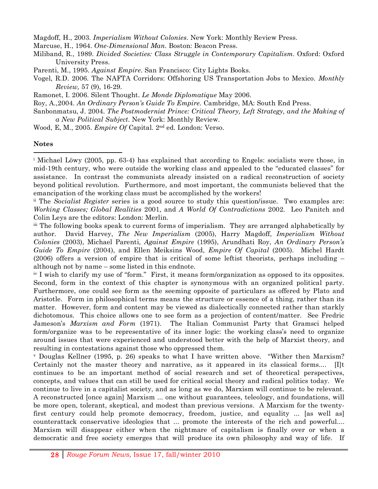Magdoff, H., 2003. *Imperialism Without Colonies*. New York: Monthly Review Press.

- Marcuse, H., 1964. *One-Dimensional Man*. Boston: Beacon Press.
- Miliband, R., 1989. *Divided Societies: Class Struggle in Contemporary Capitalism*. Oxford: Oxford University Press.
- Parenti, M., 1995. *Against Empire*. San Francisco: City Lights Books.
- Vogel, R.D. 2006. The NAFTA Corridors: Offshoring US Transportation Jobs to Mexico. *Monthly Review,* 57 (9), 16-29.
- Ramonet, I. 2006. Silent Thought. *Le Monde Diplomatique* May 2006.

Roy, A.,2004. *An Ordinary Person's Guide To Empire.* Cambridge, MA: South End Press.

- Sanbonmatsu, J. 2004. *The Postmodernist Prince: Critical Theory, Left Strategy, and the Making of a New Political Subject*. New York: Monthly Review.
- Wood, E, M., 2005. *Empire Of* Capital. 2nd ed. London: Verso.

#### **Notes**

!!!!!!!!!!!!!!!!!!!!!!!!!!!!!!!!!!!!!!!!!!!!!!!!!!!!!!!!!!!!

<sup>i</sup> Michael Löwy (2005, pp. 63-4) has explained that according to Engels: socialists were those, in mid-19th century, who were outside the working class and appealed to the "educated classes" for assistance. In contrast the communists already insisted on a radical reconstruction of society beyond political revolution. Furthermore, and most important, the communists believed that the emancipation of the working class must be accomplished by the workers!

ii The *Socialist Register* series is a good source to study this question/issue. Two examples are: *Working Classes; Global Realities* 2001, and *A World Of Contradictions* 2002. Leo Panitch and Colin Leys are the editors: London: Merlin.

iii The following books speak to current forms of imperialism. They are arranged alphabetically by author. David Harvey, *The New Imperialism* (2005), Harry Magdoff, *Imperialism Without Colonies* (2003), Michael Parenti, *Against Empire* (1995), Arundhati Roy, *An Ordinary Person's Guide To Empire* (2004), and Ellen Meiksins Wood, *Empire Of Capital* (2005). Michel Hardt (2006) offers a version of empire that is critical of some leftist theorists, perhaps including – although not by name – some listed in this endnote.

iv I wish to clarify my use of "form." First, it means form/organization as opposed to its opposites. Second, form in the context of this chapter is synonymous with an organized political party. Furthermore, one could see form as the seeming opposite of particulars as offered by Plato and Aristotle. Form in philosophical terms means the structure or essence of a thing, rather than its matter. However, form and content may be viewed as dialectically connected rather than starkly dichotomous. This choice allows one to see form as a projection of content/matter. See Fredric Jameson's *Marxism and Form* (1971). The Italian Communist Party that Gramsci helped form/organize was to be representative of its inner logic: the working class's need to organize around issues that were experienced and understood better with the help of Marxist theory, and resulting in contestations against those who oppressed them.

v Douglas Kellner (1995, p. 26) speaks to what I have written above. "Wither then Marxism? Certainly not the master theory and narrative, as it appeared in its classical forms.... [I]t continues to be an important method of social research and set of theoretical perspectives, concepts, and values that can still be used for critical social theory and radical politics today. We continue to live in a capitalist society, and as long as we do, Marxism will continue to be relevant. A reconstructed [once again] Marxism ... one without guarantees, teleology, and foundations, will be more open, tolerant, skeptical, and modest than previous versions. A Marxism for the twentyfirst century could help promote democracy, freedom, justice, and equality ... [as well as] counterattack conservative ideologies that ... promote the interests of the rich and powerful.... Marxism will disappear either when the nightmare of capitalism is finally over or when a democratic and free society emerges that will produce its own philosophy and way of life. If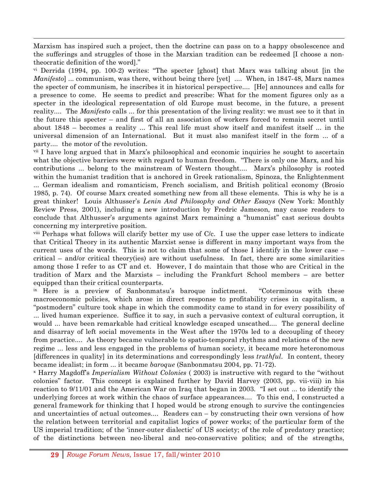Marxism has inspired such a project, then the doctrine can pass on to a happy obsolescence and the sufferings and struggles of those in the Marxian tradition can be redeemed [I choose a nontheocratic definition of the word]."

!!!!!!!!!!!!!!!!!!!!!!!!!!!!!!!!!!!!!!!!!!!!!!!!!!!!!!!!!!!!!!!!!!!!!!!!!!!!!!!!!!!!!!!!!!!!!!!!!!!!!!!!!!!!!!!!!!!!!!!!!!!!!!!!!!!!!!!!!!!!!!!!!!!!!!!!!!!!!!!!!!!!!!!!!!!!!!!!!!!!!!!!!!!!!!!!!!!!!!!!!!!!!!!!!!

 $\gamma$ <sup>i</sup> Derrida (1994, pp. 100-2) writes: "The specter [ghost] that Marx was talking about [in the *Manifesto*] ... communism, was there, without being there [yet] .... When, in 1847-48, Marx names the specter of communism, he inscribes it in historical perspective.... [He] announces and calls for a presence to come. He seems to predict and prescribe: What for the moment figures only as a specter in the ideological representation of old Europe must become, in the future, a present reality.... The *Manifesto* calls ... for this presentation of the living reality: we must see to it that in the future this specter – and first of all an association of workers forced to remain secret until about 1848 – becomes a reality ... This real life must show itself and manifest itself ... in the universal dimension of an International. But it must also manifest itself in the form ... of a party.... the motor of the revolution.

vii I have long argued that in Marx's philosophical and economic inquiries he sought to ascertain what the objective barriers were with regard to human freedom. "There is only one Marx, and his contributions ... belong to the mainstream of Western thought.... Marx's philosophy is rooted within the humanist tradition that is anchored in Greek rationalism, Spinoza, the Enlightenment ... German idealism and romanticism, French socialism, and British political economy (Brosio 1985, p. 74). Of course Marx created something new from all these elements. This is why he is a great thinker! Louis Althusser's *Lenin And Philosophy and Other Essays* (New York: Monthly Review Press, 2001), including a new introduction by Fredric Jameson, may cause readers to conclude that Althusser's arguments against Marx remaining a "humanist" cast serious doubts concerning my interpretive position.

viii Perhaps what follows will clarify better my use of C/c. I use the upper case letters to indicate that Critical Theory in its authentic Marxist sense is different in many important ways from the current uses of the words. This is not to claim that some of those I identify in the lower case – critical – and/or critical theory(ies) are without usefulness. In fact, there are some similarities among those I refer to as CT and ct. However, I do maintain that those who are Critical in the tradition of Marx and the Marxists – including the Frankfurt School members – are better equipped than their critical counterparts.

ix Here is a preview of Sanbonmatsu's baroque indictment. "Coterminous with these macroeconomic policies, which arose in direct response to profitability crises in capitalism, a "postmodern" culture took shape in which the commodity came to stand in for every possibility of ... lived human experience. Suffice it to say, in such a pervasive context of cultural corruption, it would ... have been remarkable had critical knowledge escaped unscathed.... The general decline and disarray of left social movements in the West after the 1970s led to a decoupling of theory from practice.... As theory became vulnerable to spatio-temporal rhythms and relations of the new regime ... less and less engaged in the problems of human society, it became more heteronomous [differences in quality] in its determinations and correspondingly less *truthful*. In content, theory became idealist; in form ... it became *baroque* (Sanbonmatsu 2004, pp. 71-72).

x Harry Magdoff's *Imperialism Without Colonies* ( 2003) is instructive with regard to the "without colonies" factor. This concept is explained further by David Harvey (2003, pp. vii-viii) in his reaction to 9/11/01 and the American War on Iraq that began in 2003. "I set out ... to identify the underlying forces at work within the chaos of surface appearances.... To this end, I constructed a general framework for thinking that I hoped would be strong enough to survive the contingencies and uncertainties of actual outcomes.... Readers can – by constructing their own versions of how the relation between territorial and capitalist logics of power works; of the particular form of the US imperial tradition; of the 'inner-outer dialectic' of US society; of the role of predatory practice; of the distinctions between neo-liberal and neo-conservative politics; and of the strengths,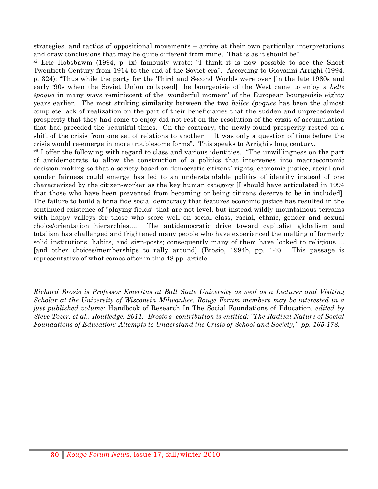!!!!!!!!!!!!!!!!!!!!!!!!!!!!!!!!!!!!!!!!!!!!!!!!!!!!!!!!!!!!!!!!!!!!!!!!!!!!!!!!!!!!!!!!!!!!!!!!!!!!!!!!!!!!!!!!!!!!!!!!!!!!!!!!!!!!!!!!!!!!!!!!!!!!!!!!!!!!!!!!!!!!!!!!!!!!!!!!!!!!!!!!!!!!!!!!!!!!!!!!!!!!!!!!!! strategies, and tactics of oppositional movements – arrive at their own particular interpretations and draw conclusions that may be quite different from mine. That is as it should be".

xi Eric Hobsbawm (1994, p. ix) famously wrote: "I think it is now possible to see the Short Twentieth Century from 1914 to the end of the Soviet era". According to Giovanni Arrighi (1994, p. 324): "Thus while the party for the Third and Second Worlds were over [in the late 1980s and early '90s when the Soviet Union collapsed] the bourgeoisie of the West came to enjoy a *belle époque* in many ways reminiscent of the 'wonderful moment' of the European bourgeoisie eighty years earlier. The most striking similarity between the two *belles époques* has been the almost complete lack of realization on the part of their beneficiaries that the sudden and unprecedented prosperity that they had come to enjoy did not rest on the resolution of the crisis of accumulation that had preceded the beautiful times. On the contrary, the newly found prosperity rested on a shift of the crisis from one set of relations to another It was only a question of time before the crisis would re-emerge in more troublesome forms". This speaks to Arrighi's long century.

xii I offer the following with regard to class and various identities. "The unwillingness on the part of antidemocrats to allow the construction of a politics that intervenes into macroeconomic decision-making so that a society based on democratic citizens' rights, economic justice, racial and gender fairness could emerge has led to an understandable politics of identity instead of one characterized by the citizen-worker as the key human category [I should have articulated in 1994 that those who have been prevented from becoming or being citizens deserve to be in included]. The failure to build a bona fide social democracy that features economic justice has resulted in the continued existence of "playing fields" that are not level, but instead wildly mountainous terrains with happy valleys for those who score well on social class, racial, ethnic, gender and sexual choice/orientation hierarchies.... The antidemocratic drive toward capitalist globalism and totalism has challenged and frightened many people who have experienced the melting of formerly solid institutions, habits, and sign-posts; consequently many of them have looked to religious ... [and other choices/memberships to rally around] (Brosio, 1994b, pp. 1-2). This passage is representative of what comes after in this 48 pp. article.

*Richard Brosio is Professor Emeritus at Ball State University as well as a Lecturer and Visiting Scholar at the University of Wisconsin Milwaukee. Rouge Forum members may be interested in a just published volume:* Handbook of Research In The Social Foundations of Education*, edited by Steve Tozer, et al., Routledge, 2011. Brosio's contribution is entitled: "The Radical Nature of Social Foundations of Education: Attempts to Understand the Crisis of School and Society," pp. 165-178.*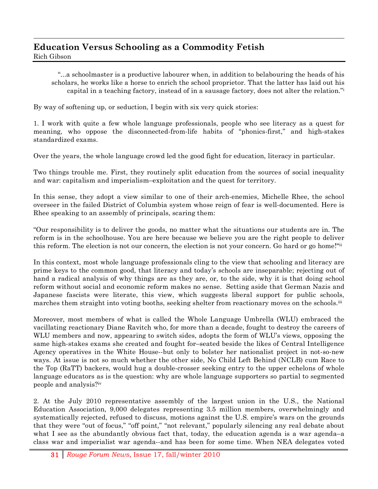# **Education Versus Schooling as a Commodity Fetish**

Rich Gibson

"...a schoolmaster is a productive labourer when, in addition to belabouring the heads of his scholars, he works like a horse to enrich the school proprietor. That the latter has laid out his capital in a teaching factory, instead of in a sausage factory, does not alter the relation."i

By way of softening up, or seduction, I begin with six very quick stories:

1. I work with quite a few whole language professionals, people who see literacy as a quest for meaning, who oppose the disconnected-from-life habits of "phonics-first," and high-stakes standardized exams.

!!!!!!!!!!!!!!!!!!!!!!!!!!!!!!!!!!!!!!!!!!!!!!!!!!!!!!!!!!!!!!!!!!!!!!!!!!!!!!!!!!!!!!!!!!!!!!!!!!!!!!!!!!!!!!!!!!!!!!!!!!!!!!!!!!!!!!!!!!!!!!!!!!!!!!!!!!!!!!!!!!!!!!!!!!!!!!!!!!!!!!!!!!!!!!!!!!!!!!!!!!!!!!!!!!

Over the years, the whole language crowd led the good fight for education, literacy in particular.

Two things trouble me. First, they routinely split education from the sources of social inequality and war: capitalism and imperialism–exploitation and the quest for territory.

In this sense, they adopt a view similar to one of their arch-enemies, Michelle Rhee, the school overseer in the failed District of Columbia system whose reign of fear is well-documented. Here is Rhee speaking to an assembly of principals, scaring them:

"Our responsibility is to deliver the goods, no matter what the situations our students are in. The reform is in the schoolhouse. You are here because we believe you are the right people to deliver this reform. The election is not our concern, the election is not your concern. Go hard or go home!"ii

In this context, most whole language professionals cling to the view that schooling and literacy are prime keys to the common good, that literacy and today's schools are inseparable; rejecting out of hand a radical analysis of why things are as they are, or, to the side, why it is that doing school reform without social and economic reform makes no sense. Setting aside that German Nazis and Japanese fascists were literate, this view, which suggests liberal support for public schools, marches them straight into voting booths, seeking shelter from reactionary moves on the schools.<sup>iii</sup>

Moreover, most members of what is called the Whole Language Umbrella (WLU) embraced the vacillating reactionary Diane Ravitch who, for more than a decade, fought to destroy the careers of WLU members and now, appearing to switch sides, adopts the form of WLU's views, opposing the same high-stakes exams she created and fought for–seated beside the likes of Central Intelligence Agency operatives in the White House--but only to bolster her nationalist project in not-so-new ways. At issue is not so much whether the other side, No Child Left Behind (NCLB) cum Race to the Top (RaTT) backers, would hug a double-crosser seeking entry to the upper echelons of whole language educators as is the question: why are whole language supporters so partial to segmented people and analysis?iv

2. At the July 2010 representative assembly of the largest union in the U.S., the National Education Association, 9,000 delegates representing 3.5 million members, overwhelmingly and systematically rejected, refused to discuss, motions against the U.S. empire's wars on the grounds that they were "out of focus," "off point," "not relevant," popularly silencing any real debate about what I see as the abundantly obvious fact that, today, the education agenda is a war agenda–a class war and imperialist war agenda--and has been for some time. When NEA delegates voted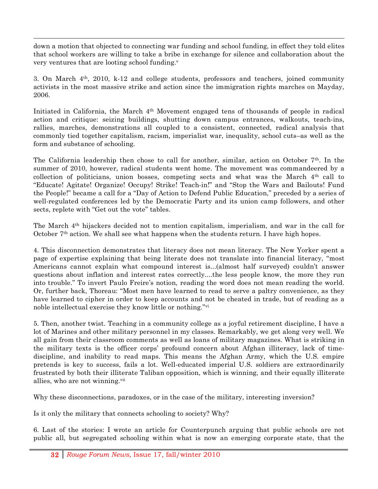down a motion that objected to connecting war funding and school funding, in effect they told elites that school workers are willing to take a bribe in exchange for silence and collaboration about the very ventures that are looting school funding.<sup>v</sup>

!!!!!!!!!!!!!!!!!!!!!!!!!!!!!!!!!!!!!!!!!!!!!!!!!!!!!!!!!!!!!!!!!!!!!!!!!!!!!!!!!!!!!!!!!!!!!!!!!!!!!!!!!!!!!!!!!!!!!!!!!!!!!!!!!!!!!!!!!!!!!!!!!!!!!!!!!!!!!!!!!!!!!!!!!!!!!!!!!!!!!!!!!!!!!!!!!!!!!!!!!!!!!!!!!!

3. On March  $4<sup>th</sup>$ , 2010, k-12 and college students, professors and teachers, joined community activists in the most massive strike and action since the immigration rights marches on Mayday, 2006.

Initiated in California, the March 4th Movement engaged tens of thousands of people in radical action and critique: seizing buildings, shutting down campus entrances, walkouts, teach-ins, rallies, marches, demonstrations all coupled to a consistent, connected, radical analysis that commonly tied together capitalism, racism, imperialist war, inequality, school cuts–as well as the form and substance of schooling.

The California leadership then chose to call for another, similar, action on October  $7<sup>th</sup>$ . In the summer of 2010, however, radical students went home. The movement was commandeered by a collection of politicians, union bosses, competing sects and what was the March  $4<sup>th</sup>$  call to "Educate! Agitate! Organize! Occupy! Strike! Teach-in!" and "Stop the Wars and Bailouts! Fund the People!" became a call for a "Day of Action to Defend Public Education," preceded by a series of well-regulated conferences led by the Democratic Party and its union camp followers, and other sects, replete with "Get out the vote" tables.

The March  $4<sup>th</sup>$  hijackers decided not to mention capitalism, imperialism, and war in the call for October 7<sup>th</sup> action. We shall see what happens when the students return. I have high hopes.

4. This disconnection demonstrates that literacy does not mean literacy. The New Yorker spent a page of expertise explaining that being literate does not translate into financial literacy, "most Americans cannot explain what compound interest is...(almost half surveyed) couldn't answer questions about inflation and interest rates correctly....the less people know, the more they run into trouble." To invert Paulo Freire's notion, reading the word does not mean reading the world. Or, further back, Thoreau: "Most men have learned to read to serve a paltry convenience, as they have learned to cipher in order to keep accounts and not be cheated in trade, but of reading as a noble intellectual exercise they know little or nothing."vi

5. Then, another twist. Teaching in a community college as a joyful retirement discipline, I have a lot of Marines and other military personnel in my classes. Remarkably, we get along very well. We all gain from their classroom comments as well as loans of military magazines. What is striking in the military texts is the officer corps' profound concern about Afghan illiteracy, lack of timediscipline, and inability to read maps. This means the Afghan Army, which the U.S. empire pretends is key to success, fails a lot. Well-educated imperial U.S. soldiers are extraordinarily frustrated by both their illiterate Taliban opposition, which is winning, and their equally illiterate allies, who are not winning.vii

Why these disconnections, paradoxes, or in the case of the military, interesting inversion?

Is it only the military that connects schooling to society? Why?

6. Last of the stories: I wrote an article for Counterpunch arguing that public schools are not public all, but segregated schooling within what is now an emerging corporate state, that the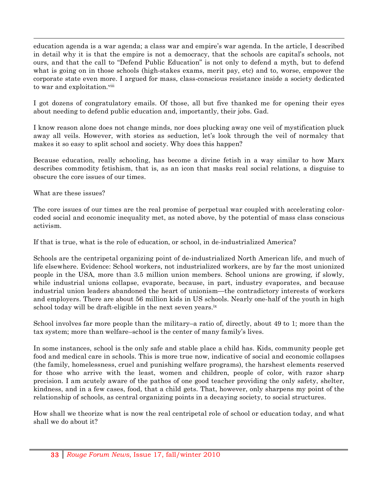education agenda is a war agenda; a class war and empire's war agenda. In the article, I described in detail why it is that the empire is not a democracy, that the schools are capital's schools, not ours, and that the call to "Defend Public Education" is not only to defend a myth, but to defend what is going on in those schools (high-stakes exams, merit pay, etc) and to, worse, empower the corporate state even more. I argued for mass, class-conscious resistance inside a society dedicated to war and exploitation.<sup>viii</sup>

!!!!!!!!!!!!!!!!!!!!!!!!!!!!!!!!!!!!!!!!!!!!!!!!!!!!!!!!!!!!!!!!!!!!!!!!!!!!!!!!!!!!!!!!!!!!!!!!!!!!!!!!!!!!!!!!!!!!!!!!!!!!!!!!!!!!!!!!!!!!!!!!!!!!!!!!!!!!!!!!!!!!!!!!!!!!!!!!!!!!!!!!!!!!!!!!!!!!!!!!!!!!!!!!!!

I got dozens of congratulatory emails. Of those, all but five thanked me for opening their eyes about needing to defend public education and, importantly, their jobs. Gad.

I know reason alone does not change minds, nor does plucking away one veil of mystification pluck away all veils. However, with stories as seduction, let's look through the veil of normalcy that makes it so easy to split school and society. Why does this happen?

Because education, really schooling, has become a divine fetish in a way similar to how Marx describes commodity fetishism, that is, as an icon that masks real social relations, a disguise to obscure the core issues of our times.

What are these issues?

The core issues of our times are the real promise of perpetual war coupled with accelerating colorcoded social and economic inequality met, as noted above, by the potential of mass class conscious activism.

If that is true, what is the role of education, or school, in de-industrialized America?

Schools are the centripetal organizing point of de-industrialized North American life, and much of life elsewhere. Evidence: School workers, not industrialized workers, are by far the most unionized people in the USA, more than 3.5 million union members. School unions are growing, if slowly, while industrial unions collapse, evaporate, because, in part, industry evaporates, and because industrial union leaders abandoned the heart of unionism—the contradictory interests of workers and employers. There are about 56 million kids in US schools. Nearly one-half of the youth in high school today will be draft-eligible in the next seven years.<sup>ix</sup>

School involves far more people than the military–a ratio of, directly, about 49 to 1; more than the tax system; more than welfare–school is the center of many family's lives.

In some instances, school is the only safe and stable place a child has. Kids, community people get food and medical care in schools. This is more true now, indicative of social and economic collapses (the family, homelessness, cruel and punishing welfare programs), the harshest elements reserved for those who arrive with the least, women and children, people of color, with razor sharp precision. I am acutely aware of the pathos of one good teacher providing the only safety, shelter, kindness, and in a few cases, food, that a child gets. That, however, only sharpens my point of the relationship of schools, as central organizing points in a decaying society, to social structures.

How shall we theorize what is now the real centripetal role of school or education today, and what shall we do about it?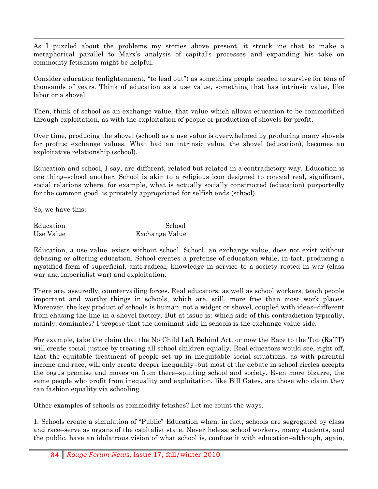As I puzzled about the problems my stories above present, it struck me that to make a metaphorical parallel to Marx's analysis of capital's processes and expanding his take on commodity fetishism might be helpful.

!!!!!!!!!!!!!!!!!!!!!!!!!!!!!!!!!!!!!!!!!!!!!!!!!!!!!!!!!!!!!!!!!!!!!!!!!!!!!!!!!!!!!!!!!!!!!!!!!!!!!!!!!!!!!!!!!!!!!!!!!!!!!!!!!!!!!!!!!!!!!!!!!!!!!!!!!!!!!!!!!!!!!!!!!!!!!!!!!!!!!!!!!!!!!!!!!!!!!!!!!!!!!!!!!!

Consider education (enlightenment, "to lead out") as something people needed to survive for tens of thousands of years. Think of education as a use value, something that has intrinsic value, like labor or a shovel.

Then, think of school as an exchange value, that value which allows education to be commodified through exploitation, as with the exploitation of people or production of shovels for profit.

Over time, producing the shovel (school) as a use value is overwhelmed by producing many shovels for profits: exchange values. What had an intrinsic value, the shovel (education), becomes an exploitative relationship (school).

Education and school, I say, are different, related but related in a contradictory way. Education is one thing–school another. School is akin to a religious icon designed to conceal real, significant, social relations where, for example, what is actually socially constructed (education) purportedly for the common good, is privately appropriated for selfish ends (school).

So, we have this:

| Education | School         |
|-----------|----------------|
| Use Value | Exchange Value |

Education, a use value, exists without school. School, an exchange value, does not exist without debasing or altering education. School creates a pretense of education while, in fact, producing a mystified form of superficial, anti-radical, knowledge in service to a society rooted in war (class war and imperialist war) and exploitation.

There are, assuredly, countervailing forces. Real educators, as well as school workers, teach people important and worthy things in schools, which are, still, more free than most work places. Moreover, the key product of schools is human, not a widget or shovel, coupled with ideas–different from chasing the line in a shovel factory. But at issue is: which side of this contradiction typically, mainly, dominates? I propose that the dominant side in schools is the exchange value side.

For example, take the claim that the No Child Left Behind Act, or now the Race to the Top (RaTT) will create social justice by treating all school children equally. Real educators would see, right off, that the equitable treatment of people set up in inequitable social situations, as with parental income and race, will only create deeper inequality–but most of the debate in school circles accepts the bogus premise and moves on from there–splitting school and society. Even more bizarre, the same people who profit from inequality and exploitation, like Bill Gates, are those who claim they can fashion equality via schooling.

Other examples of schools as commodity fetishes? Let me count the ways.

1. Schools create a simulation of "Public" Education when, in fact, schools are segregated by class and race–serve as organs of the capitalist state. Nevertheless, school workers, many students, and the public, have an idolatrous vision of what school is, confuse it with education–although, again,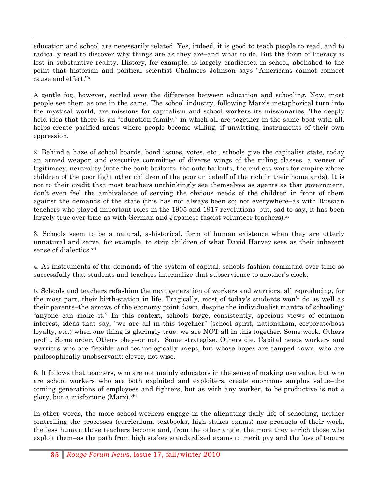education and school are necessarily related. Yes, indeed, it is good to teach people to read, and to radically read to discover why things are as they are–and what to do. But the form of literacy is lost in substantive reality. History, for example, is largely eradicated in school, abolished to the point that historian and political scientist Chalmers Johnson says "Americans cannot connect cause and effect."x

!!!!!!!!!!!!!!!!!!!!!!!!!!!!!!!!!!!!!!!!!!!!!!!!!!!!!!!!!!!!!!!!!!!!!!!!!!!!!!!!!!!!!!!!!!!!!!!!!!!!!!!!!!!!!!!!!!!!!!!!!!!!!!!!!!!!!!!!!!!!!!!!!!!!!!!!!!!!!!!!!!!!!!!!!!!!!!!!!!!!!!!!!!!!!!!!!!!!!!!!!!!!!!!!!!

A gentle fog, however, settled over the difference between education and schooling. Now, most people see them as one in the same. The school industry, following Marx's metaphorical turn into the mystical world, are missions for capitalism and school workers its missionaries. The deeply held idea that there is an "education family," in which all are together in the same boat with all, helps create pacified areas where people become willing, if unwitting, instruments of their own oppression.

2. Behind a haze of school boards, bond issues, votes, etc., schools give the capitalist state, today an armed weapon and executive committee of diverse wings of the ruling classes, a veneer of legitimacy, neutrality (note the bank bailouts, the auto bailouts, the endless wars for empire where children of the poor fight other children of the poor on behalf of the rich in their homelands). It is not to their credit that most teachers unthinkingly see themselves as agents as that government, don't even feel the ambivalence of serving the obvious needs of the children in front of them against the demands of the state (this has not always been so; not everywhere–as with Russian teachers who played important roles in the 1905 and 1917 revolutions–but, sad to say, it has been largely true over time as with German and Japanese fascist volunteer teachers). $x_i$ 

3. Schools seem to be a natural, a-historical, form of human existence when they are utterly unnatural and serve, for example, to strip children of what David Harvey sees as their inherent sense of dialectics.xii

4. As instruments of the demands of the system of capital, schools fashion command over time so successfully that students and teachers internalize that subservience to another's clock.

5. Schools and teachers refashion the next generation of workers and warriors, all reproducing, for the most part, their birth-station in life. Tragically, most of today's students won't do as well as their parents–the arrows of the economy point down, despite the individualist mantra of schooling: "anyone can make it." In this context, schools forge, consistently, specious views of common interest, ideas that say, "we are all in this together" (school spirit, nationalism, corporate/boss loyalty, etc.) when one thing is glaringly true: we are NOT all in this together. Some work. Others profit. Some order. Others obey–or not. Some strategize. Others die. Capital needs workers and warriors who are flexible and technologically adept, but whose hopes are tamped down, who are philosophically unobservant: clever, not wise.

6. It follows that teachers, who are not mainly educators in the sense of making use value, but who are school workers who are both exploited and exploiters, create enormous surplus value–the coming generations of employees and fighters, but as with any worker, to be productive is not a glory, but a misfortune (Marx).xiii

In other words, the more school workers engage in the alienating daily life of schooling, neither controlling the processes (curriculum, textbooks, high-stakes exams) nor products of their work, the less human those teachers become and, from the other angle, the more they enrich those who exploit them–as the path from high stakes standardized exams to merit pay and the loss of tenure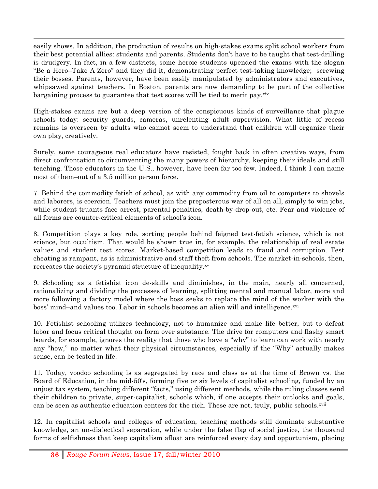easily shows. In addition, the production of results on high-stakes exams split school workers from their best potential allies: students and parents. Students don't have to be taught that test-drilling is drudgery. In fact, in a few districts, some heroic students upended the exams with the slogan "Be a Hero–Take A Zero" and they did it, demonstrating perfect test-taking knowledge; screwing their bosses. Parents, however, have been easily manipulated by administrators and executives, whipsawed against teachers. In Boston, parents are now demanding to be part of the collective bargaining process to guarantee that test scores will be tied to merit pay.<sup>xiv</sup>

!!!!!!!!!!!!!!!!!!!!!!!!!!!!!!!!!!!!!!!!!!!!!!!!!!!!!!!!!!!!!!!!!!!!!!!!!!!!!!!!!!!!!!!!!!!!!!!!!!!!!!!!!!!!!!!!!!!!!!!!!!!!!!!!!!!!!!!!!!!!!!!!!!!!!!!!!!!!!!!!!!!!!!!!!!!!!!!!!!!!!!!!!!!!!!!!!!!!!!!!!!!!!!!!!!

High-stakes exams are but a deep version of the conspicuous kinds of surveillance that plague schools today: security guards, cameras, unrelenting adult supervision. What little of recess remains is overseen by adults who cannot seem to understand that children will organize their own play, creatively.

Surely, some courageous real educators have resisted, fought back in often creative ways, from direct confrontation to circumventing the many powers of hierarchy, keeping their ideals and still teaching. Those educators in the U.S., however, have been far too few. Indeed, I think I can name most of them–out of a 3.5 million person force.

7. Behind the commodity fetish of school, as with any commodity from oil to computers to shovels and laborers, is coercion. Teachers must join the preposterous war of all on all, simply to win jobs, while student truants face arrest, parental penalties, death-by-drop-out, etc. Fear and violence of all forms are counter-critical elements of school's icon.

8. Competition plays a key role, sorting people behind feigned test-fetish science, which is not science, but occultism. That would be shown true in, for example, the relationship of real estate values and student test scores. Market-based competition leads to fraud and corruption. Test cheating is rampant, as is administrative and staff theft from schools. The market-in-schools, then, recreates the society's pyramid structure of inequality.xv

9. Schooling as a fetishist icon de-skills and diminishes, in the main, nearly all concerned, rationalizing and dividing the processes of learning, splitting mental and manual labor, more and more following a factory model where the boss seeks to replace the mind of the worker with the boss' mind–and values too. Labor in schools becomes an alien will and intelligence.xvi

10. Fetishist schooling utilizes technology, not to humanize and make life better, but to defeat labor and focus critical thought on form over substance. The drive for computers and flashy smart boards, for example, ignores the reality that those who have a "why" to learn can work with nearly any "how," no matter what their physical circumstances, especially if the "Why" actually makes sense, can be tested in life.

11. Today, voodoo schooling is as segregated by race and class as at the time of Brown vs. the Board of Education, in the mid-50's, forming five or six levels of capitalist schooling, funded by an unjust tax system, teaching different "facts," using different methods, while the ruling classes send their children to private, super-capitalist, schools which, if one accepts their outlooks and goals, can be seen as authentic education centers for the rich. These are not, truly, public schools.<sup>xvii</sup>

12. In capitalist schools and colleges of education, teaching methods still dominate substantive knowledge, an un-dialectical separation, while under the false flag of social justice, the thousand forms of selfishness that keep capitalism afloat are reinforced every day and opportunism, placing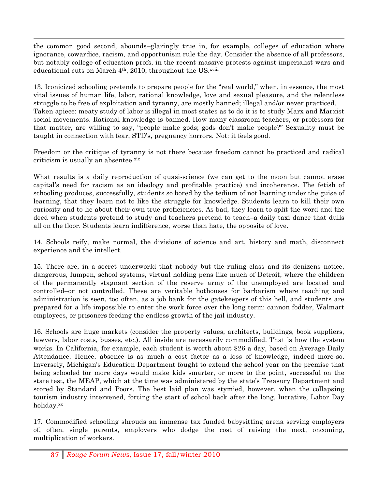the common good second, abounds–glaringly true in, for example, colleges of education where ignorance, cowardice, racism, and opportunism rule the day. Consider the absence of all professors, but notably college of education profs, in the recent massive protests against imperialist wars and educational cuts on March  $4<sup>th</sup>$ , 2010, throughout the US. $^{xviii}$ 

!!!!!!!!!!!!!!!!!!!!!!!!!!!!!!!!!!!!!!!!!!!!!!!!!!!!!!!!!!!!!!!!!!!!!!!!!!!!!!!!!!!!!!!!!!!!!!!!!!!!!!!!!!!!!!!!!!!!!!!!!!!!!!!!!!!!!!!!!!!!!!!!!!!!!!!!!!!!!!!!!!!!!!!!!!!!!!!!!!!!!!!!!!!!!!!!!!!!!!!!!!!!!!!!!!

13. Iconicized schooling pretends to prepare people for the "real world," when, in essence, the most vital issues of human life, labor, rational knowledge, love and sexual pleasure, and the relentless struggle to be free of exploitation and tyranny, are mostly banned; illegal and/or never practiced. Taken apiece: meaty study of labor is illegal in most states as to do it is to study Marx and Marxist social movements. Rational knowledge is banned. How many classroom teachers, or professors for that matter, are willing to say, "people make gods; gods don't make people?" Sexuality must be taught in connection with fear, STD's, pregnancy horrors. Not: it feels good.

Freedom or the critique of tyranny is not there because freedom cannot be practiced and radical criticism is usually an absentee.xix

What results is a daily reproduction of quasi-science (we can get to the moon but cannot erase capital's need for racism as an ideology and profitable practice) and incoherence. The fetish of schooling produces, successfully, students so bored by the tedium of not learning under the guise of learning, that they learn not to like the struggle for knowledge. Students learn to kill their own curiosity and to lie about their own true proficiencies. As bad, they learn to split the word and the deed when students pretend to study and teachers pretend to teach–a daily taxi dance that dulls all on the floor. Students learn indifference, worse than hate, the opposite of love.

14. Schools reify, make normal, the divisions of science and art, history and math, disconnect experience and the intellect.

15. There are, in a secret underworld that nobody but the ruling class and its denizens notice, dangerous, lumpen, school systems, virtual holding pens like much of Detroit, where the children of the permanently stagnant section of the reserve army of the unemployed are located and controlled–or not controlled. These are veritable hothouses for barbarism where teaching and administration is seen, too often, as a job bank for the gatekeepers of this hell, and students are prepared for a life impossible to enter the work force over the long term: cannon fodder, Walmart employees, or prisoners feeding the endless growth of the jail industry.

16. Schools are huge markets (consider the property values, architects, buildings, book suppliers, lawyers, labor costs, busses, etc.). All inside are necessarily commodified. That is how the system works. In California, for example, each student is worth about \$26 a day, based on Average Daily Attendance. Hence, absence is as much a cost factor as a loss of knowledge, indeed more-so. Inversely, Michigan's Education Department fought to extend the school year on the premise that being schooled for more days would make kids smarter, or more to the point, successful on the state test, the MEAP, which at the time was administered by the state's Treasury Department and scored by Standard and Poors. The best laid plan was stymied, however, when the collapsing tourism industry intervened, forcing the start of school back after the long, lucrative, Labor Day holiday.xx

17. Commodified schooling shrouds an immense tax funded babysitting arena serving employers of, often, single parents, employers who dodge the cost of raising the next, oncoming, multiplication of workers.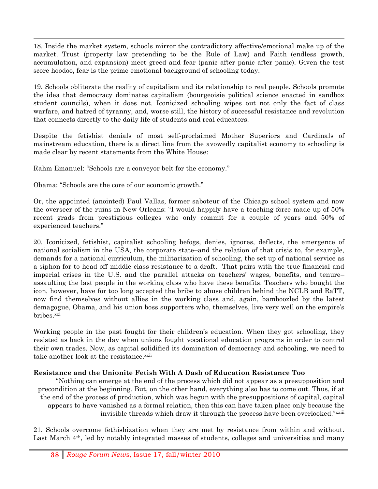18. Inside the market system, schools mirror the contradictory affective/emotional make up of the market. Trust (property law pretending to be the Rule of Law) and Faith (endless growth, accumulation, and expansion) meet greed and fear (panic after panic after panic). Given the test score hoodoo, fear is the prime emotional background of schooling today.

!!!!!!!!!!!!!!!!!!!!!!!!!!!!!!!!!!!!!!!!!!!!!!!!!!!!!!!!!!!!!!!!!!!!!!!!!!!!!!!!!!!!!!!!!!!!!!!!!!!!!!!!!!!!!!!!!!!!!!!!!!!!!!!!!!!!!!!!!!!!!!!!!!!!!!!!!!!!!!!!!!!!!!!!!!!!!!!!!!!!!!!!!!!!!!!!!!!!!!!!!!!!!!!!!!

19. Schools obliterate the reality of capitalism and its relationship to real people. Schools promote the idea that democracy dominates capitalism (bourgeoisie political science enacted in sandbox student councils), when it does not. Iconicized schooling wipes out not only the fact of class warfare, and hatred of tyranny, and, worse still, the history of successful resistance and revolution that connects directly to the daily life of students and real educators.

Despite the fetishist denials of most self-proclaimed Mother Superiors and Cardinals of mainstream education, there is a direct line from the avowedly capitalist economy to schooling is made clear by recent statements from the White House:

Rahm Emanuel: "Schools are a conveyor belt for the economy."

Obama: "Schools are the core of our economic growth."

Or, the appointed (anointed) Paul Vallas, former saboteur of the Chicago school system and now the overseer of the ruins in New Orleans: "I would happily have a teaching force made up of 50% recent grads from prestigious colleges who only commit for a couple of years and 50% of experienced teachers."

20. Iconicized, fetishist, capitalist schooling befogs, denies, ignores, deflects, the emergence of national socialism in the USA, the corporate state–and the relation of that crisis to, for example, demands for a national curriculum, the militarization of schooling, the set up of national service as a siphon for to head off middle class resistance to a draft. That pairs with the true financial and imperial crises in the U.S. and the parallel attacks on teachers' wages, benefits, and tenure– assaulting the last people in the working class who have these benefits. Teachers who bought the icon, however, have for too long accepted the bribe to abuse children behind the NCLB and RaTT, now find themselves without allies in the working class and, again, bamboozled by the latest demagogue, Obama, and his union boss supporters who, themselves, live very well on the empire's bribes.xxi

Working people in the past fought for their children's education. When they got schooling, they resisted as back in the day when unions fought vocational education programs in order to control their own trades. Now, as capital solidified its domination of democracy and schooling, we need to take another look at the resistance.xxii

### **Resistance and the Unionite Fetish With A Dash of Education Resistance Too**

"Nothing can emerge at the end of the process which did not appear as a presupposition and precondition at the beginning. But, on the other hand, everything also has to come out. Thus, if at the end of the process of production, which was begun with the presuppositions of capital, capital appears to have vanished as a formal relation, then this can have taken place only because the invisible threads which draw it through the process have been overlooked."xxiii

21. Schools overcome fethishization when they are met by resistance from within and without. Last March 4<sup>th</sup>, led by notably integrated masses of students, colleges and universities and many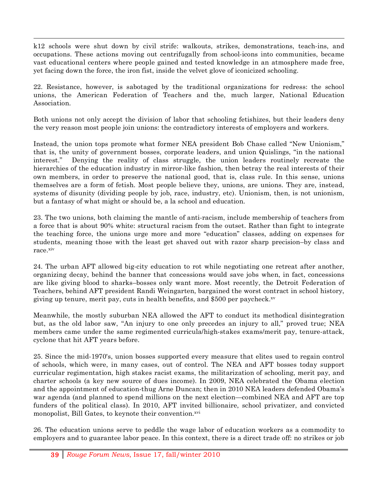k12 schools were shut down by civil strife: walkouts, strikes, demonstrations, teach-ins, and occupations. These actions moving out centrifugally from school-icons into communities, became vast educational centers where people gained and tested knowledge in an atmosphere made free, yet facing down the force, the iron fist, inside the velvet glove of iconicized schooling.

!!!!!!!!!!!!!!!!!!!!!!!!!!!!!!!!!!!!!!!!!!!!!!!!!!!!!!!!!!!!!!!!!!!!!!!!!!!!!!!!!!!!!!!!!!!!!!!!!!!!!!!!!!!!!!!!!!!!!!!!!!!!!!!!!!!!!!!!!!!!!!!!!!!!!!!!!!!!!!!!!!!!!!!!!!!!!!!!!!!!!!!!!!!!!!!!!!!!!!!!!!!!!!!!!!

22. Resistance, however, is sabotaged by the traditional organizations for redress: the school unions, the American Federation of Teachers and the, much larger, National Education Association.

Both unions not only accept the division of labor that schooling fetishizes, but their leaders deny the very reason most people join unions: the contradictory interests of employers and workers.

Instead, the union tops promote what former NEA president Bob Chase called "New Unionism," that is, the unity of government bosses, corporate leaders, and union Quislings, "in the national interest." Denying the reality of class struggle, the union leaders routinely recreate the hierarchies of the education industry in mirror-like fashion, then betray the real interests of their own members, in order to preserve the national good, that is, class rule. In this sense, unions themselves are a form of fetish. Most people believe they, unions, are unions. They are, instead, systems of disunity (dividing people by job, race, industry, etc). Unionism, then, is not unionism, but a fantasy of what might or should be, a la school and education.

23. The two unions, both claiming the mantle of anti-racism, include membership of teachers from a force that is about 90% white: structural racism from the outset. Rather than fight to integrate the teaching force, the unions urge more and more "education" classes, adding on expenses for students, meaning those with the least get shaved out with razor sharp precision–by class and race.xiv

24. The urban AFT allowed big-city education to rot while negotiating one retreat after another, organizing decay, behind the banner that concessions would save jobs when, in fact, concessions are like giving blood to sharks–bosses only want more. Most recently, the Detroit Federation of Teachers, behind AFT president Randi Weingarten, bargained the worst contract in school history, giving up tenure, merit pay, cuts in health benefits, and \$500 per paycheck. $x<sup>v</sup>$ 

Meanwhile, the mostly suburban NEA allowed the AFT to conduct its methodical disintegration but, as the old labor saw, "An injury to one only precedes an injury to all," proved true; NEA members came under the same regimented curricula/high-stakes exams/merit pay, tenure-attack, cyclone that hit AFT years before.

25. Since the mid-1970's, union bosses supported every measure that elites used to regain control of schools, which were, in many cases, out of control. The NEA and AFT bosses today support curricular regimentation, high stakes racist exams, the militarization of schooling, merit pay, and charter schools (a key new source of dues income). In 2009, NEA celebrated the Obama election and the appointment of education-thug Arne Duncan; then in 2010 NEA leaders defended Obama's war agenda (and planned to spend millions on the next election—combined NEA and AFT are top funders of the political class). In 2010, AFT invited billionaire, school privatizer, and convicted monopolist, Bill Gates, to keynote their convention.<sup>xvi</sup>

26. The education unions serve to peddle the wage labor of education workers as a commodity to employers and to guarantee labor peace. In this context, there is a direct trade off: no strikes or job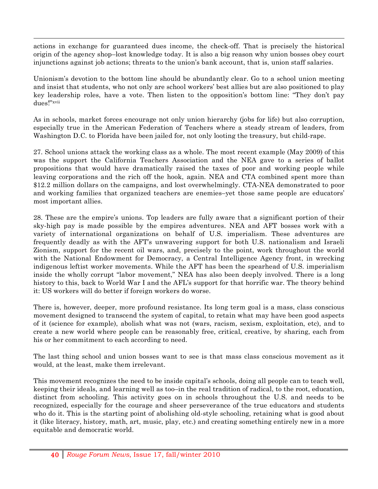actions in exchange for guaranteed dues income, the check-off. That is precisely the historical origin of the agency shop–lost knowledge today. It is also a big reason why union bosses obey court injunctions against job actions; threats to the union's bank account, that is, union staff salaries.

!!!!!!!!!!!!!!!!!!!!!!!!!!!!!!!!!!!!!!!!!!!!!!!!!!!!!!!!!!!!!!!!!!!!!!!!!!!!!!!!!!!!!!!!!!!!!!!!!!!!!!!!!!!!!!!!!!!!!!!!!!!!!!!!!!!!!!!!!!!!!!!!!!!!!!!!!!!!!!!!!!!!!!!!!!!!!!!!!!!!!!!!!!!!!!!!!!!!!!!!!!!!!!!!!!

Unionism's devotion to the bottom line should be abundantly clear. Go to a school union meeting and insist that students, who not only are school workers' best allies but are also positioned to play key leadership roles, have a vote. Then listen to the opposition's bottom line: "They don't pay dues!"xvii

As in schools, market forces encourage not only union hierarchy (jobs for life) but also corruption, especially true in the American Federation of Teachers where a steady stream of leaders, from Washington D.C. to Florida have been jailed for, not only looting the treasury, but child-rape.

27. School unions attack the working class as a whole. The most recent example (May 2009) of this was the support the California Teachers Association and the NEA gave to a series of ballot propositions that would have dramatically raised the taxes of poor and working people while leaving corporations and the rich off the hook, again. NEA and CTA combined spent more than \$12.2 million dollars on the campaigns, and lost overwhelmingly. CTA-NEA demonstrated to poor and working families that organized teachers are enemies–yet those same people are educators' most important allies.

28. These are the empire's unions. Top leaders are fully aware that a significant portion of their sky-high pay is made possible by the empires adventures. NEA and AFT bosses work with a variety of international organizations on behalf of U.S. imperialism. These adventures are frequently deadly as with the AFT's unwavering support for both U.S. nationalism and Israeli Zionism, support for the recent oil wars, and, precisely to the point, work throughout the world with the National Endowment for Democracy, a Central Intelligence Agency front, in wrecking indigenous leftist worker movements. While the AFT has been the spearhead of U.S. imperialism inside the wholly corrupt "labor movement," NEA has also been deeply involved. There is a long history to this, back to World War I and the AFL's support for that horrific war. The theory behind it: US workers will do better if foreign workers do worse.

There is, however, deeper, more profound resistance. Its long term goal is a mass, class conscious movement designed to transcend the system of capital, to retain what may have been good aspects of it (science for example), abolish what was not (wars, racism, sexism, exploitation, etc), and to create a new world where people can be reasonably free, critical, creative, by sharing, each from his or her commitment to each according to need.

The last thing school and union bosses want to see is that mass class conscious movement as it would, at the least, make them irrelevant.

This movement recognizes the need to be inside capital's schools, doing all people can to teach well, keeping their ideals, and learning well as too–in the real tradition of radical, to the root, education, distinct from schooling. This activity goes on in schools throughout the U.S. and needs to be recognized, especially for the courage and sheer perseverance of the true educators and students who do it. This is the starting point of abolishing old-style schooling, retaining what is good about it (like literacy, history, math, art, music, play, etc.) and creating something entirely new in a more equitable and democratic world.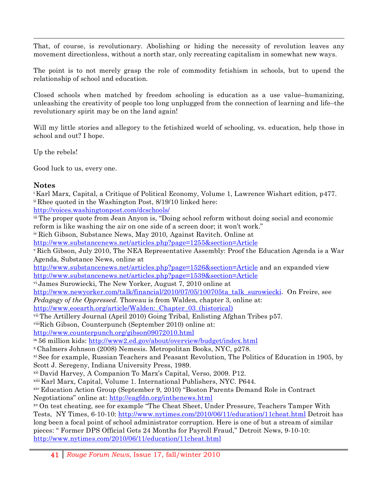!!!!!!!!!!!!!!!!!!!!!!!!!!!!!!!!!!!!!!!!!!!!!!!!!!!!!!!!!!!!!!!!!!!!!!!!!!!!!!!!!!!!!!!!!!!!!!!!!!!!!!!!!!!!!!!!!!!!!!!!!!!!!!!!!!!!!!!!!!!!!!!!!!!!!!!!!!!!!!!!!!!!!!!!!!!!!!!!!!!!!!!!!!!!!!!!!!!!!!!!!!!!!!!!!! That, of course, is revolutionary. Abolishing or hiding the necessity of revolution leaves any movement directionless, without a north star, only recreating capitalism in somewhat new ways.

The point is to not merely grasp the role of commodity fetishism in schools, but to upend the relationship of school and education.

Closed schools when matched by freedom schooling is education as a use value–humanizing, unleashing the creativity of people too long unplugged from the connection of learning and life–the revolutionary spirit may be on the land again!

Will my little stories and allegory to the fetishized world of schooling, vs. education, help those in school and out? I hope.

Up the rebels!

Good luck to us, every one.

### **Notes**

41 *Rouge Forum News*, Issue 17, fall/winter 2010 i Karl Marx, Capital, a Critique of Political Economy, Volume 1, Lawrence Wishart edition, p477. ii Rhee quoted in the Washington Post, 8/19/10 linked here: http://voices.washingtonpost.com/dcschools/ iii The proper quote from Jean Anyon is, "Doing school reform without doing social and economic reform is like washing the air on one side of a screen door; it won't work." iv Rich Gibson, Substance News, May 2010, Against Ravitch. Online at http://www.substancenews.net/articles.php?page=1255&section=Article v Rich Gibson, July 2010, The NEA Representative Assembly: Proof the Education Agenda is a War Agenda, Substance News, online at http://www.substancenews.net/articles.php?page=1526&section=Article and an expanded view http://www.substancenews.net/articles.php?page=1539&section=Article vi James Surowiecki, The New Yorker, August 7, 2010 online at http://www.newyorker.com/talk/financial/2010/07/05/100705ta\_talk\_surowiecki. On Freire, see *Pedagogy of the Oppressed*. Thoreau is from Walden, chapter 3, online at: http://www.eoearth.org/article/Walden:\_Chapter\_03\_(historical) vii The Artillery Journal (April 2010) Going Tribal, Enlisting Afghan Tribes p57. viiiRich Gibson, Counterpunch (September 2010) online at: http://www.counterpunch.org/gibson09072010.html ix 56 million kids: http://www2.ed.gov/about/overview/budget/index.html x Chalmers Johnson (2008) Nemesis. Metropolitan Books, NYC, p278. xi See for example, Russian Teachers and Peasant Revolution, The Politics of Education in 1905, by Scott J. Seregeny, Indiana University Press, 1989. xii David Harvey, A Companion To Marx's Capital, Verso, 2009. P12. xiii Karl Marx, Capital, Volume 1. International Publishers, NYC. P644. xiv Education Action Group (September 9, 2010) "Boston Parents Demand Role in Contract Negotiations" online at: http://eagfdn.org/inthenews.html xv On test cheating, see for example "The Cheat Sheet, Under Pressure, Teachers Tamper With Tests, NY Times, 6-10-10: http://www.nytimes.com/2010/06/11/education/11cheat.html Detroit has long been a focal point of school administrator corruption. Here is one of but a stream of similar pieces: " Former DPS Official Gets 24 Months for Payroll Fraud," Detroit News, 9-10-10: http://www.nytimes.com/2010/06/11/education/11cheat.html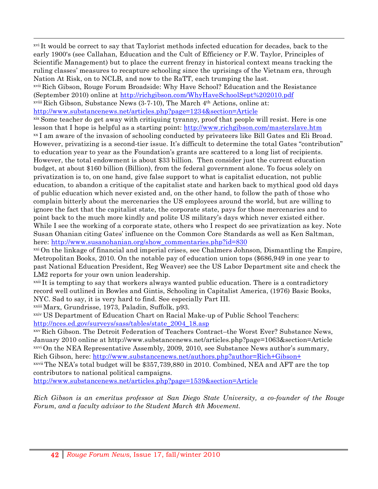xvi It would be correct to say that Taylorist methods infected education for decades, back to the early 1900's (see Callahan, Education and the Cult of Efficiency or F.W. Taylor, Principles of Scientific Management) but to place the current frenzy in historical context means tracking the ruling classes' measures to recapture schooling since the uprisings of the Vietnam era, through Nation At Risk, on to NCLB, and now to the RaTT, each trumping the last.

!!!!!!!!!!!!!!!!!!!!!!!!!!!!!!!!!!!!!!!!!!!!!!!!!!!!!!!!!!!!!!!!!!!!!!!!!!!!!!!!!!!!!!!!!!!!!!!!!!!!!!!!!!!!!!!!!!!!!!!!!!!!!!!!!!!!!!!!!!!!!!!!!!!!!!!!!!!!!!!!!!!!!!!!!!!!!!!!!!!!!!!!!!!!!!!!!!!!!!!!!!!!!!!!!!

xvii Rich Gibson, Rouge Forum Broadside: Why Have School? Education and the Resistance (September 2010) online at http://richgibson.com/WhyHaveSchoolSept%202010.pdf xviii Rich Gibson, Substance News (3-7-10), The March 4th Actions, online at:

http://www.substancenews.net/articles.php?page=1234&section=Article<br>
xix Some teacher do get away with critiquing tyranny, proof that people will resist. Here is one lesson that I hope is helpful as a starting point: http://www.richgibson.com/masterslave.htm xx I am aware of the invasion of schooling conducted by privateers like Bill Gates and Eli Broad. However, privatizing is a second-tier issue. It's difficult to determine the total Gates "contribution" to education year to year as the Foundation's grants are scattered to a long list of recipients. However, the total endowment is about \$33 billion. Then consider just the current education budget, at about \$160 billion (Billion), from the federal government alone. To focus solely on privatization is to, on one hand, give false support to what is capitalist education, not public education, to abandon a critique of the capitalist state and harken back to mythical good old days of public education which never existed and, on the other hand, to follow the path of those who complain bitterly about the mercenaries the US employees around the world, but are willing to ignore the fact that the capitalist state, the corporate state, pays for those mercenaries and to point back to the much more kindly and polite US military's days which never existed either. While I see the working of a corporate state, others who I respect do see privatization as key. Note Susan Ohanian citing Gates' influence on the Common Core Standards as well as Ken Saltman, here: http://www.susanohanian.org/show\_commentaries.php?id=830

xxi On the linkage of financial and imperial crises, see Chalmers Johnson, Dismantling the Empire, Metropolitan Books, 2010. On the notable pay of education union tops (\$686,949 in one year to past National Education President, Reg Weaver) see the US Labor Department site and check the LM2 reports for your own union leadership.

xxii It is tempting to say that workers always wanted public education. There is a contradictory record well outlined in Bowles and Gintis, Schooling in Capitalist America, (1976) Basic Books, NYC. Sad to say, it is very hard to find. See especially Part III.

xxiii Marx, Grundrisse, 1973, Paladin, Suffolk, p93.

xxiv US Department of Education Chart on Racial Make-up of Public School Teachers: http://nces.ed.gov/surveys/sass/tables/state\_2004\_18.asp

xxv Rich Gibson. The Detroit Federation of Teachers Contract–the Worst Ever? Substance News, January 2010 online at http://www.substancenews.net/articles.php?page=1063&section=Article xxvi On the NEA Representative Assembly, 2009, 2010, see Substance News author's summary, Rich Gibson, here: http://www.substancenews.net/authors.php?author=Rich+Gibson+ xxvii The NEA's total budget will be \$357,739,880 in 2010. Combined, NEA and AFT are the top contributors to national political campaigns.

http://www.substancenews.net/articles.php?page=1539&section=Article

*Rich Gibson is an emeritus professor at San Diego State University, a co-founder of the Rouge Forum, and a faculty advisor to the Student March 4th Movement.*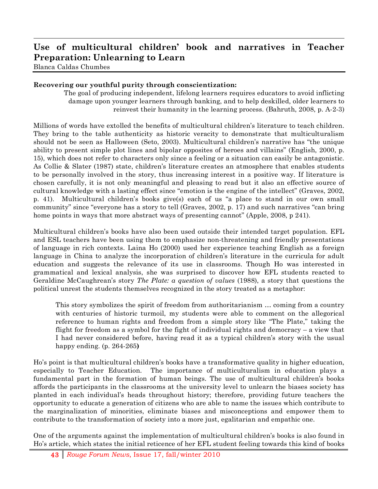# **Use of multicultural children' book and narratives in Teacher Preparation: Unlearning to Learn**

!!!!!!!!!!!!!!!!!!!!!!!!!!!!!!!!!!!!!!!!!!!!!!!!!!!!!!!!!!!!!!!!!!!!!!!!!!!!!!!!!!!!!!!!!!!!!!!!!!!!!!!!!!!!!!!!!!!!!!!!!!!!!!!!!!!!!!!!!!!!!!!!!!!!!!!!!!!!!!!!!!!!!!!!!!!!!!!!!!!!!!!!!!!!!!!!!!!!!!!!!!!!!!!!!!

Blanca Caldas Chumbes

### **Recovering our youthful purity through conscientization:**

The goal of producing independent, lifelong learners requires educators to avoid inflicting damage upon younger learners through banking, and to help deskilled, older learners to reinvest their humanity in the learning process. (Bahruth, 2008, p. A-2-3)

Millions of words have extolled the benefits of multicultural children's literature to teach children. They bring to the table authenticity as historic veracity to demonstrate that multiculturalism should not be seen as Halloween (Seto, 2003). Multicultural children's narrative has "the unique ability to present simple plot lines and bipolar opposites of heroes and villains" (English, 2000, p. 15), which does not refer to characters only since a feeling or a situation can easily be antagonistic. As Collie & Slater (1987) state, children's literature creates an atmosphere that enables students to be personally involved in the story, thus increasing interest in a positive way. If literature is chosen carefully, it is not only meaningful and pleasing to read but it also an effective source of cultural knowledge with a lasting effect since "emotion is the engine of the intellect" (Graves, 2002, p. 41). Multicultural children's books give(s) each of us "a place to stand in our own small community" since "everyone has a story to tell (Graves, 2002, p. 17) and such narratives "can bring home points in ways that more abstract ways of presenting cannot" (Apple, 2008, p 241).

Multicultural children's books have also been used outside their intended target population. EFL and ESL teachers have been using them to emphasize non-threatening and friendly presentations of language in rich contexts. Laina Ho (2000) used her experience teaching English as a foreign language in China to analyze the incorporation of children's literature in the curricula for adult education and suggests the relevance of its use in classrooms. Though Ho was interested in grammatical and lexical analysis, she was surprised to discover how EFL students reacted to Geraldine McCaughrean's story *The Plate: a question of values* (1988), a story that questions the political unrest the students themselves recognized in the story treated as a metaphor:

This story symbolizes the spirit of freedom from authoritarianism … coming from a country with centuries of historic turmoil, my students were able to comment on the allegorical reference to human rights and freedom from a simple story like "The Plate," taking the flight for freedom as a symbol for the fight of individual rights and democracy – a view that I had never considered before, having read it as a typical children's story with the usual happy ending. (p. 264-265**)**

Ho's point is that multicultural children's books have a transformative quality in higher education, especially to Teacher Education. The importance of multiculturalism in education plays a fundamental part in the formation of human beings. The use of multicultural children's books affords the participants in the classrooms at the university level to unlearn the biases society has planted in each individual's heads throughout history; therefore, providing future teachers the opportunity to educate a generation of citizens who are able to name the issues which contribute to the marginalization of minorities, eliminate biases and misconceptions and empower them to contribute to the transformation of society into a more just, egalitarian and empathic one.

One of the arguments against the implementation of multicultural children's books is also found in Ho's article, which states the initial reticence of her EFL student feeling towards this kind of books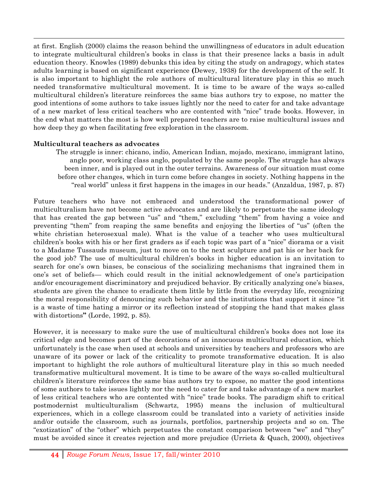at first. English (2000) claims the reason behind the unwillingness of educators in adult education to integrate multicultural children's books in class is that their presence lacks a basis in adult education theory. Knowles (1989) debunks this idea by citing the study on andragogy, which states adults learning is based on significant experience **(**Dewey, 1938) for the development of the self. It is also important to highlight the role authors of multicultural literature play in this so much needed transformative multicultural movement. It is time to be aware of the ways so-called multicultural children's literature reinforces the same bias authors try to expose, no matter the good intentions of some authors to take issues lightly nor the need to cater for and take advantage of a new market of less critical teachers who are contented with "nice" trade books. However, in the end what matters the most is how well prepared teachers are to raise multicultural issues and how deep they go when facilitating free exploration in the classroom.

!!!!!!!!!!!!!!!!!!!!!!!!!!!!!!!!!!!!!!!!!!!!!!!!!!!!!!!!!!!!!!!!!!!!!!!!!!!!!!!!!!!!!!!!!!!!!!!!!!!!!!!!!!!!!!!!!!!!!!!!!!!!!!!!!!!!!!!!!!!!!!!!!!!!!!!!!!!!!!!!!!!!!!!!!!!!!!!!!!!!!!!!!!!!!!!!!!!!!!!!!!!!!!!!!!

### **Multicultural teachers as advocates**

The struggle is inner: chicano, indio, American Indian, mojado, mexicano, immigrant latino, anglo poor, working class anglo, populated by the same people. The struggle has always been inner, and is played out in the outer terrains. Awareness of our situation must come before other changes, which in turn come before changes in society. Nothing happens in the "real world" unless it first happens in the images in our heads." (Anzaldua, 1987, p. 87)

Future teachers who have not embraced and understood the transformational power of multiculturalism have not become active advocates and are likely to perpetuate the same ideology that has created the gap between "us" and "them," excluding "them" from having a voice and preventing "them" from reaping the same benefits and enjoying the liberties of "us" (often the white christian heterosexual male). What is the value of a teacher who uses multicultural children's books with his or her first graders as if each topic was part of a "nice" diorama or a visit to a Madame Tussauds museum, just to move on to the next sculpture and pat his or her back for the good job? The use of multicultural children's books in higher education is an invitation to search for one's own biases, be conscious of the socializing mechanisms that ingrained them in one's set of beliefs— which could result in the initial acknowledgement of one's participation and/or encouragement discriminatory and prejudiced behavior. By critically analyzing one's biases, students are given the chance to eradicate them little by little from the everyday life, recognizing the moral responsibility of denouncing such behavior and the institutions that support it since "it is a waste of time hating a mirror or its reflection instead of stopping the hand that makes glass with distortions**"** (Lorde, 1992, p. 85).

However, it is necessary to make sure the use of multicultural children's books does not lose its critical edge and becomes part of the decorations of an innocuous multicultural education, which unfortunately is the case when used at schools and universities by teachers and professors who are unaware of its power or lack of the criticality to promote transformative education. It is also important to highlight the role authors of multicultural literature play in this so much needed transformative multicultural movement. It is time to be aware of the ways so-called multicultural children's literature reinforces the same bias authors try to expose, no matter the good intentions of some authors to take issues lightly nor the need to cater for and take advantage of a new market of less critical teachers who are contented with "nice" trade books. The paradigm shift to critical postmodernist multiculturalism (Schwartz, 1995) means the inclusion of multicultural experiences, which in a college classroom could be translated into a variety of activities inside and/or outside the classroom, such as journals, portfolios, partnership projects and so on. The "exotization" of the "other" which perpetuates the constant comparison between "we" and "they" must be avoided since it creates rejection and more prejudice (Urrieta & Quach, 2000), objectives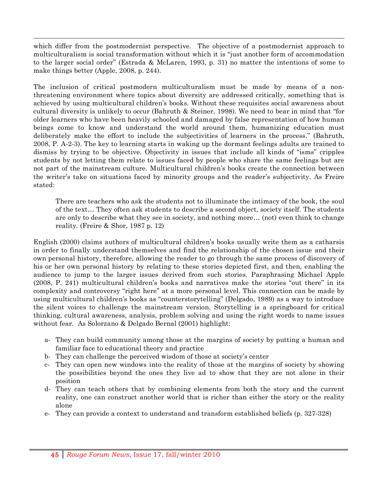which differ from the postmodernist perspective. The objective of a postmodernist approach to multiculturalism is social transformation without which it is "just another form of accommodation to the larger social order" (Estrada & McLaren, 1993, p. 31) no matter the intentions of some to make things better (Apple, 2008, p. 244).

!!!!!!!!!!!!!!!!!!!!!!!!!!!!!!!!!!!!!!!!!!!!!!!!!!!!!!!!!!!!!!!!!!!!!!!!!!!!!!!!!!!!!!!!!!!!!!!!!!!!!!!!!!!!!!!!!!!!!!!!!!!!!!!!!!!!!!!!!!!!!!!!!!!!!!!!!!!!!!!!!!!!!!!!!!!!!!!!!!!!!!!!!!!!!!!!!!!!!!!!!!!!!!!!!!

The inclusion of critical postmodern multiculturalism must be made by means of a nonthreatening environment where topics about diversity are addressed critically, something that is achieved by using multicultural children's books. Without these requisites social awareness about cultural diversity is unlikely to occur (Bahruth & Steiner, 1998). We need to bear in mind that "for older learners who have been heavily schooled and damaged by false representation of how human beings come to know and understand the world around them, humanizing education must deliberately make the effort to include the subjectivities of learners in the process." (Bahruth, 2008, P. A-2-3). The key to learning starts in waking up the dormant feelings adults are trained to dismiss by trying to be objective. Objectivity in issues that include all kinds of "isms" cripples students by not letting them relate to issues faced by people who share the same feelings but are not part of the mainstream culture. Multicultural children's books create the connection between the writer's take on situations faced by minority groups and the reader's subjectivity. As Freire stated:

There are teachers who ask the students not to illuminate the intimacy of the book, the soul of the text… They often ask students to describe a second object, society itself. The students are only to describe what they see in society, and nothing more… (not) even think to change reality. (Freire & Shor, 1987 p. 12)

English (2000) claims authors of multicultural children's books usually write them as a catharsis in order to finally understand themselves and find the relationship of the chosen issue and their own personal history, therefore, allowing the reader to go through the same process of discovery of his or her own personal history by relating to these stories depicted first, and then, enabling the audience to jump to the larger issues derived from such stories. Paraphrasing Michael Apple (2008, P. 241) multicultural children's books and narratives make the stories "out there" in its complexity and controversy "right here" at a more personal level. This connection can be made by using multicultural children's books as "counterstorytelling" (Delgado, 1989) as a way to introduce the silent voices to challenge the mainstream version. Storytelling is a springboard for critical thinking, cultural awareness, analysis, problem solving and using the right words to name issues without fear. As Solorzano & Delgado Bernal (2001) highlight:

- a- They can build community among those at the margins of society by putting a human and familiar face to educational theory and practice
- b- They can challenge the perceived wisdom of those at society's center
- c- They can open new windows into the reality of those at the margins of society by showing the possibilities beyond the ones they live ad to show that they are not alone in their position
- d- They can teach others that by combining elements from both the story and the current reality, one can construct another world that is richer than either the story or the reality alone
- e- They can provide a context to understand and transform established beliefs (p. 327-328)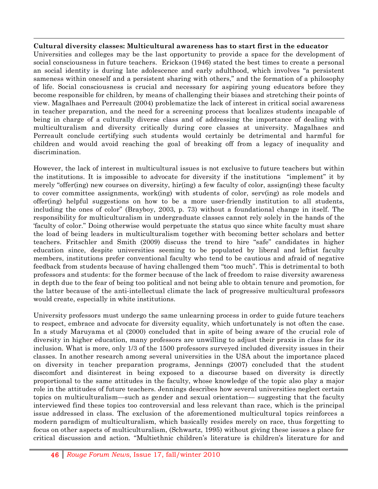### **Cultural diversity classes: Multicultural awareness has to start first in the educator**

!!!!!!!!!!!!!!!!!!!!!!!!!!!!!!!!!!!!!!!!!!!!!!!!!!!!!!!!!!!!!!!!!!!!!!!!!!!!!!!!!!!!!!!!!!!!!!!!!!!!!!!!!!!!!!!!!!!!!!!!!!!!!!!!!!!!!!!!!!!!!!!!!!!!!!!!!!!!!!!!!!!!!!!!!!!!!!!!!!!!!!!!!!!!!!!!!!!!!!!!!!!!!!!!!!

Universities and colleges may be the last opportunity to provide a space for the development of social consciousness in future teachers. Erickson (1946) stated the best times to create a personal an social identity is during late adolescence and early adulthood, which involves "a persistent sameness within oneself and a persistent sharing with others," and the formation of a philosophy of life. Social consciousness is crucial and necessary for aspiring young educators before they become responsible for children, by means of challenging their biases and stretching their points of view. Magalhaes and Perreault (2004) problematize the lack of interest in critical social awareness in teacher preparation, and the need for a screening process that localizes students incapable of being in charge of a culturally diverse class and of addressing the importance of dealing with multiculturalism and diversity critically during core classes at university. Magalhaes and Perreault conclude certifying such students would certainly be detrimental and harmful for children and would avoid reaching the goal of breaking off from a legacy of inequality and discrimination.

However, the lack of interest in multicultural issues is not exclusive to future teachers but within the institutions. It is impossible to advocate for diversity if the institutions "implement" it by merely "offer(ing) new courses on diversity, hir(ing) a few faculty of color, assign(ing) these faculty to cover committee assignments, work(ing) with students of color, serv(ing) as role models and offer(ing) helpful suggestions on how to be a more user-friendly institution to all students, including the ones of color" (Brayboy, 2003, p. 73) without a foundational change in itself. The responsibility for multiculturalism in undergraduate classes cannot rely solely in the hands of the 'faculty of color." Doing otherwise would perpetuate the status quo since white faculty must share the load of being leaders in multiculturalism together with becoming better scholars and better teachers. Fritschler and Smith (2009) discuss the trend to hire "safe" candidates in higher education since, despite universities seeming to be populated by liberal and leftist faculty members, institutions prefer conventional faculty who tend to be cautious and afraid of negative feedback from students because of having challenged them "too much". This is detrimental to both professors and students: for the former because of the lack of freedom to raise diversity awareness in depth due to the fear of being too political and not being able to obtain tenure and promotion, for the latter because of the anti-intellectual climate the lack of progressive multicultural professors would create, especially in white institutions.

University professors must undergo the same unlearning process in order to guide future teachers to respect, embrace and advocate for diversity equality, which unfortunately is not often the case. In a study Maruyama et al (2000) concluded that in spite of being aware of the crucial role of diversity in higher education, many professors are unwilling to adjust their praxis in class for its inclusion. What is more, only 1/3 of the 1500 professors surveyed included diversity issues in their classes. In another research among several universities in the USA about the importance placed on diversity in teacher preparation programs, Jennings (2007) concluded that the student discomfort and disinterest in being exposed to a discourse based on diversity is directly proportional to the same attitudes in the faculty, whose knowledge of the topic also play a major role in the attitudes of future teachers. Jennings describes how several universities neglect certain topics on multiculturalism—such as gender and sexual orientation— suggesting that the faculty interviewed find these topics too controversial and less relevant than race, which is the principal issue addressed in class. The exclusion of the aforementioned multicultural topics reinforces a modern paradigm of multiculturalism, which basically resides merely on race, thus forgetting to focus on other aspects of multiculturalism, (Schwartz, 1995) without giving these issues a place for critical discussion and action. "Multiethnic children's literature is children's literature for and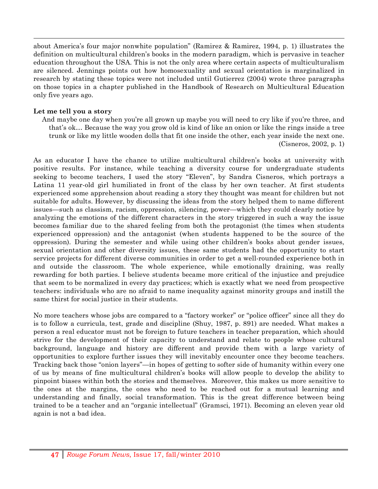about America's four major nonwhite population" (Ramirez & Ramirez, 1994, p. 1) illustrates the definition on multicultural children's books in the modern paradigm, which is pervasive in teacher education throughout the USA. This is not the only area where certain aspects of multiculturalism are silenced. Jennings points out how homosexuality and sexual orientation is marginalized in research by stating these topics were not included until Gutierrez (2004) wrote three paragraphs on those topics in a chapter published in the Handbook of Research on Multicultural Education only five years ago.

!!!!!!!!!!!!!!!!!!!!!!!!!!!!!!!!!!!!!!!!!!!!!!!!!!!!!!!!!!!!!!!!!!!!!!!!!!!!!!!!!!!!!!!!!!!!!!!!!!!!!!!!!!!!!!!!!!!!!!!!!!!!!!!!!!!!!!!!!!!!!!!!!!!!!!!!!!!!!!!!!!!!!!!!!!!!!!!!!!!!!!!!!!!!!!!!!!!!!!!!!!!!!!!!!!

### **Let me tell you a story**

And maybe one day when you're all grown up maybe you will need to cry like if you're three, and that's ok… Because the way you grow old is kind of like an onion or like the rings inside a tree trunk or like my little wooden dolls that fit one inside the other, each year inside the next one. (Cisneros, 2002, p. 1)

As an educator I have the chance to utilize multicultural children's books at university with positive results. For instance, while teaching a diversity course for undergraduate students seeking to become teachers, I used the story "Eleven", by Sandra Cisneros, which portrays a Latina 11 year-old girl humiliated in front of the class by her own teacher. At first students experienced some apprehension about reading a story they thought was meant for children but not suitable for adults. However, by discussing the ideas from the story helped them to name different issues—such as classism, racism, oppression, silencing, power—which they could clearly notice by analyzing the emotions of the different characters in the story triggered in such a way the issue becomes familiar due to the shared feeling from both the protagonist (the times when students experienced oppression) and the antagonist (when students happened to be the source of the oppression). During the semester and while using other children's books about gender issues, sexual orientation and other diversity issues, these same students had the opportunity to start service projects for different diverse communities in order to get a well-rounded experience both in and outside the classroom. The whole experience, while emotionally draining, was really rewarding for both parties. I believe students became more critical of the injustice and prejudice that seem to be normalized in every day practices; which is exactly what we need from prospective teachers: individuals who are no afraid to name inequality against minority groups and instill the same thirst for social justice in their students.

No more teachers whose jobs are compared to a "factory worker" or "police officer" since all they do is to follow a curricula, test, grade and discipline (Shuy, 1987, p. 891) are needed. What makes a person a real educator must not be foreign to future teachers in teacher preparation, which should strive for the development of their capacity to understand and relate to people whose cultural background, language and history are different and provide them with a large variety of opportunities to explore further issues they will inevitably encounter once they become teachers. Tracking back those "onion layers"—in hopes of getting to softer side of humanity within every one of us by means of fine multicultural children's books will allow people to develop the ability to pinpoint biases within both the stories and themselves. Moreover, this makes us more sensitive to the ones at the margins, the ones who need to be reached out for a mutual learning and understanding and finally, social transformation. This is the great difference between being trained to be a teacher and an "organic intellectual" (Gramsci, 1971). Becoming an eleven year old again is not a bad idea.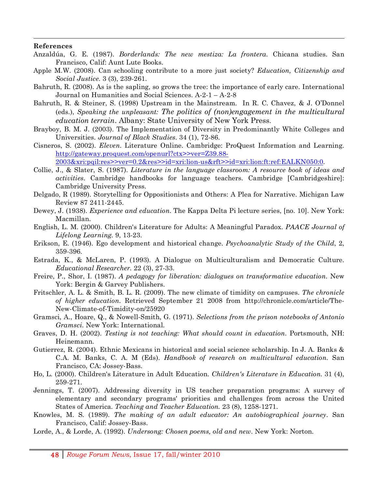#### **References**

Anzaldúa, G. E. (1987). *Borderlands: The new mestiza: La frontera*. Chicana studies. San Francisco, Calif: Aunt Lute Books.

!!!!!!!!!!!!!!!!!!!!!!!!!!!!!!!!!!!!!!!!!!!!!!!!!!!!!!!!!!!!!!!!!!!!!!!!!!!!!!!!!!!!!!!!!!!!!!!!!!!!!!!!!!!!!!!!!!!!!!!!!!!!!!!!!!!!!!!!!!!!!!!!!!!!!!!!!!!!!!!!!!!!!!!!!!!!!!!!!!!!!!!!!!!!!!!!!!!!!!!!!!!!!!!!!!

- Apple M.W. (2008). Can schooling contribute to a more just society? *Education, Citizenship and Social Justice.* 3 (3), 239-261.
- Bahruth, R. (2008). As is the sapling, so grows the tree: the importance of early care. International Journal on Humanities and Social Sciences. A-2-1 – A-2-8
- Bahruth, R. & Steiner, S. (1998) Upstream in the Mainstream. In R. C. Chavez, & J. O'Donnel (eds.), *Speaking the unpleasant: The politics of (non)engagement in the multicultural education terrain*. Albany: State University of New York Press.
- Brayboy, B. M. J. (2003). The Implementation of Diversity in Predominantly White Colleges and Universities. *Journal of Black Studies*. 34 (1), 72-86.
- Cisneros, S. (2002). *Eleven*. Literature Online. Cambridge: ProQuest Information and Learning. http://gateway.proquest.com/openurl?ctx>>ver=Z39.88-

2003&xri:pqil:res>>ver=0.2&res>>id=xri:lion-us&rft>>id=xri:lion:ft:ref:EALKN050:0.

- Collie, J., & Slater, S. (1987). *Literature in the language classroom: A resource book of ideas and activities*. Cambridge handbooks for language teachers. Cambridge [Cambridgeshire]: Cambridge University Press.
- Delgado, R (1989). Storytelling for Oppositionists and Others: A Plea for Narrative. Michigan Law Review 87 2411-2445.
- Dewey, J. (1938). *Experience and education*. The Kappa Delta Pi lecture series, [no. 10]. New York: Macmillan.
- English, L. M. (2000). Children's Literature for Adults: A Meaningful Paradox. *PAACE Journal of Lifelong Learning.* 9, 13-23.
- Erikson, E. (1946). Ego development and historical change. *Psychoanalytic Study of the Child*, 2, 359-396.
- Estrada, K., & McLaren, P. (1993). A Dialogue on Multiculturalism and Democratic Culture. *Educational Researcher.* 22 (3), 27-33.
- Freire, P., Shor, I. (1987). *A pedagogy for liberation: dialogues on transformative education*. New York: Bergin & Garvey Publishers.
- Fritschler, A. L. & Smith, B. L. R. (2009). The new climate of timidity on campuses. *The chronicle of higher education*. Retrieved September 21 2008 from http://chronicle.com/article/The-New-Climate-of-Timidity-on/25920
- Gramsci, A., Hoare, Q., & Nowell-Smith, G. (1971). *Selections from the prison notebooks of Antonio Gramsci*. New York: International.
- Graves, D. H. (2002). *Testing is not teaching: What should count in education*. Portsmouth, NH: Heinemann.
- Gutierrez, R. (2004). Ethnic Mexicans in historical and social science scholarship. In J. A. Banks & C.A. M. Banks, C. A. M (Eds). *Handbook of research on multicultural education*. San Francisco, CA: Jossey-Bass.
- Ho, L. (2000). Children's Literature in Adult Education. *Children's Literature in Education.* 31 (4), 259-271.
- Jennings, T. (2007). Addressing diversity in US teacher preparation programs: A survey of elementary and secondary programs' priorities and challenges from across the United States of America. *Teaching and Teacher Education.* 23 (8), 1258-1271.
- Knowles, M. S. (1989). *The making of an adult educator: An autobiographical journey*. San Francisco, Calif: Jossey-Bass.
- Lorde, A., & Lorde, A. (1992). *Undersong: Chosen poems, old and new*. New York: Norton.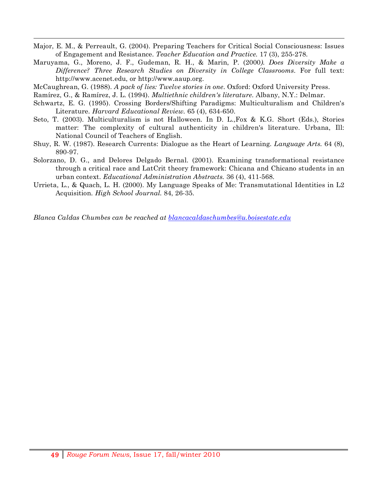- !!!!!!!!!!!!!!!!!!!!!!!!!!!!!!!!!!!!!!!!!!!!!!!!!!!!!!!!!!!!!!!!!!!!!!!!!!!!!!!!!!!!!!!!!!!!!!!!!!!!!!!!!!!!!!!!!!!!!!!!!!!!!!!!!!!!!!!!!!!!!!!!!!!!!!!!!!!!!!!!!!!!!!!!!!!!!!!!!!!!!!!!!!!!!!!!!!!!!!!!!!!!!!!!!! Major, E. M., & Perreault, G. (2004). Preparing Teachers for Critical Social Consciousness: Issues of Engagement and Resistance. *Teacher Education and Practice.* 17 (3), 255-278.
- Maruyama, G., Moreno, J. F., Gudeman, R. H., & Marin, P. (2000*). Does Diversity Make a Difference? Three Research Studies on Diversity in College Classrooms*. For full text: http://www.acenet.edu, or http://www.aaup.org.
- McCaughrean, G. (1988). *A pack of lies: Twelve stories in one*. Oxford: Oxford University Press.
- Ramírez, G., & Ramírez, J. L. (1994). *Multiethnic children's literature*. Albany, N.Y.: Delmar.
- Schwartz, E. G. (1995). Crossing Borders/Shifting Paradigms: Multiculturalism and Children's Literature. *Harvard Educational Review.* 65 (4), 634-650.
- Seto, T. (2003). Multiculturalism is not Halloween. In D. L.,Fox & K.G. Short (Eds.), Stories matter: The complexity of cultural authenticity in children's literature. Urbana, Ill: National Council of Teachers of English.
- Shuy, R. W. (1987). Research Currents: Dialogue as the Heart of Learning. *Language Arts.* 64 (8), 890-97.
- Solorzano, D. G., and Delores Delgado Bernal. (2001). Examining transformational resistance through a critical race and LatCrit theory framework: Chicana and Chicano students in an urban context. *Educational Administration Abstracts.* 36 (4), 411-568.
- Urrieta, L., & Quach, L. H. (2000). My Language Speaks of Me: Transmutational Identities in L2 Acquisition. *High School Journal.* 84, 26-35.

*Blanca Caldas Chumbes can be reached at blancacaldaschumbes@u.boisestate.edu*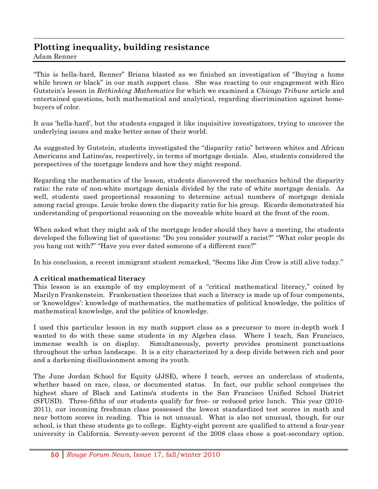# **Plotting inequality, building resistance**

Adam Renner

"This is hella-hard, Renner" Briana blasted as we finished an investigation of "Buying a home while brown or black" in our math support class. She was reacting to our engagement with Rico Gutstein's lesson in *Rethinking Mathematics* for which we examined a *Chicago Tribune* article and entertained questions, both mathematical and analytical, regarding discrimination against homebuyers of color.

!!!!!!!!!!!!!!!!!!!!!!!!!!!!!!!!!!!!!!!!!!!!!!!!!!!!!!!!!!!!!!!!!!!!!!!!!!!!!!!!!!!!!!!!!!!!!!!!!!!!!!!!!!!!!!!!!!!!!!!!!!!!!!!!!!!!!!!!!!!!!!!!!!!!!!!!!!!!!!!!!!!!!!!!!!!!!!!!!!!!!!!!!!!!!!!!!!!!!!!!!!!!!!!!!!

It *was* 'hella-hard', but the students engaged it like inquisitive investigators, trying to uncover the underlying issues and make better sense of their world.

As suggested by Gutstein, students investigated the "disparity ratio" between whites and African Americans and Latino/as, respectively, in terms of mortgage denials. Also, students considered the perspectives of the mortgage lenders and how they might respond.

Regarding the mathematics of the lesson, students discovered the mechanics behind the disparity ratio: the rate of non-white mortgage denials divided by the rate of white mortgage denials. As well, students used proportional reasoning to determine actual numbers of mortgage denials among racial groups. Louie broke down the disparity ratio for his group. Ricardo demonstrated his understanding of proportional reasoning on the moveable white board at the front of the room.

When asked what they might ask of the mortgage lender should they have a meeting, the students developed the following list of questions: "Do you consider yourself a racist?" "What color people do you hang out with?" "Have you ever dated someone of a different race?"

In his conclusion, a recent immigrant student remarked, "Seems like Jim Crow is still alive today."

### **A critical mathematical literacy**

This lesson is an example of my employment of a "critical mathematical literacy," coined by Marilyn Frankenstein. Frankenstien theorizes that such a literacy is made up of four components, or 'knoweldges': knowledge of mathematics, the mathematics of political knowledge, the politics of mathematical knowledge, and the politics of knowledge.

I used this particular lesson in my math support class as a precursor to more in-depth work I wanted to do with these same students in my Algebra class. Where I teach, San Francisco, immense wealth is on display. Simultaneously, poverty provides prominent punctuations throughout the urban landscape. It is a city characterized by a deep divide between rich and poor and a darkening disillusionment among its youth.

The June Jordan School for Equity (JJSE), where I teach, serves an underclass of students, whether based on race, class, or documented status. In fact, our public school comprises the highest share of Black and Latino/a students in the San Francisco Unified School District (SFUSD). Three-fifths of our students qualify for free- or reduced price lunch. This year (2010- 2011), our incoming freshman class possessed the lowest standardized test scores in math and near bottom scores in reading. This is not unusual. What is also not unusual, though, for our school, is that these students go to college. Eighty-eight percent are qualified to attend a four-year university in California. Seventy-seven percent of the 2008 class chose a post-secondary option.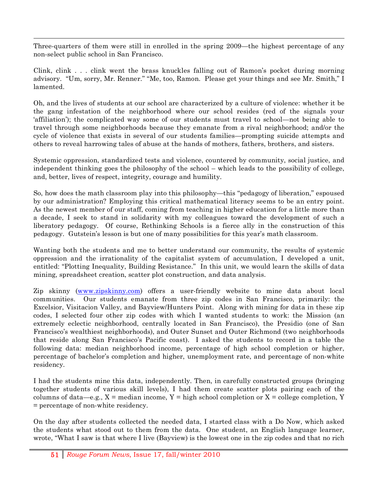!!!!!!!!!!!!!!!!!!!!!!!!!!!!!!!!!!!!!!!!!!!!!!!!!!!!!!!!!!!!!!!!!!!!!!!!!!!!!!!!!!!!!!!!!!!!!!!!!!!!!!!!!!!!!!!!!!!!!!!!!!!!!!!!!!!!!!!!!!!!!!!!!!!!!!!!!!!!!!!!!!!!!!!!!!!!!!!!!!!!!!!!!!!!!!!!!!!!!!!!!!!!!!!!!! Three-quarters of them were still in enrolled in the spring 2009—the highest percentage of any non-select public school in San Francisco.

Clink, clink . . . clink went the brass knuckles falling out of Ramon's pocket during morning advisory. "Um, sorry, Mr. Renner." "Me, too, Ramon. Please get your things and see Mr. Smith," I lamented.

Oh, and the lives of students at our school are characterized by a culture of violence: whether it be the gang infestation of the neighborhood where our school resides (red of the signals your 'affiliation'); the complicated way some of our students must travel to school—not being able to travel through some neighborhoods because they emanate from a rival neighborhood; and/or the cycle of violence that exists in several of our students families—prompting suicide attempts and others to reveal harrowing tales of abuse at the hands of mothers, fathers, brothers, and sisters.

Systemic oppression, standardized tests and violence, countered by community, social justice, and independent thinking goes the philosophy of the school – which leads to the possibility of college, and, better, lives of respect, integrity, courage and humility.

So, how does the math classroom play into this philosophy—this "pedagogy of liberation," espoused by our administration? Employing this critical mathematical literacy seems to be an entry point. As the newest member of our staff, coming from teaching in higher education for a little more than a decade, I seek to stand in solidarity with my colleagues toward the development of such a liberatory pedagogy. Of course, Rethinking Schools is a fierce ally in the construction of this pedagogy. Gutstein's lesson is but one of many possibilities for this year's math classroom.

Wanting both the students and me to better understand our community, the results of systemic oppression and the irrationality of the capitalist system of accumulation, I developed a unit, entitled: "Plotting Inequality, Building Resistance." In this unit, we would learn the skills of data mining, spreadsheet creation, scatter plot construction, and data analysis.

Zip skinny (www.zipskinny.com) offers a user-friendly website to mine data about local communities. Our students emanate from three zip codes in San Francisco, primarily: the Excelsior, Visitacion Valley, and Bayview/Hunters Point. Along with mining for data in these zip codes, I selected four other zip codes with which I wanted students to work: the Mission (an extremely eclectic neighborhood, centrally located in San Francisco), the Presidio (one of San Francisco's wealthiest neighborhoods), and Outer Sunset and Outer Richmond (two neighborhoods that reside along San Francisco's Pacific coast). I asked the students to record in a table the following data: median neighborhood income, percentage of high school completion or higher, percentage of bachelor's completion and higher, unemployment rate, and percentage of non-white residency.

I had the students mine this data, independently. Then, in carefully constructed groups (bringing together students of various skill levels), I had them create scatter plots pairing each of the columns of data—e.g.,  $X =$  median income,  $Y =$  high school completion or  $X =$  college completion,  $Y =$ = percentage of non-white residency.

On the day after students collected the needed data, I started class with a Do Now, which asked the students what stood out to them from the data. One student, an English language learner, wrote, "What I saw is that where I live (Bayview) is the lowest one in the zip codes and that no rich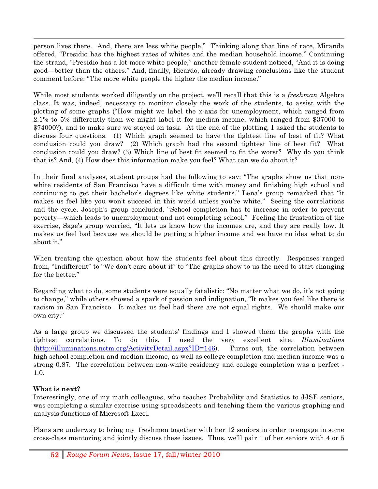person lives there. And, there are less white people." Thinking along that line of race, Miranda offered, "Presidio has the highest rates of whites and the median household income." Continuing the strand, "Presidio has a lot more white people," another female student noticed, "And it is doing good—better than the others." And, finally, Ricardo, already drawing conclusions like the student comment before: "The more white people the higher the median income."

!!!!!!!!!!!!!!!!!!!!!!!!!!!!!!!!!!!!!!!!!!!!!!!!!!!!!!!!!!!!!!!!!!!!!!!!!!!!!!!!!!!!!!!!!!!!!!!!!!!!!!!!!!!!!!!!!!!!!!!!!!!!!!!!!!!!!!!!!!!!!!!!!!!!!!!!!!!!!!!!!!!!!!!!!!!!!!!!!!!!!!!!!!!!!!!!!!!!!!!!!!!!!!!!!!

While most students worked diligently on the project, we'll recall that this is a *freshman* Algebra class. It was, indeed, necessary to monitor closely the work of the students, to assist with the plotting of some graphs ("How might we label the x-axis for unemployment, which ranged from 2.1% to 5% differently than we might label it for median income, which ranged from \$37000 to \$74000?), and to make sure we stayed on task. At the end of the plotting, I asked the students to discuss four questions. (1) Which graph seemed to have the tightest line of best of fit? What conclusion could you draw? (2) Which graph had the second tightest line of best fit? What conclusion could you draw? (3) Which line of best fit seemed to fit the worst? Why do you think that is? And, (4) How does this information make you feel? What can we do about it?

In their final analyses, student groups had the following to say: "The graphs show us that nonwhite residents of San Francisco have a difficult time with money and finishing high school and continuing to get their bachelor's degrees like white students." Lena's group remarked that "it makes us feel like you won't succeed in this world unless you're white." Seeing the correlations and the cycle, Joseph's group concluded, "School completion has to increase in order to prevent poverty—which leads to unemployment and not completing school." Feeling the frustration of the exercise, Sage's group worried, "It lets us know how the incomes are, and they are really low. It makes us feel bad because we should be getting a higher income and we have no idea what to do about it."

When treating the question about how the students feel about this directly. Responses ranged from, "Indifferent" to "We don't care about it" to "The graphs show to us the need to start changing for the better."

Regarding what to do, some students were equally fatalistic: "No matter what we do, it's not going to change," while others showed a spark of passion and indignation, "It makes you feel like there is racism in San Francisco. It makes us feel bad there are not equal rights. We should make our own city."

As a large group we discussed the students' findings and I showed them the graphs with the tightest correlations. To do this, I used the very excellent site, *Illuminations* (http://illuminations.nctm.org/ActivityDetail.aspx?ID=146). Turns out, the correlation between high school completion and median income, as well as college completion and median income was a strong 0.87. The correlation between non-white residency and college completion was a perfect - 1.0.

### **What is next?**

Interestingly, one of my math colleagues, who teaches Probability and Statistics to JJSE seniors, was completing a similar exercise using spreadsheets and teaching them the various graphing and analysis functions of Microsoft Excel.

Plans are underway to bring my freshmen together with her 12 seniors in order to engage in some cross-class mentoring and jointly discuss these issues. Thus, we'll pair 1 of her seniors with 4 or 5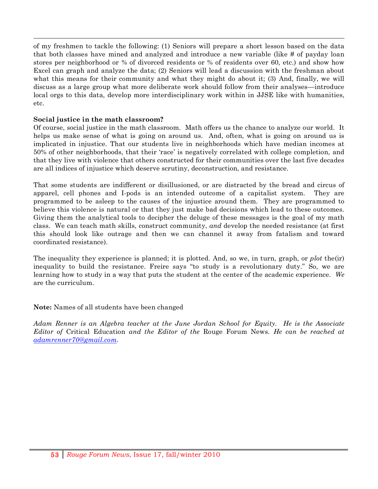of my freshmen to tackle the following: (1) Seniors will prepare a short lesson based on the data that both classes have mined and analyzed and introduce a new variable (like # of payday loan stores per neighborhood or % of divorced residents or % of residents over 60, etc.) and show how Excel can graph and analyze the data; (2) Seniors will lead a discussion with the freshman about what this means for their community and what they might do about it; (3) And, finally, we will discuss as a large group what more deliberate work should follow from their analyses—introduce local orgs to this data, develop more interdisciplinary work within in JJSE like with humanities, etc.

!!!!!!!!!!!!!!!!!!!!!!!!!!!!!!!!!!!!!!!!!!!!!!!!!!!!!!!!!!!!!!!!!!!!!!!!!!!!!!!!!!!!!!!!!!!!!!!!!!!!!!!!!!!!!!!!!!!!!!!!!!!!!!!!!!!!!!!!!!!!!!!!!!!!!!!!!!!!!!!!!!!!!!!!!!!!!!!!!!!!!!!!!!!!!!!!!!!!!!!!!!!!!!!!!!

### **Social justice in the math classroom?**

Of course, social justice in the math classroom. Math offers us the chance to analyze our world. It helps us make sense of what is going on around us. And, often, what is going on around us is implicated in injustice. That our students live in neighborhoods which have median incomes at 50% of other neighborhoods, that their 'race' is negatively correlated with college completion, and that they live with violence that others constructed for their communities over the last five decades are all indices of injustice which deserve scrutiny, deconstruction, and resistance.

That some students are indifferent or disillusioned, or are distracted by the bread and circus of apparel, cell phones and I-pods is an intended outcome of a capitalist system. They are programmed to be asleep to the causes of the injustice around them. They are programmed to believe this violence is natural or that they just make bad decisions which lead to these outcomes. Giving them the analytical tools to decipher the deluge of these messages is the goal of my math class. We can teach math skills, construct community, *and* develop the needed resistance (at first this should look like outrage and then we can channel it away from fatalism and toward coordinated resistance).

The inequality they experience is planned; it is plotted. And, so we, in turn, graph, or *plot* the(ir) inequality to build the resistance. Freire says "to study is a revolutionary duty." So, we are learning how to study in a way that puts the student at the center of the academic experience. *We* are the curriculum.

**Note:** Names of all students have been changed

*Adam Renner is an Algebra teacher at the June Jordan School for Equity. He is the Associate Editor of* Critical Education *and the Editor of the* Rouge Forum News*. He can be reached at adamrenner70@gmail.com.*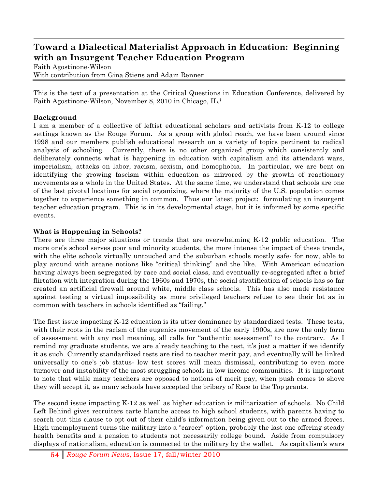### **Toward a Dialectical Materialist Approach in Education: Beginning with an Insurgent Teacher Education Program**

!!!!!!!!!!!!!!!!!!!!!!!!!!!!!!!!!!!!!!!!!!!!!!!!!!!!!!!!!!!!!!!!!!!!!!!!!!!!!!!!!!!!!!!!!!!!!!!!!!!!!!!!!!!!!!!!!!!!!!!!!!!!!!!!!!!!!!!!!!!!!!!!!!!!!!!!!!!!!!!!!!!!!!!!!!!!!!!!!!!!!!!!!!!!!!!!!!!!!!!!!!!!!!!!!!

Faith Agostinone-Wilson With contribution from Gina Stiens and Adam Renner

This is the text of a presentation at the Critical Questions in Education Conference, delivered by Faith Agostinone-Wilson, November 8, 2010 in Chicago, IL.i

### **Background**

I am a member of a collective of leftist educational scholars and activists from K-12 to college settings known as the Rouge Forum. As a group with global reach, we have been around since 1998 and our members publish educational research on a variety of topics pertinent to radical analysis of schooling. Currently, there is no other organized group which consistently and deliberately connects what is happening in education with capitalism and its attendant wars, imperialism, attacks on labor, racism, sexism, and homophobia. In particular, we are bent on identifying the growing fascism within education as mirrored by the growth of reactionary movements as a whole in the United States. At the same time, we understand that schools are one of the last pivotal locations for social organizing, where the majority of the U.S. population comes together to experience something in common. Thus our latest project: formulating an insurgent teacher education program. This is in its developmental stage, but it is informed by some specific events.

### **What is Happening in Schools?**

There are three major situations or trends that are overwhelming K-12 public education. The more one's school serves poor and minority students, the more intense the impact of these trends, with the elite schools virtually untouched and the suburban schools mostly safe- for now, able to play around with arcane notions like "critical thinking" and the like. With American education having always been segregated by race and social class, and eventually re-segregated after a brief flirtation with integration during the 1960s and 1970s, the social stratification of schools has so far created an artificial firewall around white, middle class schools. This has also made resistance against testing a virtual impossibility as more privileged teachers refuse to see their lot as in common with teachers in schools identified as "failing."

The first issue impacting K-12 education is its utter dominance by standardized tests. These tests, with their roots in the racism of the eugenics movement of the early 1900s, are now the only form of assessment with any real meaning, all calls for "authentic assessment" to the contrary. As I remind my graduate students, we are already teaching to the test, it's just a matter if we identify it as such. Currently standardized tests are tied to teacher merit pay, and eventually will be linked universally to one's job status- low test scores will mean dismissal, contributing to even more turnover and instability of the most struggling schools in low income communities. It is important to note that while many teachers are opposed to notions of merit pay, when push comes to shove they will accept it, as many schools have accepted the bribery of Race to the Top grants.

The second issue impacting K-12 as well as higher education is militarization of schools. No Child Left Behind gives recruiters carte blanche access to high school students, with parents having to search out this clause to opt out of their child's information being given out to the armed forces. High unemployment turns the military into a "career" option, probably the last one offering steady health benefits and a pension to students not necessarily college bound. Aside from compulsory displays of nationalism, education is connected to the military by the wallet. As capitalism's wars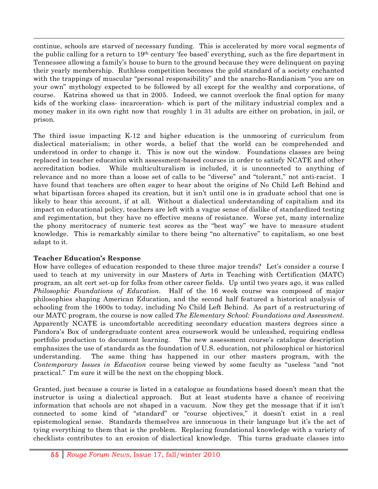continue, schools are starved of necessary funding. This is accelerated by more vocal segments of the public calling for a return to 19th century 'fee based' everything, such as the fire department in Tennessee allowing a family's house to burn to the ground because they were delinquent on paying their yearly membership. Ruthless competition becomes the gold standard of a society enchanted with the trappings of muscular "personal responsibility" and the anarcho-Randianism "you are on your own" mythology expected to be followed by all except for the wealthy and corporations, of course. Katrina showed us that in 2005. Indeed, we cannot overlook the final option for many kids of the working class- incarceration- which is part of the military industrial complex and a money maker in its own right now that roughly 1 in 31 adults are either on probation, in jail, or prison.

!!!!!!!!!!!!!!!!!!!!!!!!!!!!!!!!!!!!!!!!!!!!!!!!!!!!!!!!!!!!!!!!!!!!!!!!!!!!!!!!!!!!!!!!!!!!!!!!!!!!!!!!!!!!!!!!!!!!!!!!!!!!!!!!!!!!!!!!!!!!!!!!!!!!!!!!!!!!!!!!!!!!!!!!!!!!!!!!!!!!!!!!!!!!!!!!!!!!!!!!!!!!!!!!!!

The third issue impacting K-12 and higher education is the unmooring of curriculum from dialectical materialism; in other words, a belief that the world can be comprehended and understood in order to change it. This is now out the window. Foundations classes are being replaced in teacher education with assessment-based courses in order to satisfy NCATE and other accreditation bodies. While multiculturalism is included, it is unconnected to anything of relevance and no more than a loose set of calls to be "diverse" and "tolerant," not anti-racist. I have found that teachers are often eager to hear about the origins of No Child Left Behind and what bipartisan forces shaped its creation, but it isn't until one is in graduate school that one is likely to hear this account, if at all. Without a dialectical understanding of capitalism and its impact on educational policy, teachers are left with a vague sense of dislike of standardized testing and regimentation, but they have no effective means of resistance. Worse yet, many internalize the phony meritocracy of numeric test scores as the "best way" we have to measure student knowledge. This is remarkably similar to there being "no alternative" to capitalism, so one best adapt to it.

### **Teacher Education's Response**

How have colleges of education responded to these three major trends? Let's consider a course I used to teach at my university in our Masters of Arts in Teaching with Certification (MATC) program, an alt cert set-up for folks from other career fields. Up until two years ago, it was called *Philosophic Foundations of Education*. Half of the 16 week course was composed of major philosophies shaping American Education, and the second half featured a historical analysis of schooling from the 1600s to today, including No Child Left Behind. As part of a restructuring of our MATC program, the course is now called *The Elementary School: Foundations and Assessment*. Apparently NCATE is uncomfortable accrediting secondary education masters degrees since a Pandora's Box of undergraduate content area coursework would be unleashed, requiring endless portfolio production to document learning. The new assessment course's catalogue description emphasizes the use of standards as the foundation of U.S. education, not philosophical or historical understanding. The same thing has happened in our other masters program, with the *Contemporary Issues in Education* course being viewed by some faculty as "useless "and "not practical." I'm sure it will be the next on the chopping block.

Granted, just because a course is listed in a catalogue as foundations based doesn't mean that the instructor is using a dialectical approach. But at least students have a chance of receiving information that schools are not shaped in a vacuum. Now they get the message that if it isn't connected to some kind of "standard" or "course objectives," it doesn't exist in a real epistemological sense. Standards themselves are innocuous in their language but it's the act of tying everything to them that is the problem. Replacing foundational knowledge with a variety of checklists contributes to an erosion of dialectical knowledge. This turns graduate classes into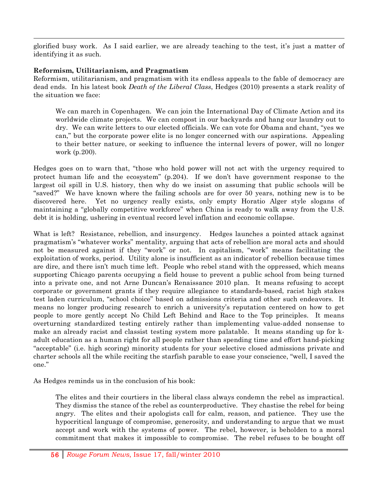!!!!!!!!!!!!!!!!!!!!!!!!!!!!!!!!!!!!!!!!!!!!!!!!!!!!!!!!!!!!!!!!!!!!!!!!!!!!!!!!!!!!!!!!!!!!!!!!!!!!!!!!!!!!!!!!!!!!!!!!!!!!!!!!!!!!!!!!!!!!!!!!!!!!!!!!!!!!!!!!!!!!!!!!!!!!!!!!!!!!!!!!!!!!!!!!!!!!!!!!!!!!!!!!!! glorified busy work. As I said earlier, we are already teaching to the test, it's just a matter of identifying it as such.

### **Reformism, Utilitarianism, and Pragmatism**

Reformism, utilitarianism, and pragmatism with its endless appeals to the fable of democracy are dead ends. In his latest book *Death of the Liberal Class*, Hedges (2010) presents a stark reality of the situation we face:

We can march in Copenhagen. We can join the International Day of Climate Action and its worldwide climate projects. We can compost in our backyards and hang our laundry out to dry. We can write letters to our elected officials. We can vote for Obama and chant, "yes we can," but the corporate power elite is no longer concerned with our aspirations. Appealing to their better nature, or seeking to influence the internal levers of power, will no longer work (p.200).

Hedges goes on to warn that, "those who hold power will not act with the urgency required to protect human life and the ecosystem" (p.204). If we don't have government response to the largest oil spill in U.S. history, then why do we insist on assuming that public schools will be "saved?" We have known where the failing schools are for over 50 years, nothing new is to be discovered here. Yet no urgency really exists, only empty Horatio Alger style slogans of maintaining a "globally competitive workforce" when China is ready to walk away from the U.S. debt it is holding, ushering in eventual record level inflation and economic collapse.

What is left? Resistance, rebellion, and insurgency. Hedges launches a pointed attack against pragmatism's "whatever works" mentality, arguing that acts of rebellion are moral acts and should not be measured against if they "work" or not. In capitalism, "work" means facilitating the exploitation of works, period. Utility alone is insufficient as an indicator of rebellion because times are dire, and there isn't much time left. People who rebel stand with the oppressed, which means supporting Chicago parents occupying a field house to prevent a public school from being turned into a private one, and not Arne Duncan's Renaissance 2010 plan. It means refusing to accept corporate or government grants if they require allegiance to standards-based, racist high stakes test laden curriculum, "school choice" based on admissions criteria and other such endeavors. It means no longer producing research to enrich a university's reputation centered on how to get people to more gently accept No Child Left Behind and Race to the Top principles. It means overturning standardized testing entirely rather than implementing value-added nonsense to make an already racist and classist testing system more palatable. It means standing up for kadult education as a human right for all people rather than spending time and effort hand-picking "acceptable" (i.e. high scoring) minority students for your selective closed admissions private and charter schools all the while reciting the starfish parable to ease your conscience, "well, I saved the one."

As Hedges reminds us in the conclusion of his book:

The elites and their courtiers in the liberal class always condemn the rebel as impractical. They dismiss the stance of the rebel as counterproductive. They chastise the rebel for being angry. The elites and their apologists call for calm, reason, and patience. They use the hypocritical language of compromise, generosity, and understanding to argue that we must accept and work with the systems of power. The rebel, however, is beholden to a moral commitment that makes it impossible to compromise. The rebel refuses to be bought off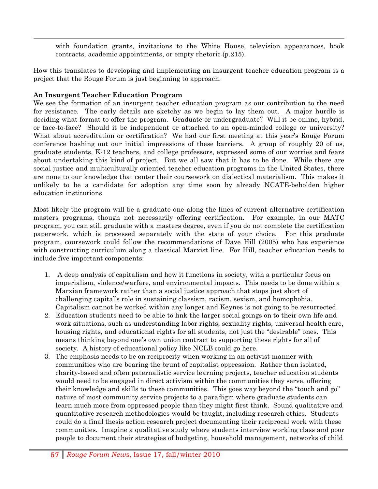with foundation grants, invitations to the White House, television appearances, book contracts, academic appointments, or empty rhetoric (p.215).

How this translates to developing and implementing an insurgent teacher education program is a project that the Rouge Forum is just beginning to approach.

!!!!!!!!!!!!!!!!!!!!!!!!!!!!!!!!!!!!!!!!!!!!!!!!!!!!!!!!!!!!!!!!!!!!!!!!!!!!!!!!!!!!!!!!!!!!!!!!!!!!!!!!!!!!!!!!!!!!!!!!!!!!!!!!!!!!!!!!!!!!!!!!!!!!!!!!!!!!!!!!!!!!!!!!!!!!!!!!!!!!!!!!!!!!!!!!!!!!!!!!!!!!!!!!!!

### **An Insurgent Teacher Education Program**

We see the formation of an insurgent teacher education program as our contribution to the need for resistance. The early details are sketchy as we begin to lay them out. A major hurdle is deciding what format to offer the program. Graduate or undergraduate? Will it be online, hybrid, or face-to-face? Should it be independent or attached to an open-minded college or university? What about accreditation or certification? We had our first meeting at this year's Rouge Forum conference hashing out our initial impressions of these barriers. A group of roughly 20 of us, graduate students, K-12 teachers, and college professors, expressed some of our worries and fears about undertaking this kind of project. But we all saw that it has to be done. While there are social justice and multiculturally oriented teacher education programs in the United States, there are none to our knowledge that center their coursework on dialectical materialism. This makes it unlikely to be a candidate for adoption any time soon by already NCATE-beholden higher education institutions.

Most likely the program will be a graduate one along the lines of current alternative certification masters programs, though not necessarily offering certification. For example, in our MATC program, you can still graduate with a masters degree, even if you do not complete the certification paperwork, which is processed separately with the state of your choice. For this graduate program, coursework could follow the recommendations of Dave Hill (2005) who has experience with constructing curriculum along a classical Marxist line. For Hill, teacher education needs to include five important components:

- 1. A deep analysis of capitalism and how it functions in society, with a particular focus on imperialism, violence/warfare, and environmental impacts. This needs to be done within a Marxian framework rather than a social justice approach that stops just short of challenging capital's role in sustaining classism, racism, sexism, and homophobia. Capitalism cannot be worked within any longer and Keynes is not going to be resurrected.
- 2. Education students need to be able to link the larger social goings on to their own life and work situations, such as understanding labor rights, sexuality rights, universal health care, housing rights, and educational rights for all students, not just the "desirable" ones. This means thinking beyond one's own union contract to supporting these rights for all of society. A history of educational policy like NCLB could go here.
- 3. The emphasis needs to be on reciprocity when working in an activist manner with communities who are bearing the brunt of capitalist oppression. Rather than isolated, charity-based and often paternalistic service learning projects, teacher education students would need to be engaged in direct activism within the communities they serve, offering their knowledge and skills to these communities. This goes way beyond the "touch and go" nature of most community service projects to a paradigm where graduate students can learn much more from oppressed people than they might first think. Sound qualitative and quantitative research methodologies would be taught, including research ethics. Students could do a final thesis action research project documenting their reciprocal work with these communities. Imagine a qualitative study where students interview working class and poor people to document their strategies of budgeting, household management, networks of child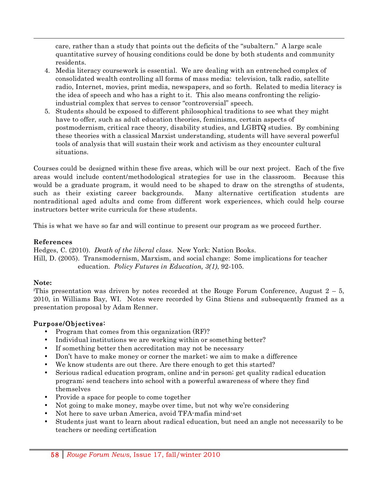care, rather than a study that points out the deficits of the "subaltern." A large scale quantitative survey of housing conditions could be done by both students and community residents.

!!!!!!!!!!!!!!!!!!!!!!!!!!!!!!!!!!!!!!!!!!!!!!!!!!!!!!!!!!!!!!!!!!!!!!!!!!!!!!!!!!!!!!!!!!!!!!!!!!!!!!!!!!!!!!!!!!!!!!!!!!!!!!!!!!!!!!!!!!!!!!!!!!!!!!!!!!!!!!!!!!!!!!!!!!!!!!!!!!!!!!!!!!!!!!!!!!!!!!!!!!!!!!!!!!

- 4. Media literacy coursework is essential. We are dealing with an entrenched complex of consolidated wealth controlling all forms of mass media: television, talk radio, satellite radio, Internet, movies, print media, newspapers, and so forth. Related to media literacy is the idea of speech and who has a right to it. This also means confronting the religioindustrial complex that serves to censor "controversial" speech.
- 5. Students should be exposed to different philosophical traditions to see what they might have to offer, such as adult education theories, feminisms, certain aspects of postmodernism, critical race theory, disability studies, and LGBTQ studies. By combining these theories with a classical Marxist understanding, students will have several powerful tools of analysis that will sustain their work and activism as they encounter cultural situations.

Courses could be designed within these five areas, which will be our next project. Each of the five areas would include content/methodological strategies for use in the classroom. Because this would be a graduate program, it would need to be shaped to draw on the strengths of students, such as their existing career backgrounds. Many alternative certification students are nontraditional aged adults and come from different work experiences, which could help course instructors better write curricula for these students.

This is what we have so far and will continue to present our program as we proceed further.

### **References**

Hedges, C. (2010). *Death of the liberal class*. New York: Nation Books. Hill, D. (2005). Transmodernism, Marxism, and social change: Some implications for teacher education. *Policy Futures in Education, 3(1)*, 92-105.

### **Note:**

This presentation was driven by notes recorded at the Rouge Forum Conference, August  $2-5$ , 2010, in Williams Bay, WI. Notes were recorded by Gina Stiens and subsequently framed as a presentation proposal by Adam Renner.

### Purpose/Objectives:

- Program that comes from this organization (RF)?
- Individual institutions we are working within or something better?
- If something better then accreditation may not be necessary
- Don't have to make money or corner the market; we aim to make a difference
- We know students are out there. Are there enough to get this started?
- Serious radical education program, online and-in person; get quality radical education program; send teachers into school with a powerful awareness of where they find themselves
- Provide a space for people to come together
- Not going to make money, maybe over time, but not why we're considering
- Not here to save urban America, avoid TFA-mafia mind-set
- Students just want to learn about radical education, but need an angle not necessarily to be teachers or needing certification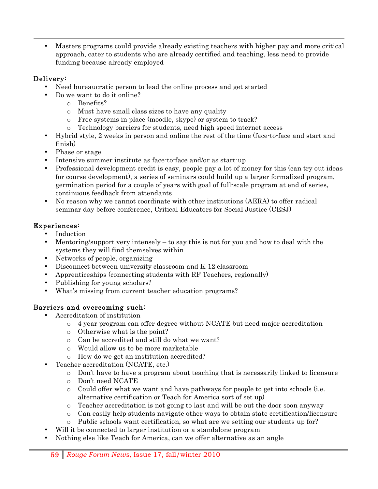!!!!!!!!!!!!!!!!!!!!!!!!!!!!!!!!!!!!!!!!!!!!!!!!!!!!!!!!!!!!!!!!!!!!!!!!!!!!!!!!!!!!!!!!!!!!!!!!!!!!!!!!!!!!!!!!!!!!!!!!!!!!!!!!!!!!!!!!!!!!!!!!!!!!!!!!!!!!!!!!!!!!!!!!!!!!!!!!!!!!!!!!!!!!!!!!!!!!!!!!!!!!!!!!!! • Masters programs could provide already existing teachers with higher pay and more critical approach, cater to students who are already certified and teaching, less need to provide funding because already employed

### Delivery:

- Need bureaucratic person to lead the online process and get started
- Do we want to do it online?
	- o Benefits?
	- o Must have small class sizes to have any quality
	- o Free systems in place (moodle, skype) or system to track?
	- o Technology barriers for students, need high speed internet access
- Hybrid style, 2 weeks in person and online the rest of the time (face-to-face and start and finish)
- Phase or stage
- Intensive summer institute as face-to-face and/or as start-up
- Professional development credit is easy, people pay a lot of money for this (can try out ideas for course development), a series of seminars could build up a larger formalized program, germination period for a couple of years with goal of full-scale program at end of series, continuous feedback from attendants
- No reason why we cannot coordinate with other institutions (AERA) to offer radical seminar day before conference, Critical Educators for Social Justice (CESJ)

### Experiences:

- Induction
- Mentoring/support very intensely  $-$  to say this is not for you and how to deal with the systems they will find themselves within
- Networks of people, organizing
- Disconnect between university classroom and K-12 classroom
- Apprenticeships (connecting students with RF Teachers, regionally)
- Publishing for young scholars?
- What's missing from current teacher education programs?

### Barriers and overcoming such:

- Accreditation of institution
	- o 4 year program can offer degree without NCATE but need major accreditation
	- o Otherwise what is the point?
	- o Can be accredited and still do what we want?
	- o Would allow us to be more marketable
	- o How do we get an institution accredited?
	- Teacher accreditation (NCATE, etc.)
		- o Don't have to have a program about teaching that is necessarily linked to licensure
		- o Don't need NCATE
		- $\circ$  Could offer what we want and have pathways for people to get into schools (i.e. alternative certification or Teach for America sort of set up)
		- o Teacher accreditation is not going to last and will be out the door soon anyway
		- o Can easily help students navigate other ways to obtain state certification/licensure
		- o Public schools want certification, so what are we setting our students up for?
- Will it be connected to larger institution or a standalone program
- Nothing else like Teach for America, can we offer alternative as an angle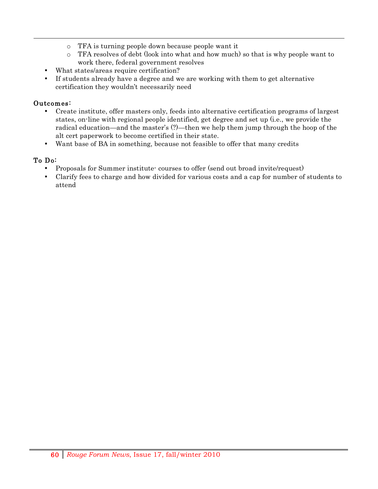- o TFA is turning people down because people want it
- o TFA resolves of debt (look into what and how much) so that is why people want to work there, federal government resolves

!!!!!!!!!!!!!!!!!!!!!!!!!!!!!!!!!!!!!!!!!!!!!!!!!!!!!!!!!!!!!!!!!!!!!!!!!!!!!!!!!!!!!!!!!!!!!!!!!!!!!!!!!!!!!!!!!!!!!!!!!!!!!!!!!!!!!!!!!!!!!!!!!!!!!!!!!!!!!!!!!!!!!!!!!!!!!!!!!!!!!!!!!!!!!!!!!!!!!!!!!!!!!!!!!!

- What states/areas require certification?
- If students already have a degree and we are working with them to get alternative certification they wouldn't necessarily need

### Outcomes:

- Create institute, offer masters only, feeds into alternative certification programs of largest states, on-line with regional people identified, get degree and set up (i.e., we provide the radical education—and the master's (?)—then we help them jump through the hoop of the alt cert paperwork to become certified in their state.
- Want base of BA in something, because not feasible to offer that many credits

### To Do:

- Proposals for Summer institute- courses to offer (send out broad invite/request)
- Clarify fees to charge and how divided for various costs and a cap for number of students to attend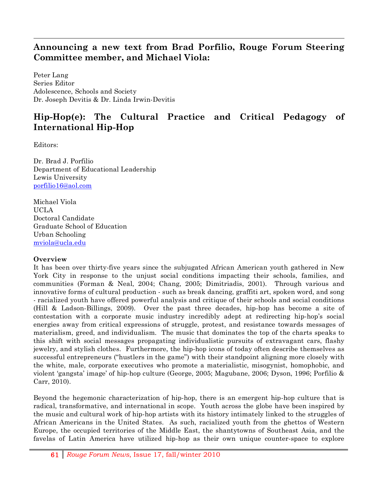### **Announcing a new text from Brad Porfilio, Rouge Forum Steering Committee member, and Michael Viola:**

!!!!!!!!!!!!!!!!!!!!!!!!!!!!!!!!!!!!!!!!!!!!!!!!!!!!!!!!!!!!!!!!!!!!!!!!!!!!!!!!!!!!!!!!!!!!!!!!!!!!!!!!!!!!!!!!!!!!!!!!!!!!!!!!!!!!!!!!!!!!!!!!!!!!!!!!!!!!!!!!!!!!!!!!!!!!!!!!!!!!!!!!!!!!!!!!!!!!!!!!!!!!!!!!!!

Peter Lang Series Editor Adolescence, Schools and Society Dr. Joseph Devitis & Dr. Linda Irwin-Devitis

### **Hip-Hop(e): The Cultural Practice and Critical Pedagogy of International Hip-Hop**

Editors:

Dr. Brad J. Porfilio Department of Educational Leadership Lewis University porfilio16@aol.com

Michael Viola UCLA Doctoral Candidate Graduate School of Education Urban Schooling mviola@ucla.edu

### **Overview**

It has been over thirty-five years since the subjugated African American youth gathered in New York City in response to the unjust social conditions impacting their schools, families, and communities (Forman & Neal, 2004; Chang, 2005; Dimitriadis, 2001). Through various and innovative forms of cultural production - such as break dancing, graffiti art, spoken word, and song - racialized youth have offered powerful analysis and critique of their schools and social conditions (Hill & Ladson-Billings, 2009). Over the past three decades, hip-hop has become a site of contestation with a corporate music industry incredibly adept at redirecting hip-hop's social energies away from critical expressions of struggle, protest, and resistance towards messages of materialism, greed, and individualism. The music that dominates the top of the charts speaks to this shift with social messages propagating individualistic pursuits of extravagant cars, flashy jewelry, and stylish clothes. Furthermore, the hip-hop icons of today often describe themselves as successful entrepreneurs ("hustlers in the game") with their standpoint aligning more closely with the white, male, corporate executives who promote a materialistic, misogynist, homophobic, and violent 'gangsta' image' of hip-hop culture (George, 2005; Magubane, 2006; Dyson, 1996; Porfilio & Carr, 2010).

Beyond the hegemonic characterization of hip-hop, there is an emergent hip-hop culture that is radical, transformative, and international in scope. Youth across the globe have been inspired by the music and cultural work of hip-hop artists with its history intimately linked to the struggles of African Americans in the United States. As such, racialized youth from the ghettos of Western Europe, the occupied territories of the Middle East, the shantytowns of Southeast Asia, and the favelas of Latin America have utilized hip-hop as their own unique counter-space to explore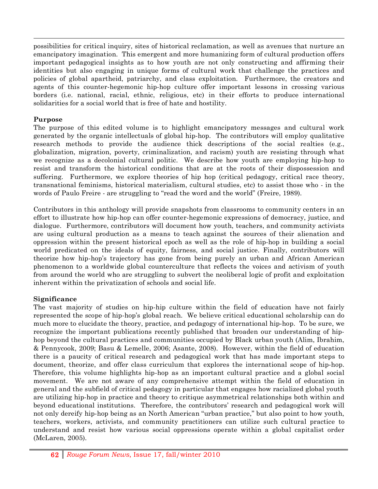possibilities for critical inquiry, sites of historical reclamation, as well as avenues that nurture an emancipatory imagination. This emergent and more humanizing form of cultural production offers important pedagogical insights as to how youth are not only constructing and affirming their identities but also engaging in unique forms of cultural work that challenge the practices and policies of global apartheid, patriarchy, and class exploitation. Furthermore, the creators and agents of this counter-hegemonic hip-hop culture offer important lessons in crossing various borders (i.e. national, racial, ethnic, religious, etc) in their efforts to produce international solidarities for a social world that is free of hate and hostility.

!!!!!!!!!!!!!!!!!!!!!!!!!!!!!!!!!!!!!!!!!!!!!!!!!!!!!!!!!!!!!!!!!!!!!!!!!!!!!!!!!!!!!!!!!!!!!!!!!!!!!!!!!!!!!!!!!!!!!!!!!!!!!!!!!!!!!!!!!!!!!!!!!!!!!!!!!!!!!!!!!!!!!!!!!!!!!!!!!!!!!!!!!!!!!!!!!!!!!!!!!!!!!!!!!!

### **Purpose**

The purpose of this edited volume is to highlight emancipatory messages and cultural work generated by the organic intellectuals of global hip-hop. The contributors will employ qualitative research methods to provide the audience thick descriptions of the social realties (e.g., globalization, migration, poverty, criminalization, and racism) youth are resisting through what we recognize as a decolonial cultural politic. We describe how youth are employing hip-hop to resist and transform the historical conditions that are at the roots of their dispossession and suffering. Furthermore, we explore theories of hip hop (critical pedagogy, critical race theory, transnational feminisms, historical materialism, cultural studies, etc) to assist those who - in the words of Paulo Freire - are struggling to "read the word and the world" (Freire, 1989).

Contributors in this anthology will provide snapshots from classrooms to community centers in an effort to illustrate how hip-hop can offer counter-hegemonic expressions of democracy, justice, and dialogue. Furthermore, contributors will document how youth, teachers, and community activists are using cultural production as a means to teach against the sources of their alienation and oppression within the present historical epoch as well as the role of hip-hop in building a social world predicated on the ideals of equity, fairness, and social justice. Finally, contributors will theorize how hip-hop's trajectory has gone from being purely an urban and African American phenomenon to a worldwide global counterculture that reflects the voices and activism of youth from around the world who are struggling to subvert the neoliberal logic of profit and exploitation inherent within the privatization of schools and social life.

### **Significance**

The vast majority of studies on hip-hip culture within the field of education have not fairly represented the scope of hip-hop's global reach. We believe critical educational scholarship can do much more to elucidate the theory, practice, and pedagogy of international hip-hop. To be sure, we recognize the important publications recently published that broaden our understanding of hiphop beyond the cultural practices and communities occupied by Black urban youth (Alim, Ibrahim, & Pennycook, 2009; Basu & Lemelle, 2006; Asante, 2008). However, within the field of education there is a paucity of critical research and pedagogical work that has made important steps to document, theorize, and offer class curriculum that explores the international scope of hip-hop. Therefore, this volume highlights hip-hop as an important cultural practice and a global social movement. We are not aware of any comprehensive attempt within the field of education in general and the subfield of critical pedagogy in particular that engages how racialized global youth are utilizing hip-hop in practice and theory to critique asymmetrical relationships both within and beyond educational institutions. Therefore, the contributors' research and pedagogical work will not only dereify hip-hop being as an North American "urban practice," but also point to how youth, teachers, workers, activists, and community practitioners can utilize such cultural practice to understand and resist how various social oppressions operate within a global capitalist order (McLaren, 2005).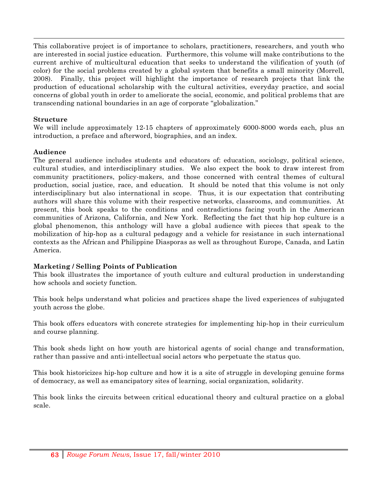This collaborative project is of importance to scholars, practitioners, researchers, and youth who are interested in social justice education. Furthermore, this volume will make contributions to the current archive of multicultural education that seeks to understand the vilification of youth (of color) for the social problems created by a global system that benefits a small minority (Morrell, 2008). Finally, this project will highlight the importance of research projects that link the production of educational scholarship with the cultural activities, everyday practice, and social concerns of global youth in order to ameliorate the social, economic, and political problems that are transcending national boundaries in an age of corporate "globalization."

!!!!!!!!!!!!!!!!!!!!!!!!!!!!!!!!!!!!!!!!!!!!!!!!!!!!!!!!!!!!!!!!!!!!!!!!!!!!!!!!!!!!!!!!!!!!!!!!!!!!!!!!!!!!!!!!!!!!!!!!!!!!!!!!!!!!!!!!!!!!!!!!!!!!!!!!!!!!!!!!!!!!!!!!!!!!!!!!!!!!!!!!!!!!!!!!!!!!!!!!!!!!!!!!!!

### **Structure**

We will include approximately 12-15 chapters of approximately 6000-8000 words each, plus an introduction, a preface and afterword, biographies, and an index.

### **Audience**

The general audience includes students and educators of: education, sociology, political science, cultural studies, and interdisciplinary studies. We also expect the book to draw interest from community practitioners, policy-makers, and those concerned with central themes of cultural production, social justice, race, and education. It should be noted that this volume is not only interdisciplinary but also international in scope. Thus, it is our expectation that contributing authors will share this volume with their respective networks, classrooms, and communities. At present, this book speaks to the conditions and contradictions facing youth in the American communities of Arizona, California, and New York. Reflecting the fact that hip hop culture is a global phenomenon, this anthology will have a global audience with pieces that speak to the mobilization of hip-hop as a cultural pedagogy and a vehicle for resistance in such international contexts as the African and Philippine Diasporas as well as throughout Europe, Canada, and Latin America.

### **Marketing / Selling Points of Publication**

This book illustrates the importance of youth culture and cultural production in understanding how schools and society function.

This book helps understand what policies and practices shape the lived experiences of subjugated youth across the globe.

This book offers educators with concrete strategies for implementing hip-hop in their curriculum and course planning.

This book sheds light on how youth are historical agents of social change and transformation, rather than passive and anti-intellectual social actors who perpetuate the status quo.

This book historicizes hip-hop culture and how it is a site of struggle in developing genuine forms of democracy, as well as emancipatory sites of learning, social organization, solidarity.

This book links the circuits between critical educational theory and cultural practice on a global scale.